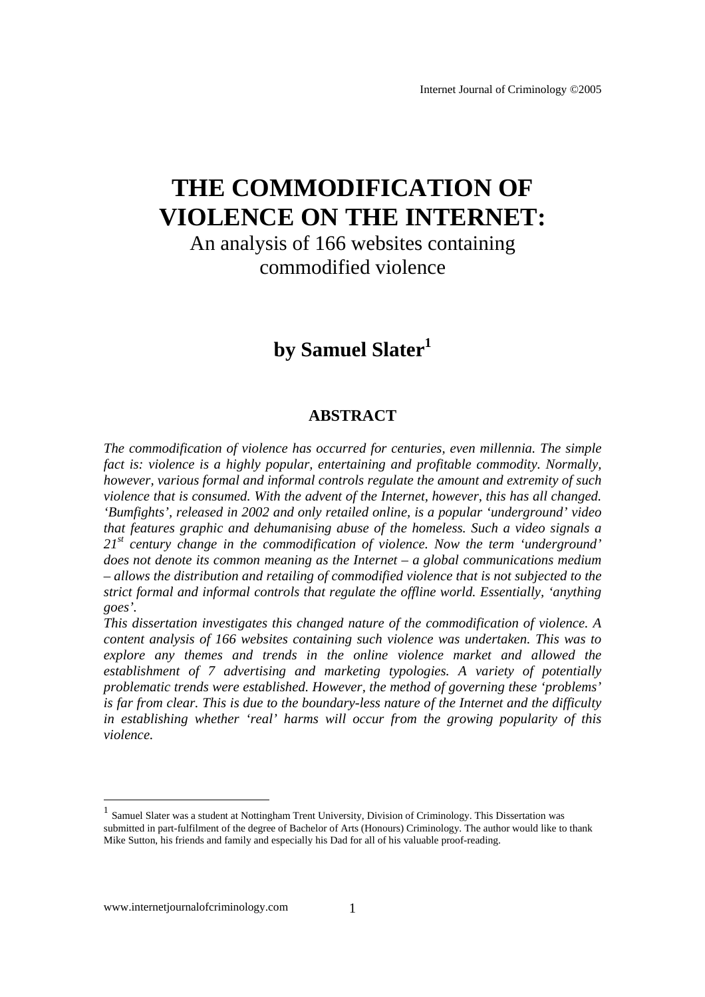# **THE COMMODIFICATION OF VIOLENCE ON THE INTERNET:**

An analysis of 166 websites containing commodified violence

# by Samuel Slater<sup>1</sup>

#### **ABSTRACT**

*The commodification of violence has occurred for centuries, even millennia. The simple fact is: violence is a highly popular, entertaining and profitable commodity. Normally, however, various formal and informal controls regulate the amount and extremity of such violence that is consumed. With the advent of the Internet, however, this has all changed. 'Bumfights', released in 2002 and only retailed online, is a popular 'underground' video that features graphic and dehumanising abuse of the homeless. Such a video signals a 21st century change in the commodification of violence. Now the term 'underground' does not denote its common meaning as the Internet – a global communications medium – allows the distribution and retailing of commodified violence that is not subjected to the strict formal and informal controls that regulate the offline world. Essentially, 'anything goes'.* 

*This dissertation investigates this changed nature of the commodification of violence. A content analysis of 166 websites containing such violence was undertaken. This was to explore any themes and trends in the online violence market and allowed the establishment of 7 advertising and marketing typologies. A variety of potentially problematic trends were established. However, the method of governing these 'problems' is far from clear. This is due to the boundary-less nature of the Internet and the difficulty in establishing whether 'real' harms will occur from the growing popularity of this violence.* 

l

<sup>1</sup> Samuel Slater was a student at Nottingham Trent University, Division of Criminology. This Dissertation was submitted in part-fulfilment of the degree of Bachelor of Arts (Honours) Criminology. The author would like to thank Mike Sutton, his friends and family and especially his Dad for all of his valuable proof-reading.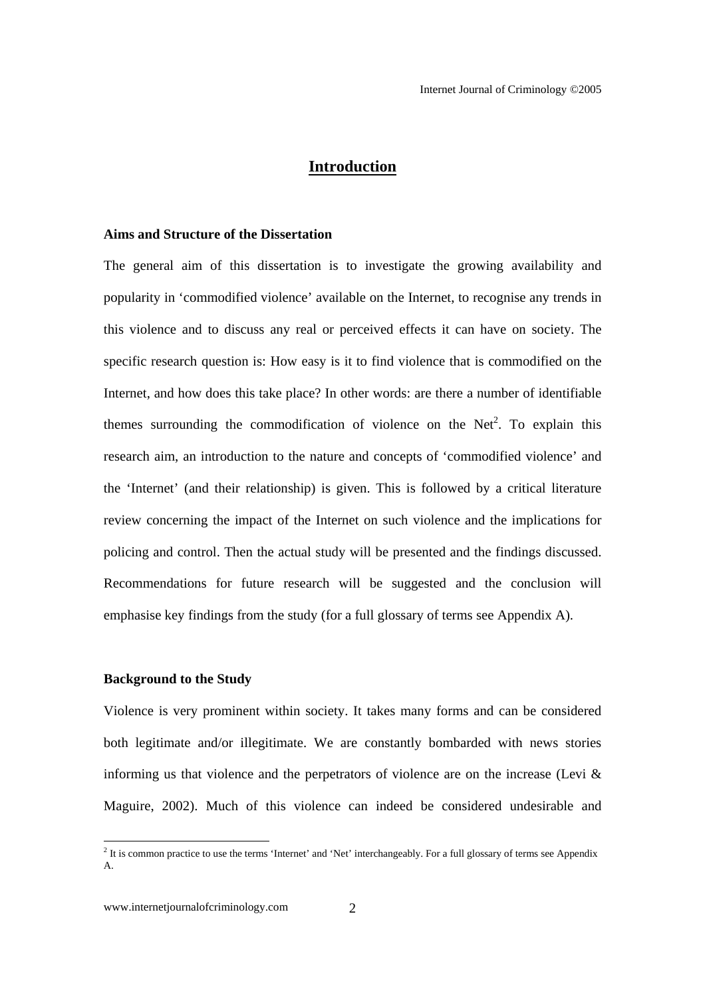#### **Introduction**

#### **Aims and Structure of the Dissertation**

The general aim of this dissertation is to investigate the growing availability and popularity in 'commodified violence' available on the Internet, to recognise any trends in this violence and to discuss any real or perceived effects it can have on society. The specific research question is: How easy is it to find violence that is commodified on the Internet, and how does this take place? In other words: are there a number of identifiable themes surrounding the commodification of violence on the Net<sup>2</sup>. To explain this research aim, an introduction to the nature and concepts of 'commodified violence' and the 'Internet' (and their relationship) is given. This is followed by a critical literature review concerning the impact of the Internet on such violence and the implications for policing and control. Then the actual study will be presented and the findings discussed. Recommendations for future research will be suggested and the conclusion will emphasise key findings from the study (for a full glossary of terms see Appendix A).

#### **Background to the Study**

Violence is very prominent within society. It takes many forms and can be considered both legitimate and/or illegitimate. We are constantly bombarded with news stories informing us that violence and the perpetrators of violence are on the increase (Levi  $\&$ Maguire, 2002). Much of this violence can indeed be considered undesirable and

<sup>&</sup>lt;sup>2</sup> It is common practice to use the terms 'Internet' and 'Net' interchangeably. For a full glossary of terms see Appendix A.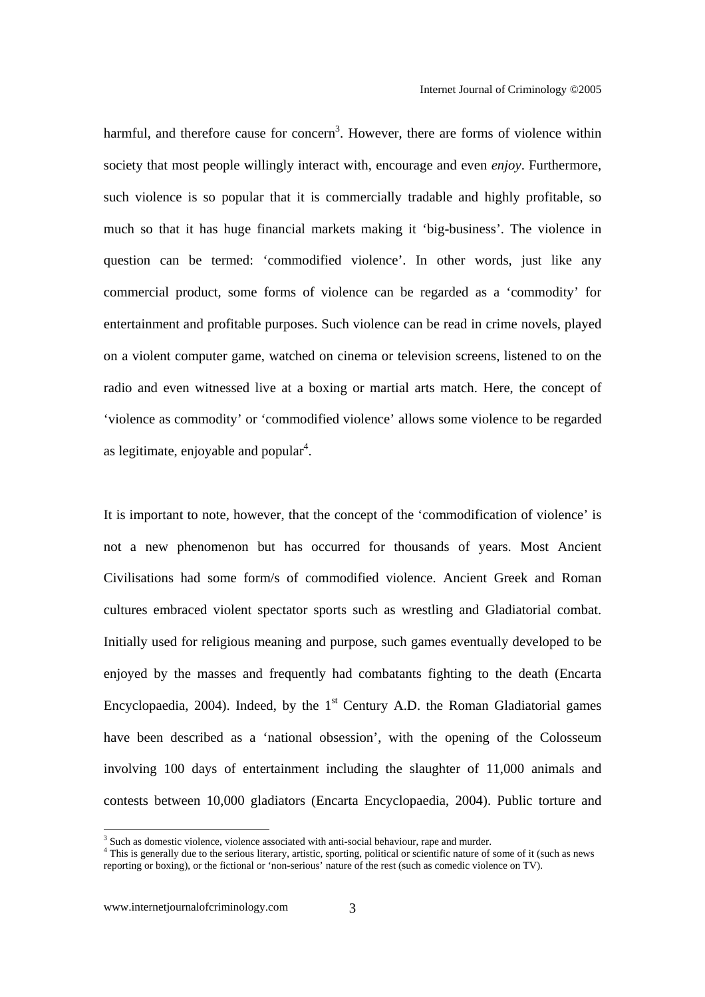harmful, and therefore cause for concern<sup>3</sup>. However, there are forms of violence within society that most people willingly interact with, encourage and even *enjoy*. Furthermore, such violence is so popular that it is commercially tradable and highly profitable, so much so that it has huge financial markets making it 'big-business'. The violence in question can be termed: 'commodified violence'. In other words, just like any commercial product, some forms of violence can be regarded as a 'commodity' for entertainment and profitable purposes. Such violence can be read in crime novels, played on a violent computer game, watched on cinema or television screens, listened to on the radio and even witnessed live at a boxing or martial arts match. Here, the concept of 'violence as commodity' or 'commodified violence' allows some violence to be regarded as legitimate, enjoyable and popular<sup>4</sup>.

It is important to note, however, that the concept of the 'commodification of violence' is not a new phenomenon but has occurred for thousands of years. Most Ancient Civilisations had some form/s of commodified violence. Ancient Greek and Roman cultures embraced violent spectator sports such as wrestling and Gladiatorial combat. Initially used for religious meaning and purpose, such games eventually developed to be enjoyed by the masses and frequently had combatants fighting to the death (Encarta Encyclopaedia, 2004). Indeed, by the  $1<sup>st</sup>$  Century A.D. the Roman Gladiatorial games have been described as a 'national obsession', with the opening of the Colosseum involving 100 days of entertainment including the slaughter of 11,000 animals and contests between 10,000 gladiators (Encarta Encyclopaedia, 2004). Public torture and

<sup>&</sup>lt;sup>3</sup> Such as domestic violence, violence associated with anti-social behaviour, rape and murder.

<sup>&</sup>lt;sup>4</sup> This is generally due to the serious literary, artistic, sporting, political or scientific nature of some of it (such as news reporting or boxing), or the fictional or 'non-serious' nature of the rest (such as comedic violence on TV).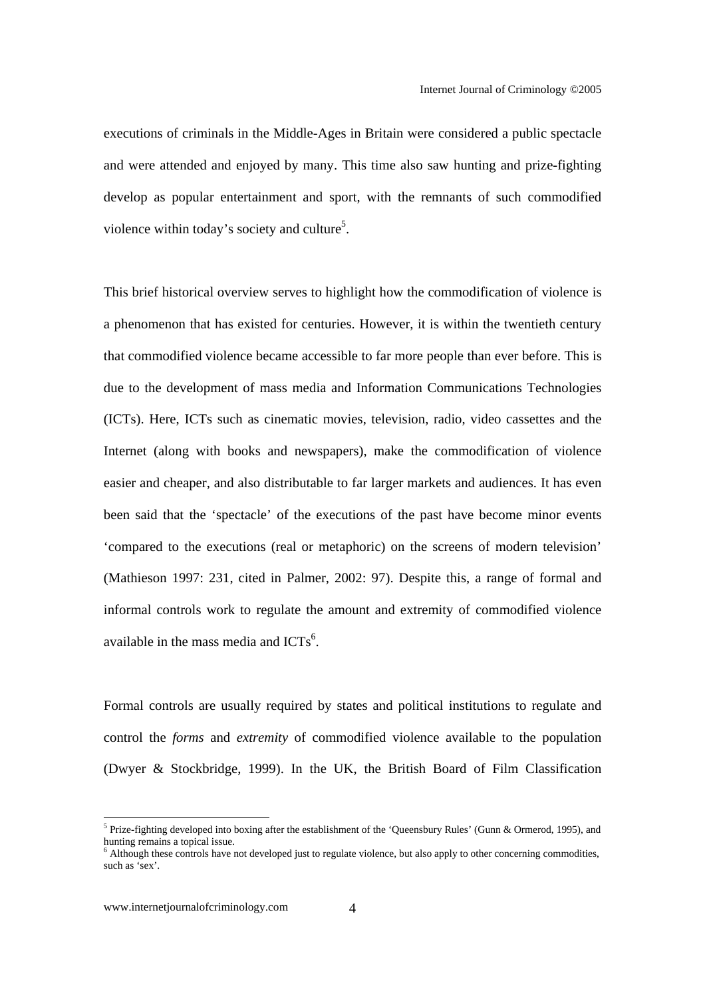executions of criminals in the Middle-Ages in Britain were considered a public spectacle and were attended and enjoyed by many. This time also saw hunting and prize-fighting develop as popular entertainment and sport, with the remnants of such commodified violence within today's society and culture<sup>5</sup>.

This brief historical overview serves to highlight how the commodification of violence is a phenomenon that has existed for centuries. However, it is within the twentieth century that commodified violence became accessible to far more people than ever before. This is due to the development of mass media and Information Communications Technologies (ICTs). Here, ICTs such as cinematic movies, television, radio, video cassettes and the Internet (along with books and newspapers), make the commodification of violence easier and cheaper, and also distributable to far larger markets and audiences. It has even been said that the 'spectacle' of the executions of the past have become minor events 'compared to the executions (real or metaphoric) on the screens of modern television' (Mathieson 1997: 231, cited in Palmer, 2002: 97). Despite this, a range of formal and informal controls work to regulate the amount and extremity of commodified violence available in the mass media and  $ICTs<sup>6</sup>$ .

Formal controls are usually required by states and political institutions to regulate and control the *forms* and *extremity* of commodified violence available to the population (Dwyer & Stockbridge, 1999). In the UK, the British Board of Film Classification

<sup>&</sup>lt;sup>5</sup> Prize-fighting developed into boxing after the establishment of the 'Queensbury Rules' (Gunn & Ormerod, 1995), and hunting remains a topical issue.

<sup>&</sup>lt;sup>6</sup> Although these controls have not developed just to regulate violence, but also apply to other concerning commodities, such as 'sex'.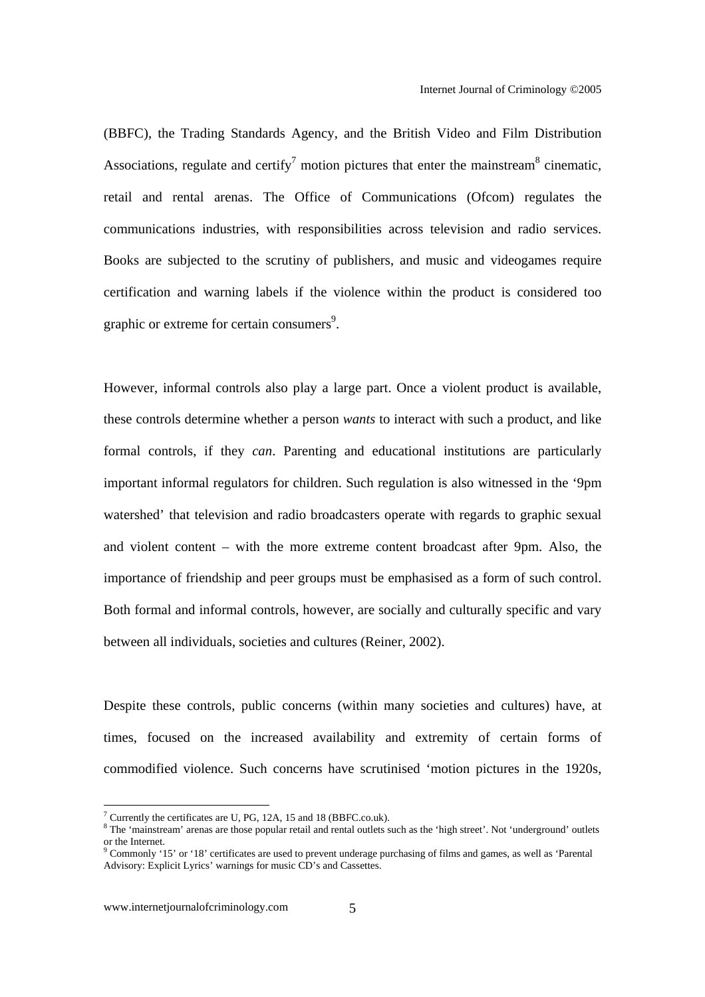(BBFC), the Trading Standards Agency, and the British Video and Film Distribution Associations, regulate and certify<sup>7</sup> motion pictures that enter the mainstream<sup>8</sup> cinematic, retail and rental arenas. The Office of Communications (Ofcom) regulates the communications industries, with responsibilities across television and radio services. Books are subjected to the scrutiny of publishers, and music and videogames require certification and warning labels if the violence within the product is considered too graphic or extreme for certain consumers<sup>9</sup>.

However, informal controls also play a large part. Once a violent product is available, these controls determine whether a person *wants* to interact with such a product, and like formal controls, if they *can*. Parenting and educational institutions are particularly important informal regulators for children. Such regulation is also witnessed in the '9pm watershed' that television and radio broadcasters operate with regards to graphic sexual and violent content – with the more extreme content broadcast after 9pm. Also, the importance of friendship and peer groups must be emphasised as a form of such control. Both formal and informal controls, however, are socially and culturally specific and vary between all individuals, societies and cultures (Reiner, 2002).

Despite these controls, public concerns (within many societies and cultures) have, at times, focused on the increased availability and extremity of certain forms of commodified violence. Such concerns have scrutinised 'motion pictures in the 1920s,

<sup>&</sup>lt;sup>7</sup> Currently the certificates are U, PG, 12A, 15 and 18 (BBFC.co.uk).

<sup>&</sup>lt;sup>8</sup> The 'mainstream' arenas are those popular retail and rental outlets such as the 'high street'. Not 'underground' outlets or the Internet.<br><sup>9</sup> Commonly '15' or '18' certificates are used to prevent underage purchasing of films and games, as well as 'Parental

Advisory: Explicit Lyrics' warnings for music CD's and Cassettes.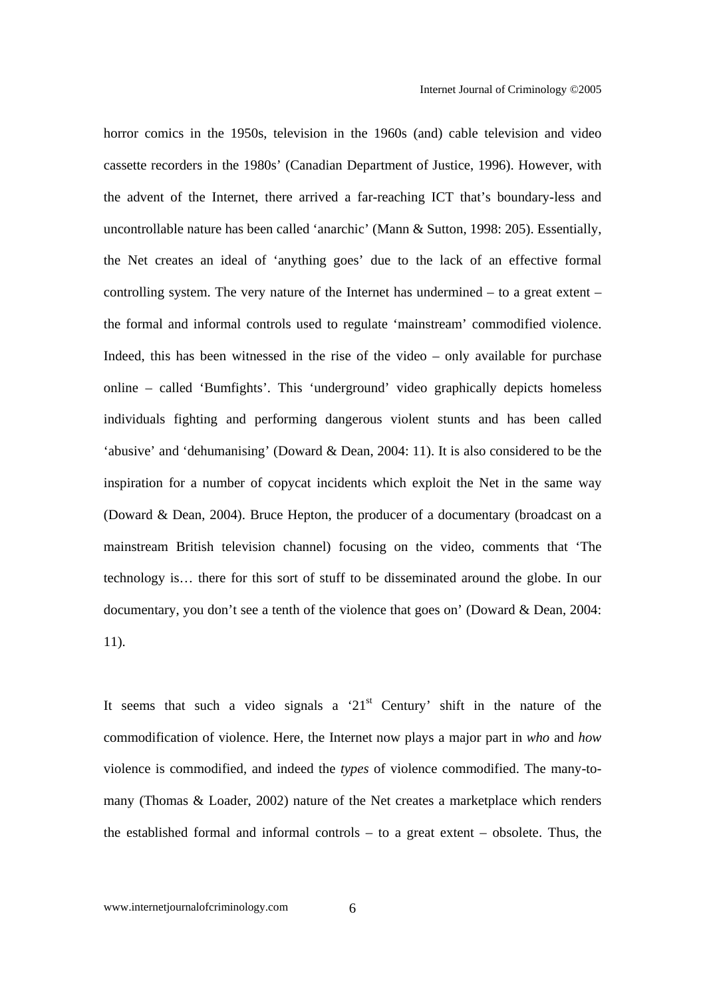horror comics in the 1950s, television in the 1960s (and) cable television and video cassette recorders in the 1980s' (Canadian Department of Justice, 1996). However, with the advent of the Internet, there arrived a far-reaching ICT that's boundary-less and uncontrollable nature has been called 'anarchic' (Mann & Sutton, 1998: 205). Essentially, the Net creates an ideal of 'anything goes' due to the lack of an effective formal controlling system. The very nature of the Internet has undermined – to a great extent – the formal and informal controls used to regulate 'mainstream' commodified violence. Indeed, this has been witnessed in the rise of the video – only available for purchase online – called 'Bumfights'. This 'underground' video graphically depicts homeless individuals fighting and performing dangerous violent stunts and has been called 'abusive' and 'dehumanising' (Doward & Dean, 2004: 11). It is also considered to be the inspiration for a number of copycat incidents which exploit the Net in the same way (Doward & Dean, 2004). Bruce Hepton, the producer of a documentary (broadcast on a mainstream British television channel) focusing on the video, comments that 'The technology is… there for this sort of stuff to be disseminated around the globe. In our documentary, you don't see a tenth of the violence that goes on' (Doward & Dean, 2004: 11).

It seems that such a video signals a ' $21<sup>st</sup>$  Century' shift in the nature of the commodification of violence. Here, the Internet now plays a major part in *who* and *how* violence is commodified, and indeed the *types* of violence commodified. The many-tomany (Thomas & Loader, 2002) nature of the Net creates a marketplace which renders the established formal and informal controls – to a great extent – obsolete. Thus, the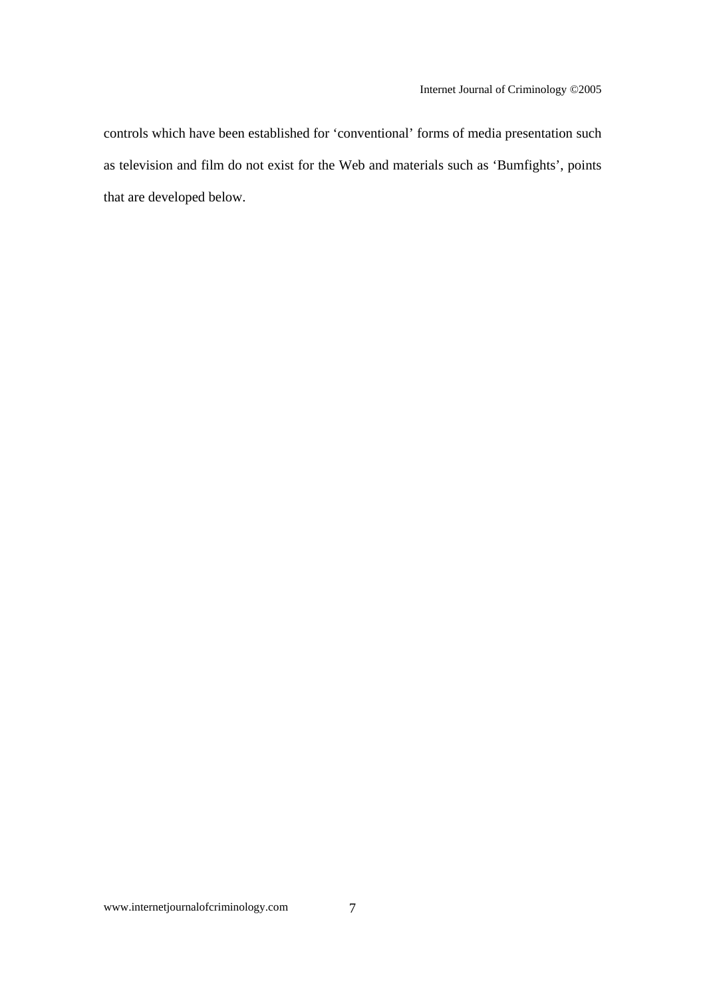controls which have been established for 'conventional' forms of media presentation such as television and film do not exist for the Web and materials such as 'Bumfights', points that are developed below.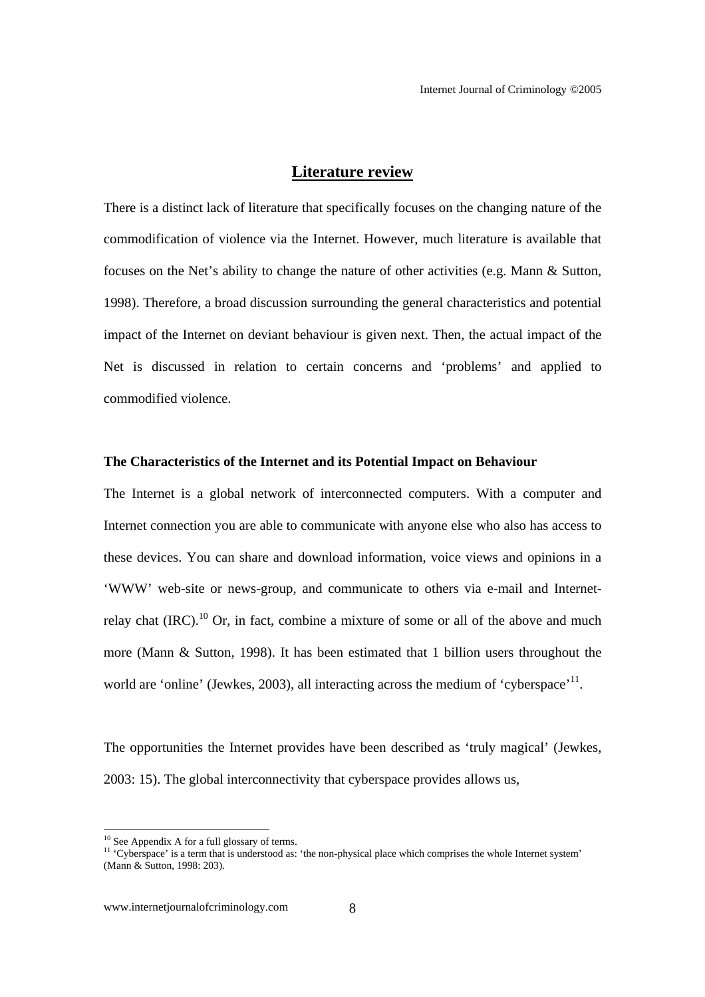#### **Literature review**

There is a distinct lack of literature that specifically focuses on the changing nature of the commodification of violence via the Internet. However, much literature is available that focuses on the Net's ability to change the nature of other activities (e.g. Mann & Sutton, 1998). Therefore, a broad discussion surrounding the general characteristics and potential impact of the Internet on deviant behaviour is given next. Then, the actual impact of the Net is discussed in relation to certain concerns and 'problems' and applied to commodified violence.

#### **The Characteristics of the Internet and its Potential Impact on Behaviour**

The Internet is a global network of interconnected computers. With a computer and Internet connection you are able to communicate with anyone else who also has access to these devices. You can share and download information, voice views and opinions in a 'WWW' web-site or news-group, and communicate to others via e-mail and Internetrelay chat  $(IRC)$ .<sup>10</sup> Or, in fact, combine a mixture of some or all of the above and much more (Mann & Sutton, 1998). It has been estimated that 1 billion users throughout the world are 'online' (Jewkes, 2003), all interacting across the medium of 'cyberspace'<sup>11</sup>.

The opportunities the Internet provides have been described as 'truly magical' (Jewkes, 2003: 15). The global interconnectivity that cyberspace provides allows us,

 $10$  See Appendix A for a full glossary of terms.

<sup>&</sup>lt;sup>11</sup> 'Cyberspace' is a term that is understood as: 'the non-physical place which comprises the whole Internet system' (Mann & Sutton, 1998: 203).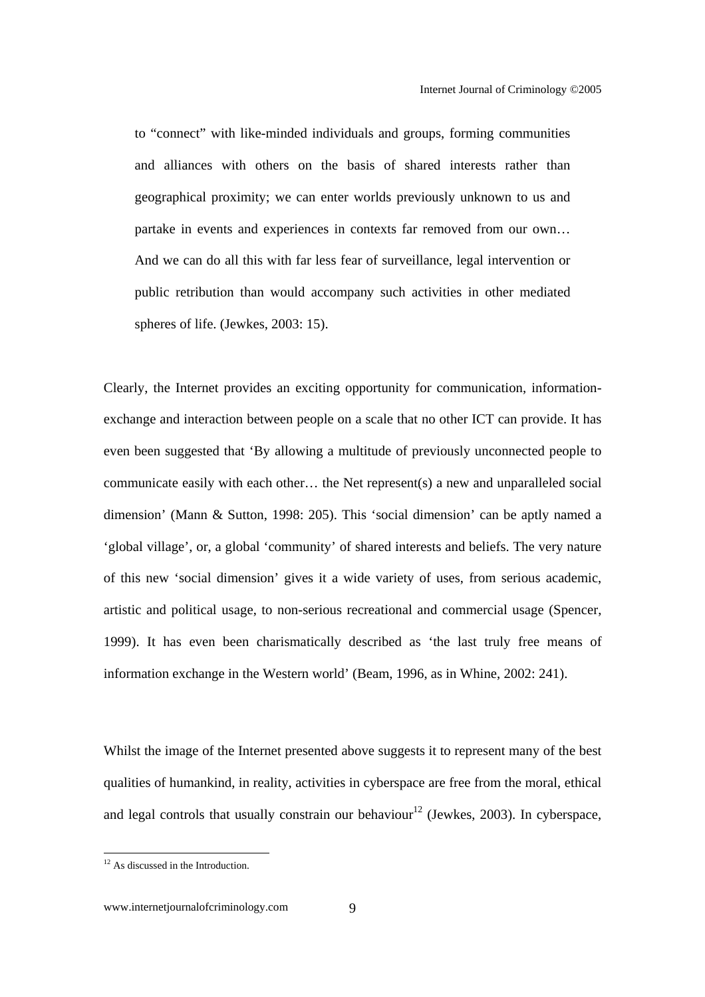to "connect" with like-minded individuals and groups, forming communities and alliances with others on the basis of shared interests rather than geographical proximity; we can enter worlds previously unknown to us and partake in events and experiences in contexts far removed from our own… And we can do all this with far less fear of surveillance, legal intervention or public retribution than would accompany such activities in other mediated spheres of life. (Jewkes, 2003: 15).

Clearly, the Internet provides an exciting opportunity for communication, informationexchange and interaction between people on a scale that no other ICT can provide. It has even been suggested that 'By allowing a multitude of previously unconnected people to communicate easily with each other… the Net represent(s) a new and unparalleled social dimension' (Mann & Sutton, 1998: 205). This 'social dimension' can be aptly named a 'global village', or, a global 'community' of shared interests and beliefs. The very nature of this new 'social dimension' gives it a wide variety of uses, from serious academic, artistic and political usage, to non-serious recreational and commercial usage (Spencer, 1999). It has even been charismatically described as 'the last truly free means of information exchange in the Western world' (Beam, 1996, as in Whine, 2002: 241).

Whilst the image of the Internet presented above suggests it to represent many of the best qualities of humankind, in reality, activities in cyberspace are free from the moral, ethical and legal controls that usually constrain our behaviour<sup>12</sup> (Jewkes, 2003). In cyberspace,

 $12$  As discussed in the Introduction.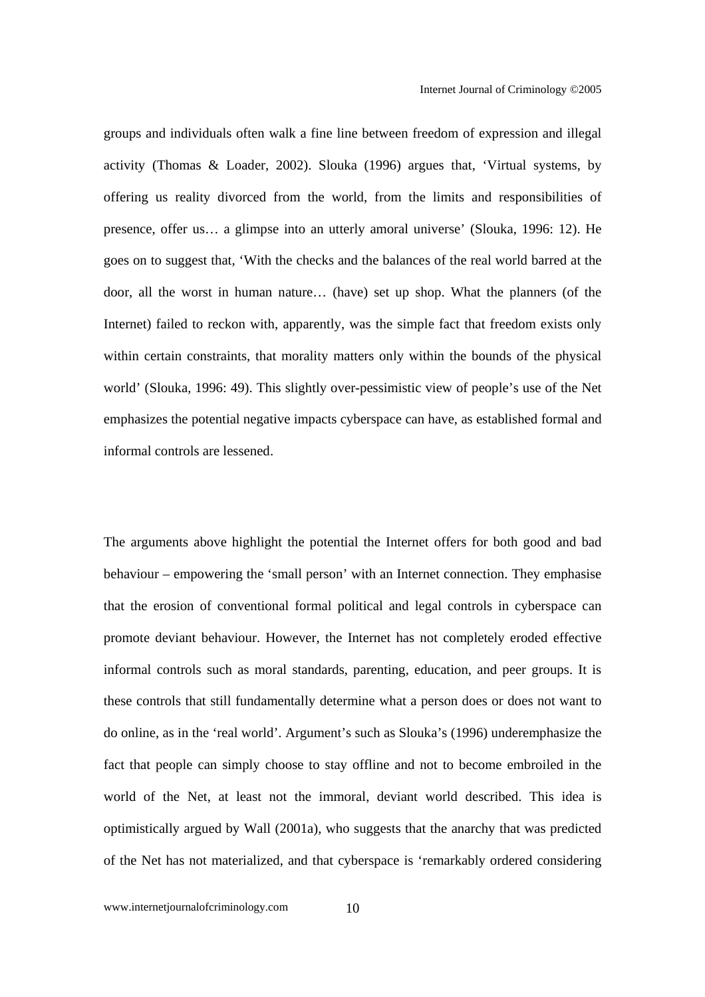groups and individuals often walk a fine line between freedom of expression and illegal activity (Thomas & Loader, 2002). Slouka (1996) argues that, 'Virtual systems, by offering us reality divorced from the world, from the limits and responsibilities of presence, offer us… a glimpse into an utterly amoral universe' (Slouka, 1996: 12). He goes on to suggest that, 'With the checks and the balances of the real world barred at the door, all the worst in human nature… (have) set up shop. What the planners (of the Internet) failed to reckon with, apparently, was the simple fact that freedom exists only within certain constraints, that morality matters only within the bounds of the physical world' (Slouka, 1996: 49). This slightly over-pessimistic view of people's use of the Net emphasizes the potential negative impacts cyberspace can have, as established formal and informal controls are lessened.

The arguments above highlight the potential the Internet offers for both good and bad behaviour – empowering the 'small person' with an Internet connection. They emphasise that the erosion of conventional formal political and legal controls in cyberspace can promote deviant behaviour. However, the Internet has not completely eroded effective informal controls such as moral standards, parenting, education, and peer groups. It is these controls that still fundamentally determine what a person does or does not want to do online, as in the 'real world'. Argument's such as Slouka's (1996) underemphasize the fact that people can simply choose to stay offline and not to become embroiled in the world of the Net, at least not the immoral, deviant world described. This idea is optimistically argued by Wall (2001a), who suggests that the anarchy that was predicted of the Net has not materialized, and that cyberspace is 'remarkably ordered considering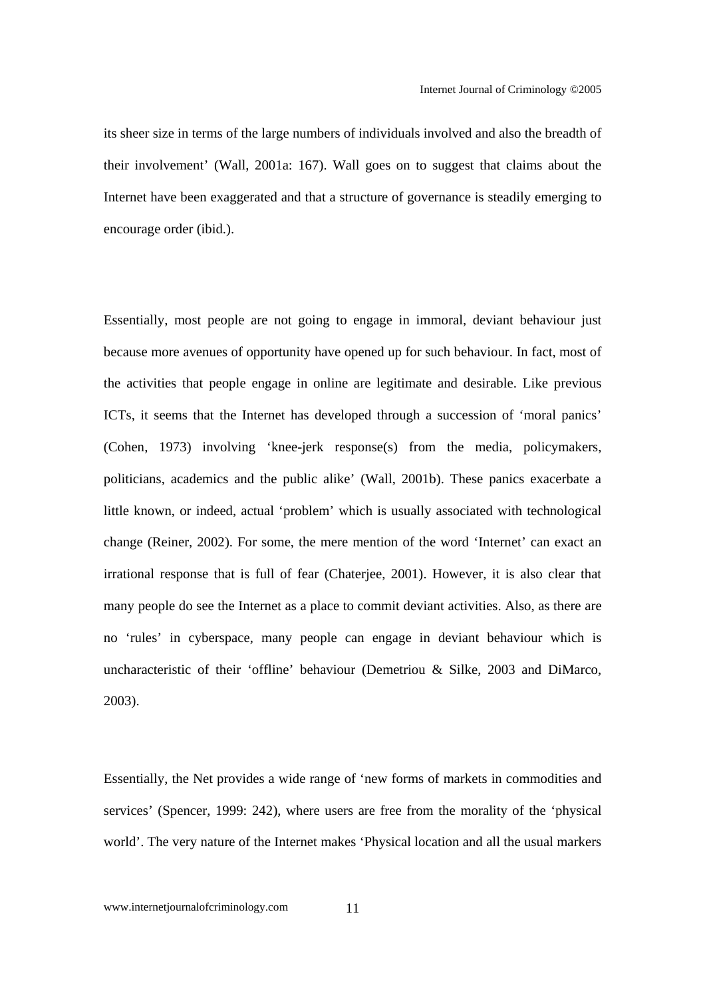its sheer size in terms of the large numbers of individuals involved and also the breadth of their involvement' (Wall, 2001a: 167). Wall goes on to suggest that claims about the Internet have been exaggerated and that a structure of governance is steadily emerging to encourage order (ibid.).

Essentially, most people are not going to engage in immoral, deviant behaviour just because more avenues of opportunity have opened up for such behaviour. In fact, most of the activities that people engage in online are legitimate and desirable. Like previous ICTs, it seems that the Internet has developed through a succession of 'moral panics' (Cohen, 1973) involving 'knee-jerk response(s) from the media, policymakers, politicians, academics and the public alike' (Wall, 2001b). These panics exacerbate a little known, or indeed, actual 'problem' which is usually associated with technological change (Reiner, 2002). For some, the mere mention of the word 'Internet' can exact an irrational response that is full of fear (Chaterjee, 2001). However, it is also clear that many people do see the Internet as a place to commit deviant activities. Also, as there are no 'rules' in cyberspace, many people can engage in deviant behaviour which is uncharacteristic of their 'offline' behaviour (Demetriou & Silke, 2003 and DiMarco, 2003).

Essentially, the Net provides a wide range of 'new forms of markets in commodities and services' (Spencer, 1999: 242), where users are free from the morality of the 'physical world'. The very nature of the Internet makes 'Physical location and all the usual markers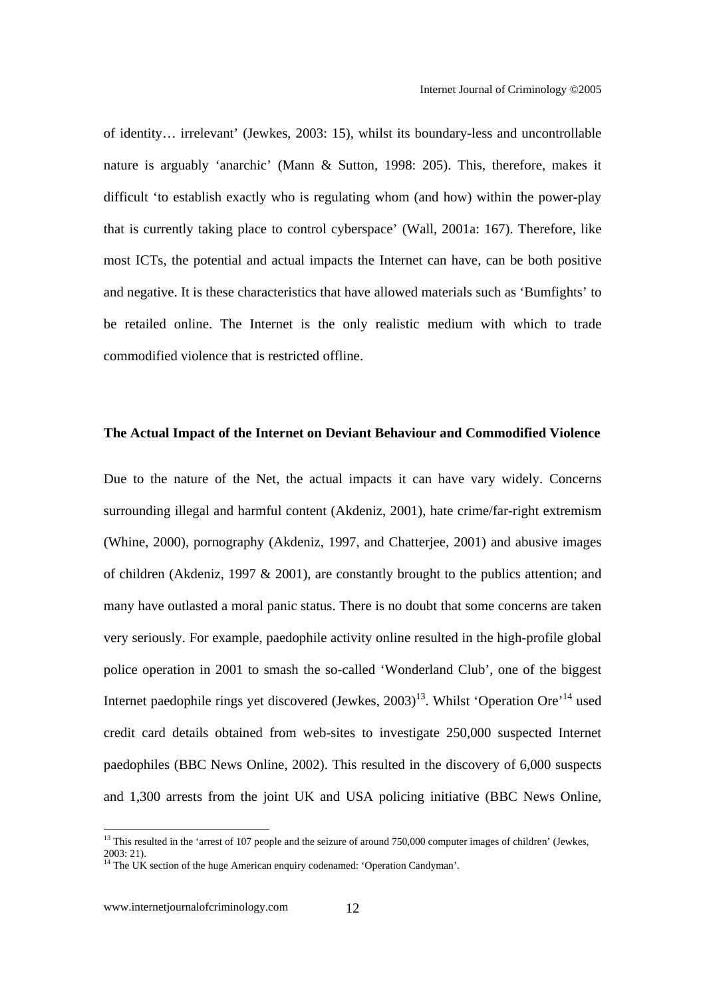of identity… irrelevant' (Jewkes, 2003: 15), whilst its boundary-less and uncontrollable nature is arguably 'anarchic' (Mann & Sutton, 1998: 205). This, therefore, makes it difficult 'to establish exactly who is regulating whom (and how) within the power-play that is currently taking place to control cyberspace' (Wall, 2001a: 167). Therefore, like most ICTs, the potential and actual impacts the Internet can have, can be both positive and negative. It is these characteristics that have allowed materials such as 'Bumfights' to be retailed online. The Internet is the only realistic medium with which to trade commodified violence that is restricted offline.

#### **The Actual Impact of the Internet on Deviant Behaviour and Commodified Violence**

Due to the nature of the Net, the actual impacts it can have vary widely. Concerns surrounding illegal and harmful content (Akdeniz, 2001), hate crime/far-right extremism (Whine, 2000), pornography (Akdeniz, 1997, and Chatterjee, 2001) and abusive images of children (Akdeniz, 1997  $\&$  2001), are constantly brought to the publics attention; and many have outlasted a moral panic status. There is no doubt that some concerns are taken very seriously. For example, paedophile activity online resulted in the high-profile global police operation in 2001 to smash the so-called 'Wonderland Club', one of the biggest Internet paedophile rings yet discovered (Jewkes,  $2003$ )<sup>13</sup>. Whilst 'Operation Ore<sup> $14$ </sup> used credit card details obtained from web-sites to investigate 250,000 suspected Internet paedophiles (BBC News Online, 2002). This resulted in the discovery of 6,000 suspects and 1,300 arrests from the joint UK and USA policing initiative (BBC News Online,

 $13$  This resulted in the 'arrest of 107 people and the seizure of around 750,000 computer images of children' (Jewkes, 2003: 21).

<sup>&</sup>lt;sup>14</sup> The UK section of the huge American enquiry codenamed: 'Operation Candyman'.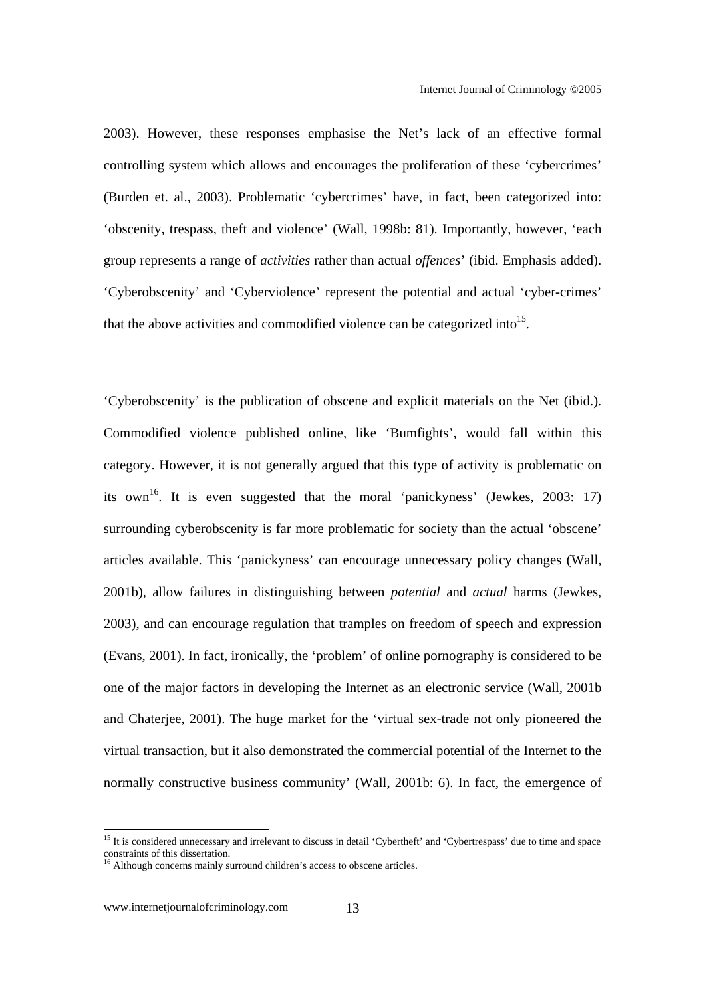2003). However, these responses emphasise the Net's lack of an effective formal controlling system which allows and encourages the proliferation of these 'cybercrimes' (Burden et. al., 2003). Problematic 'cybercrimes' have, in fact, been categorized into: 'obscenity, trespass, theft and violence' (Wall, 1998b: 81). Importantly, however, 'each group represents a range of *activities* rather than actual *offences*' (ibid. Emphasis added). 'Cyberobscenity' and 'Cyberviolence' represent the potential and actual 'cyber-crimes' that the above activities and commodified violence can be categorized into<sup>15</sup>.

'Cyberobscenity' is the publication of obscene and explicit materials on the Net (ibid.). Commodified violence published online, like 'Bumfights', would fall within this category. However, it is not generally argued that this type of activity is problematic on its own<sup>16</sup>. It is even suggested that the moral 'panickyness' (Jewkes, 2003: 17) surrounding cyberobscenity is far more problematic for society than the actual 'obscene' articles available. This 'panickyness' can encourage unnecessary policy changes (Wall, 2001b), allow failures in distinguishing between *potential* and *actual* harms (Jewkes, 2003), and can encourage regulation that tramples on freedom of speech and expression (Evans, 2001). In fact, ironically, the 'problem' of online pornography is considered to be one of the major factors in developing the Internet as an electronic service (Wall, 2001b and Chaterjee, 2001). The huge market for the 'virtual sex-trade not only pioneered the virtual transaction, but it also demonstrated the commercial potential of the Internet to the normally constructive business community' (Wall, 2001b: 6). In fact, the emergence of

<sup>&</sup>lt;sup>15</sup> It is considered unnecessary and irrelevant to discuss in detail 'Cybertheft' and 'Cybertrespass' due to time and space constraints of this dissertation.

<sup>&</sup>lt;sup>16</sup> Although concerns mainly surround children's access to obscene articles.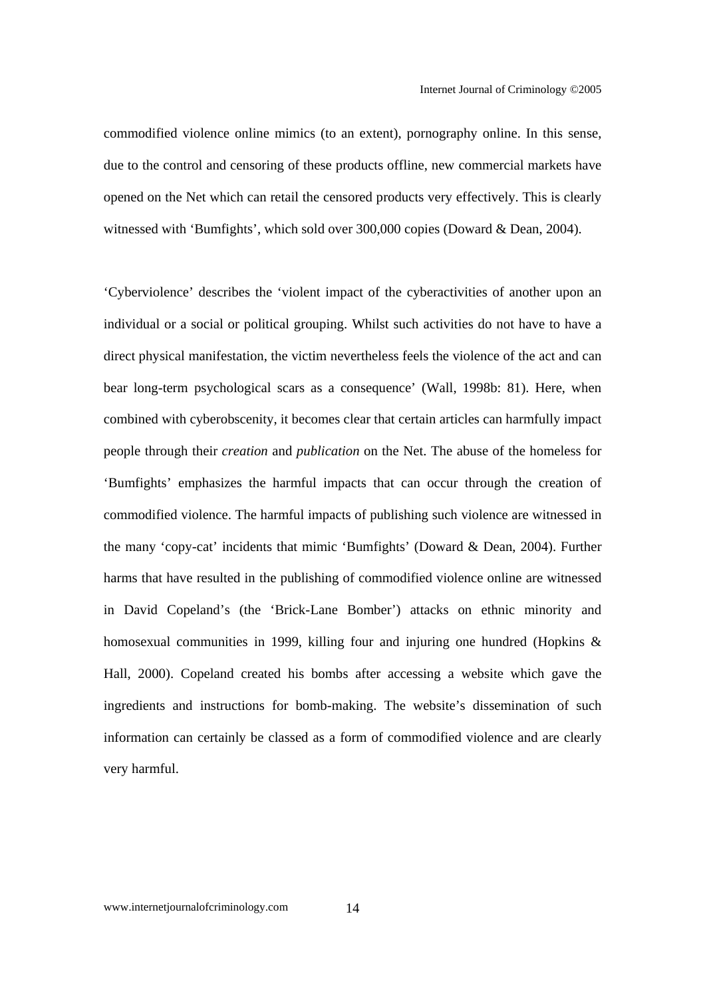commodified violence online mimics (to an extent), pornography online. In this sense, due to the control and censoring of these products offline, new commercial markets have opened on the Net which can retail the censored products very effectively. This is clearly witnessed with 'Bumfights', which sold over 300,000 copies (Doward & Dean, 2004).

'Cyberviolence' describes the 'violent impact of the cyberactivities of another upon an individual or a social or political grouping. Whilst such activities do not have to have a direct physical manifestation, the victim nevertheless feels the violence of the act and can bear long-term psychological scars as a consequence' (Wall, 1998b: 81). Here, when combined with cyberobscenity, it becomes clear that certain articles can harmfully impact people through their *creation* and *publication* on the Net. The abuse of the homeless for 'Bumfights' emphasizes the harmful impacts that can occur through the creation of commodified violence. The harmful impacts of publishing such violence are witnessed in the many 'copy-cat' incidents that mimic 'Bumfights' (Doward & Dean, 2004). Further harms that have resulted in the publishing of commodified violence online are witnessed in David Copeland's (the 'Brick-Lane Bomber') attacks on ethnic minority and homosexual communities in 1999, killing four and injuring one hundred (Hopkins & Hall, 2000). Copeland created his bombs after accessing a website which gave the ingredients and instructions for bomb-making. The website's dissemination of such information can certainly be classed as a form of commodified violence and are clearly very harmful.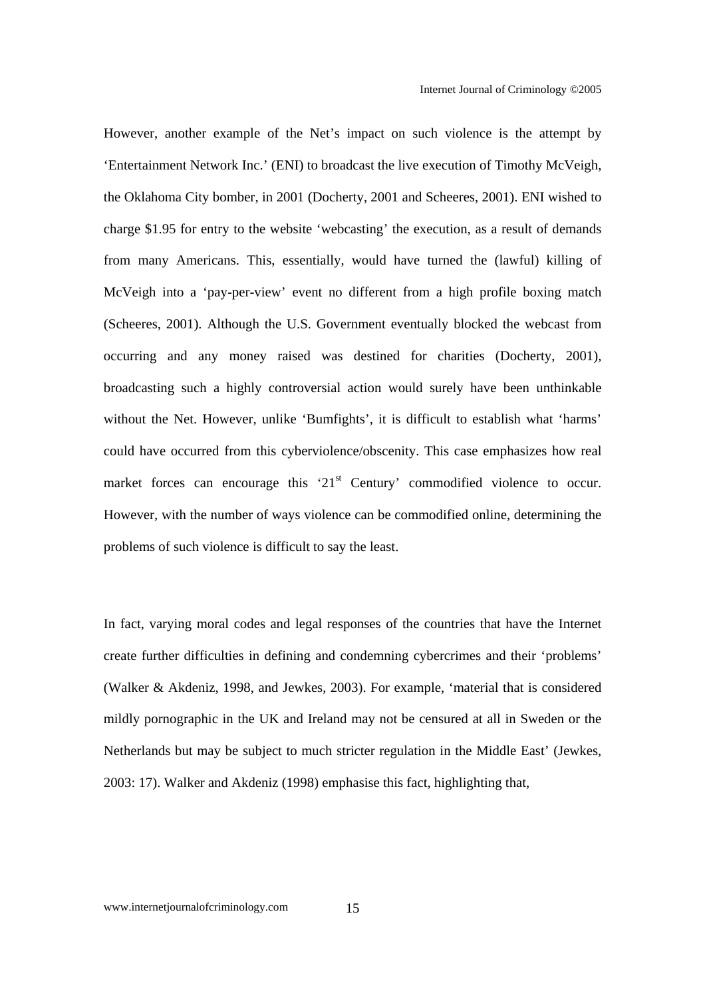However, another example of the Net's impact on such violence is the attempt by 'Entertainment Network Inc.' (ENI) to broadcast the live execution of Timothy McVeigh, the Oklahoma City bomber, in 2001 (Docherty, 2001 and Scheeres, 2001). ENI wished to charge \$1.95 for entry to the website 'webcasting' the execution, as a result of demands from many Americans. This, essentially, would have turned the (lawful) killing of McVeigh into a 'pay-per-view' event no different from a high profile boxing match (Scheeres, 2001). Although the U.S. Government eventually blocked the webcast from occurring and any money raised was destined for charities (Docherty, 2001), broadcasting such a highly controversial action would surely have been unthinkable without the Net. However, unlike 'Bumfights', it is difficult to establish what 'harms' could have occurred from this cyberviolence/obscenity. This case emphasizes how real market forces can encourage this  $21<sup>st</sup>$  Century' commodified violence to occur. However, with the number of ways violence can be commodified online, determining the problems of such violence is difficult to say the least.

In fact, varying moral codes and legal responses of the countries that have the Internet create further difficulties in defining and condemning cybercrimes and their 'problems' (Walker & Akdeniz, 1998, and Jewkes, 2003). For example, 'material that is considered mildly pornographic in the UK and Ireland may not be censured at all in Sweden or the Netherlands but may be subject to much stricter regulation in the Middle East' (Jewkes, 2003: 17). Walker and Akdeniz (1998) emphasise this fact, highlighting that,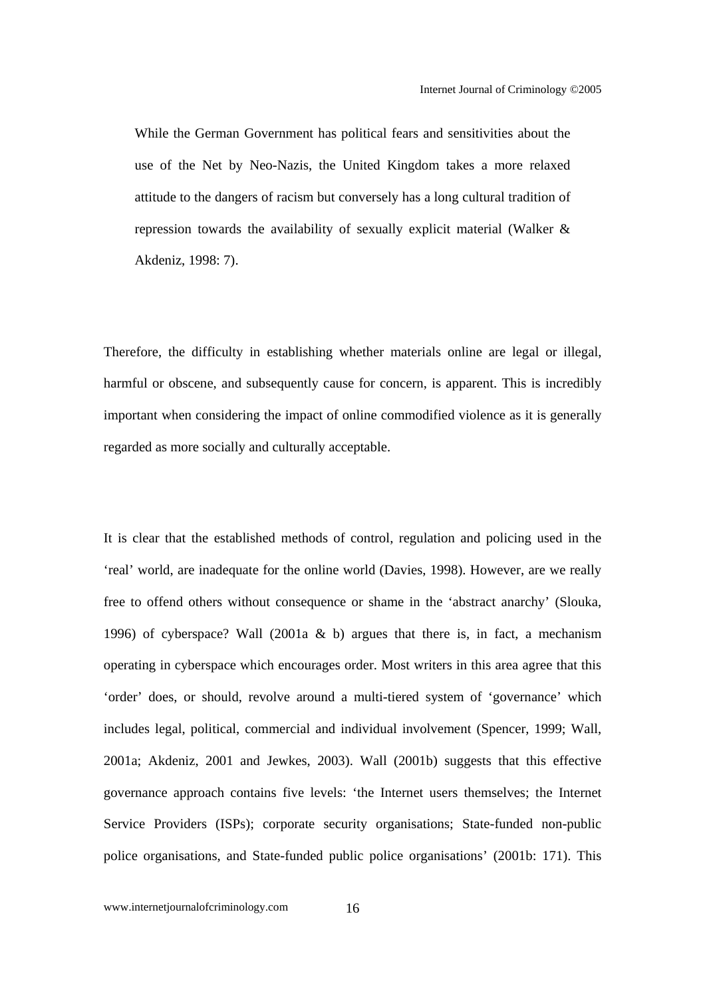While the German Government has political fears and sensitivities about the use of the Net by Neo-Nazis, the United Kingdom takes a more relaxed attitude to the dangers of racism but conversely has a long cultural tradition of repression towards the availability of sexually explicit material (Walker & Akdeniz, 1998: 7).

Therefore, the difficulty in establishing whether materials online are legal or illegal, harmful or obscene, and subsequently cause for concern, is apparent. This is incredibly important when considering the impact of online commodified violence as it is generally regarded as more socially and culturally acceptable.

It is clear that the established methods of control, regulation and policing used in the 'real' world, are inadequate for the online world (Davies, 1998). However, are we really free to offend others without consequence or shame in the 'abstract anarchy' (Slouka, 1996) of cyberspace? Wall (2001a & b) argues that there is, in fact, a mechanism operating in cyberspace which encourages order. Most writers in this area agree that this 'order' does, or should, revolve around a multi-tiered system of 'governance' which includes legal, political, commercial and individual involvement (Spencer, 1999; Wall, 2001a; Akdeniz, 2001 and Jewkes, 2003). Wall (2001b) suggests that this effective governance approach contains five levels: 'the Internet users themselves; the Internet Service Providers (ISPs); corporate security organisations; State-funded non-public police organisations, and State-funded public police organisations' (2001b: 171). This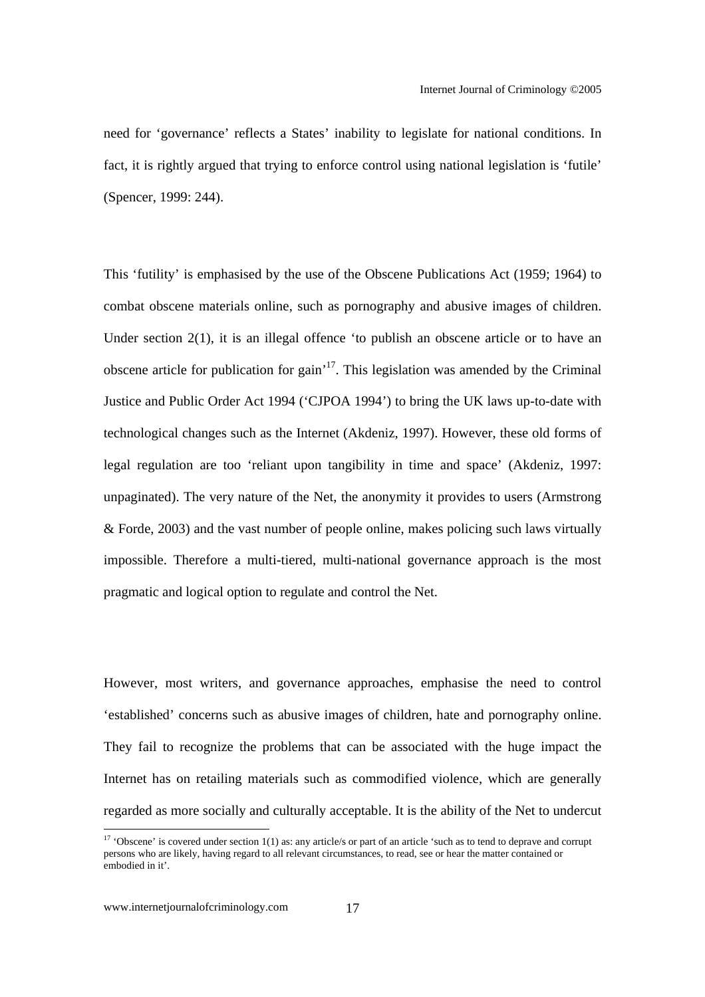need for 'governance' reflects a States' inability to legislate for national conditions. In fact, it is rightly argued that trying to enforce control using national legislation is 'futile' (Spencer, 1999: 244).

This 'futility' is emphasised by the use of the Obscene Publications Act (1959; 1964) to combat obscene materials online, such as pornography and abusive images of children. Under section 2(1), it is an illegal offence 'to publish an obscene article or to have an obscene article for publication for gain<sup> $17$ </sup>. This legislation was amended by the Criminal Justice and Public Order Act 1994 ('CJPOA 1994') to bring the UK laws up-to-date with technological changes such as the Internet (Akdeniz, 1997). However, these old forms of legal regulation are too 'reliant upon tangibility in time and space' (Akdeniz, 1997: unpaginated). The very nature of the Net, the anonymity it provides to users (Armstrong & Forde, 2003) and the vast number of people online, makes policing such laws virtually impossible. Therefore a multi-tiered, multi-national governance approach is the most pragmatic and logical option to regulate and control the Net.

However, most writers, and governance approaches, emphasise the need to control 'established' concerns such as abusive images of children, hate and pornography online. They fail to recognize the problems that can be associated with the huge impact the Internet has on retailing materials such as commodified violence, which are generally regarded as more socially and culturally acceptable. It is the ability of the Net to undercut

<sup>&</sup>lt;sup>17</sup> 'Obscene' is covered under section 1(1) as: any article/s or part of an article 'such as to tend to deprave and corrupt persons who are likely, having regard to all relevant circumstances, to read, see or hear the matter contained or embodied in it'.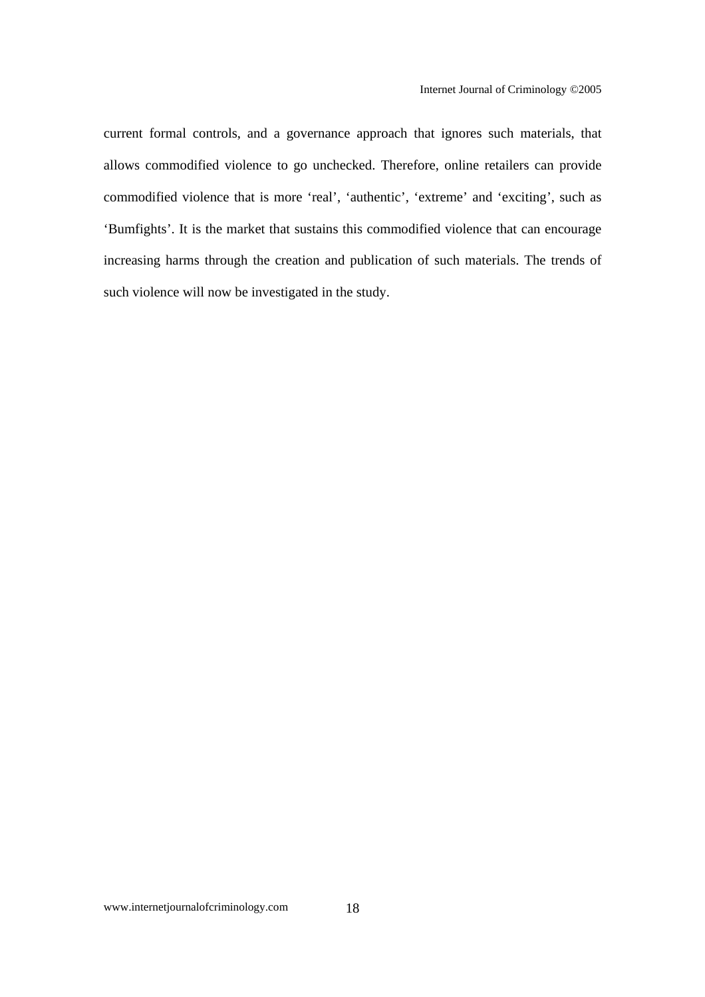current formal controls, and a governance approach that ignores such materials, that allows commodified violence to go unchecked. Therefore, online retailers can provide commodified violence that is more 'real', 'authentic', 'extreme' and 'exciting', such as 'Bumfights'. It is the market that sustains this commodified violence that can encourage increasing harms through the creation and publication of such materials. The trends of such violence will now be investigated in the study.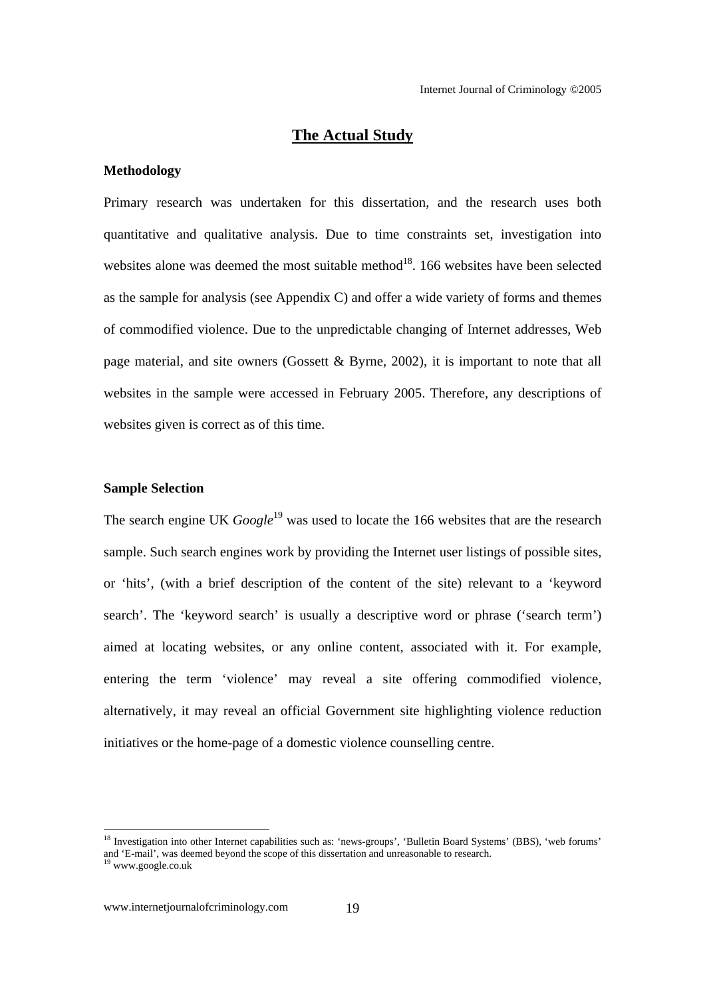#### **The Actual Study**

#### **Methodology**

Primary research was undertaken for this dissertation, and the research uses both quantitative and qualitative analysis. Due to time constraints set, investigation into websites alone was deemed the most suitable method $^{18}$ . 166 websites have been selected as the sample for analysis (see Appendix C) and offer a wide variety of forms and themes of commodified violence. Due to the unpredictable changing of Internet addresses, Web page material, and site owners (Gossett & Byrne, 2002), it is important to note that all websites in the sample were accessed in February 2005. Therefore, any descriptions of websites given is correct as of this time.

#### **Sample Selection**

The search engine UK *Google*<sup>19</sup> was used to locate the 166 websites that are the research sample. Such search engines work by providing the Internet user listings of possible sites, or 'hits', (with a brief description of the content of the site) relevant to a 'keyword search'. The 'keyword search' is usually a descriptive word or phrase ('search term') aimed at locating websites, or any online content, associated with it. For example, entering the term 'violence' may reveal a site offering commodified violence, alternatively, it may reveal an official Government site highlighting violence reduction initiatives or the home-page of a domestic violence counselling centre.

<sup>&</sup>lt;sup>18</sup> Investigation into other Internet capabilities such as: 'news-groups', 'Bulletin Board Systems' (BBS), 'web forums' and 'E-mail', was deemed beyond the scope of this dissertation and unreasonable to research. 19 www.google.co.uk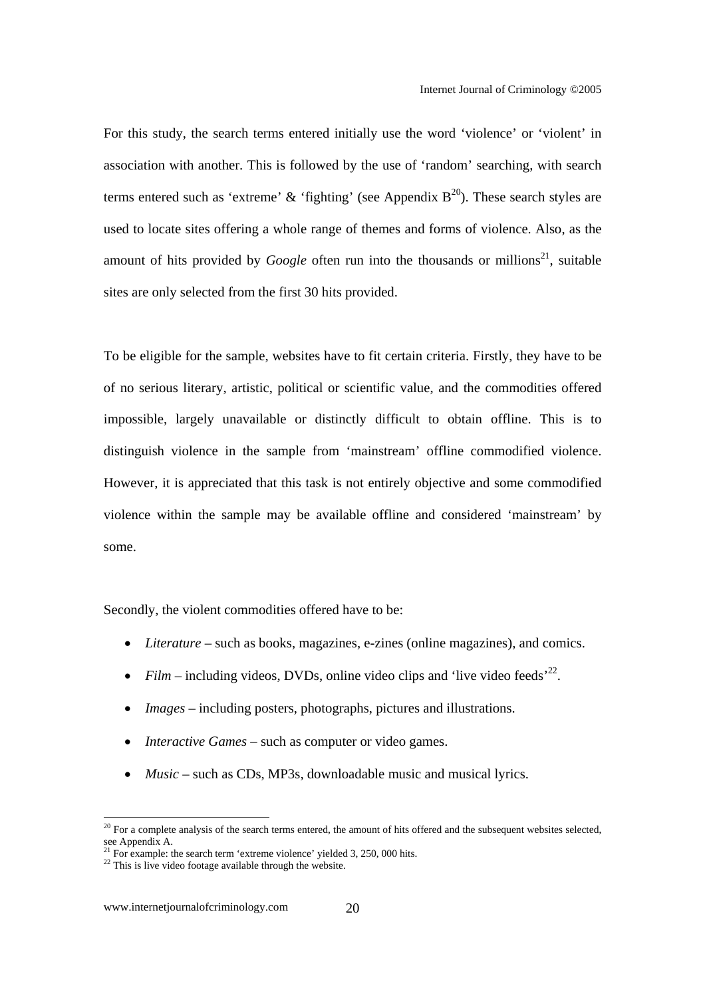For this study, the search terms entered initially use the word 'violence' or 'violent' in association with another. This is followed by the use of 'random' searching, with search terms entered such as 'extreme' & 'fighting' (see Appendix  $B^{20}$ ). These search styles are used to locate sites offering a whole range of themes and forms of violence. Also, as the amount of hits provided by *Google* often run into the thousands or millions<sup>21</sup>, suitable sites are only selected from the first 30 hits provided.

To be eligible for the sample, websites have to fit certain criteria. Firstly, they have to be of no serious literary, artistic, political or scientific value, and the commodities offered impossible, largely unavailable or distinctly difficult to obtain offline. This is to distinguish violence in the sample from 'mainstream' offline commodified violence. However, it is appreciated that this task is not entirely objective and some commodified violence within the sample may be available offline and considered 'mainstream' by some.

Secondly, the violent commodities offered have to be:

- *Literature* such as books, magazines, e-zines (online magazines), and comics.
- *Film* including videos, DVDs, online video clips and 'live video feeds'<sup>22</sup>.
- *Images* including posters, photographs, pictures and illustrations.
- *Interactive Games* such as computer or video games.
- *Music* such as CDs, MP3s, downloadable music and musical lyrics.

 $20$  For a complete analysis of the search terms entered, the amount of hits offered and the subsequent websites selected, see Appendix A.

 $^{21}$  For example: the search term 'extreme violence' yielded 3, 250, 000 hits.

 $22$  This is live video footage available through the website.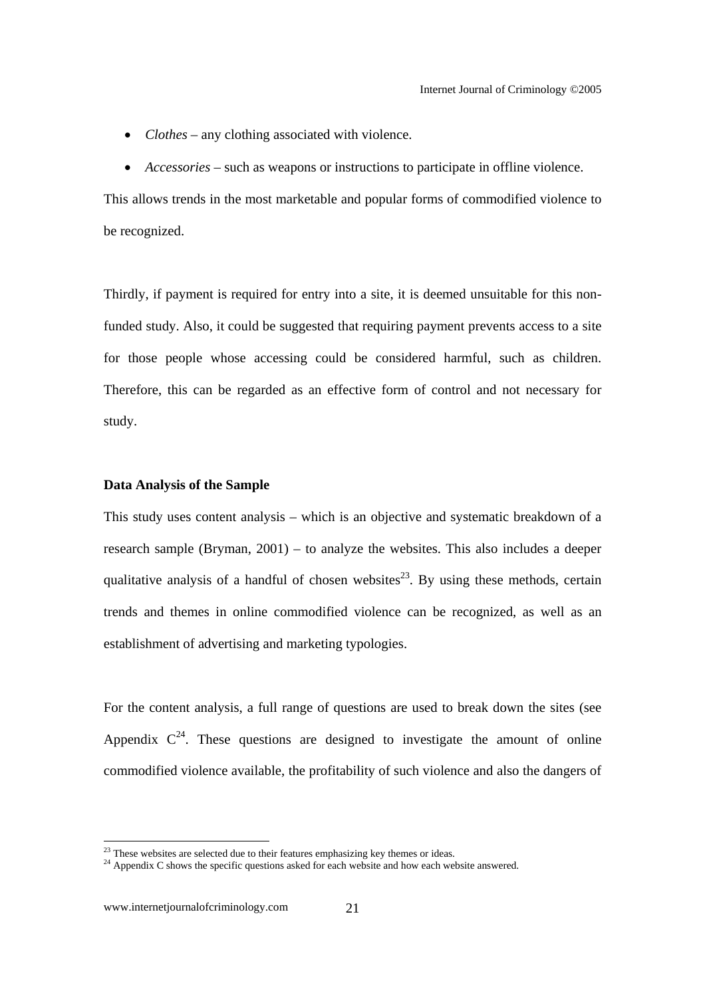- *Clothes* any clothing associated with violence.
- *Accessories* such as weapons or instructions to participate in offline violence.

This allows trends in the most marketable and popular forms of commodified violence to be recognized.

Thirdly, if payment is required for entry into a site, it is deemed unsuitable for this nonfunded study. Also, it could be suggested that requiring payment prevents access to a site for those people whose accessing could be considered harmful, such as children. Therefore, this can be regarded as an effective form of control and not necessary for study.

#### **Data Analysis of the Sample**

This study uses content analysis – which is an objective and systematic breakdown of a research sample (Bryman, 2001) – to analyze the websites. This also includes a deeper qualitative analysis of a handful of chosen websites<sup>23</sup>. By using these methods, certain trends and themes in online commodified violence can be recognized, as well as an establishment of advertising and marketing typologies.

For the content analysis, a full range of questions are used to break down the sites (see Appendix  $C^{24}$ . These questions are designed to investigate the amount of online commodified violence available, the profitability of such violence and also the dangers of

 $2<sup>23</sup>$  These websites are selected due to their features emphasizing key themes or ideas.

<sup>&</sup>lt;sup>24</sup> Appendix C shows the specific questions asked for each website and how each website answered.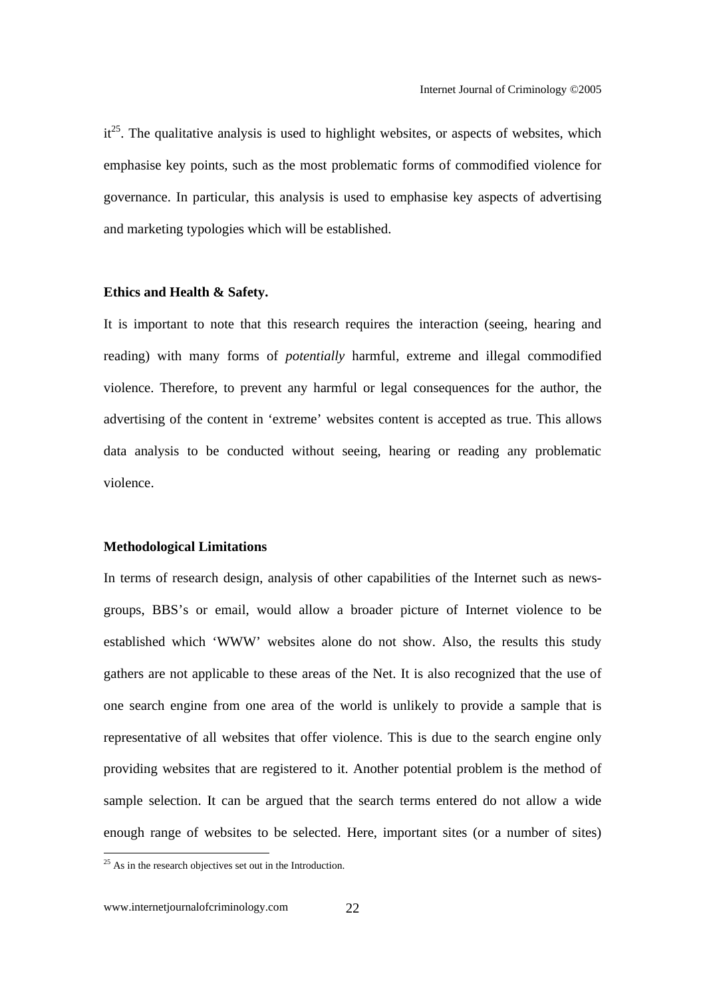$it^{25}$ . The qualitative analysis is used to highlight websites, or aspects of websites, which emphasise key points, such as the most problematic forms of commodified violence for governance. In particular, this analysis is used to emphasise key aspects of advertising and marketing typologies which will be established.

#### **Ethics and Health & Safety.**

It is important to note that this research requires the interaction (seeing, hearing and reading) with many forms of *potentially* harmful, extreme and illegal commodified violence. Therefore, to prevent any harmful or legal consequences for the author, the advertising of the content in 'extreme' websites content is accepted as true. This allows data analysis to be conducted without seeing, hearing or reading any problematic violence.

#### **Methodological Limitations**

In terms of research design, analysis of other capabilities of the Internet such as newsgroups, BBS's or email, would allow a broader picture of Internet violence to be established which 'WWW' websites alone do not show. Also, the results this study gathers are not applicable to these areas of the Net. It is also recognized that the use of one search engine from one area of the world is unlikely to provide a sample that is representative of all websites that offer violence. This is due to the search engine only providing websites that are registered to it. Another potential problem is the method of sample selection. It can be argued that the search terms entered do not allow a wide enough range of websites to be selected. Here, important sites (or a number of sites)

 $^{25}$  As in the research objectives set out in the Introduction.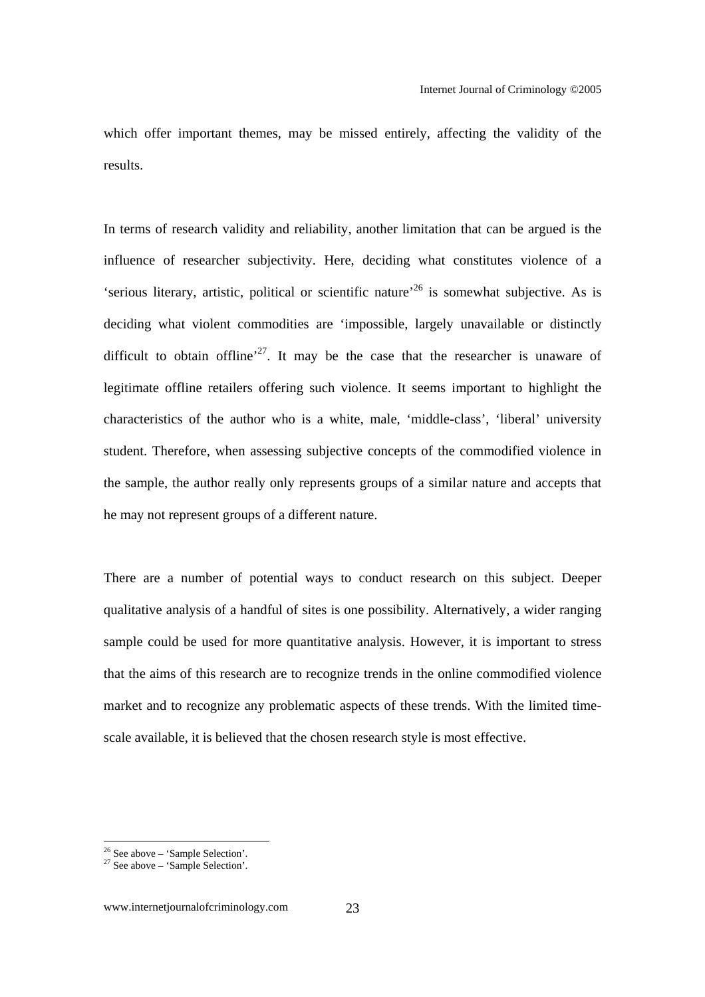which offer important themes, may be missed entirely, affecting the validity of the results.

In terms of research validity and reliability, another limitation that can be argued is the influence of researcher subjectivity. Here, deciding what constitutes violence of a 'serious literary, artistic, political or scientific nature'<sup>26</sup> is somewhat subjective. As is deciding what violent commodities are 'impossible, largely unavailable or distinctly difficult to obtain offline<sup> $27$ </sup>. It may be the case that the researcher is unaware of legitimate offline retailers offering such violence. It seems important to highlight the characteristics of the author who is a white, male, 'middle-class', 'liberal' university student. Therefore, when assessing subjective concepts of the commodified violence in the sample, the author really only represents groups of a similar nature and accepts that he may not represent groups of a different nature.

There are a number of potential ways to conduct research on this subject. Deeper qualitative analysis of a handful of sites is one possibility. Alternatively, a wider ranging sample could be used for more quantitative analysis. However, it is important to stress that the aims of this research are to recognize trends in the online commodified violence market and to recognize any problematic aspects of these trends. With the limited timescale available, it is believed that the chosen research style is most effective.

 $26$  See above – 'Sample Selection'.

 $27$  See above – 'Sample Selection'.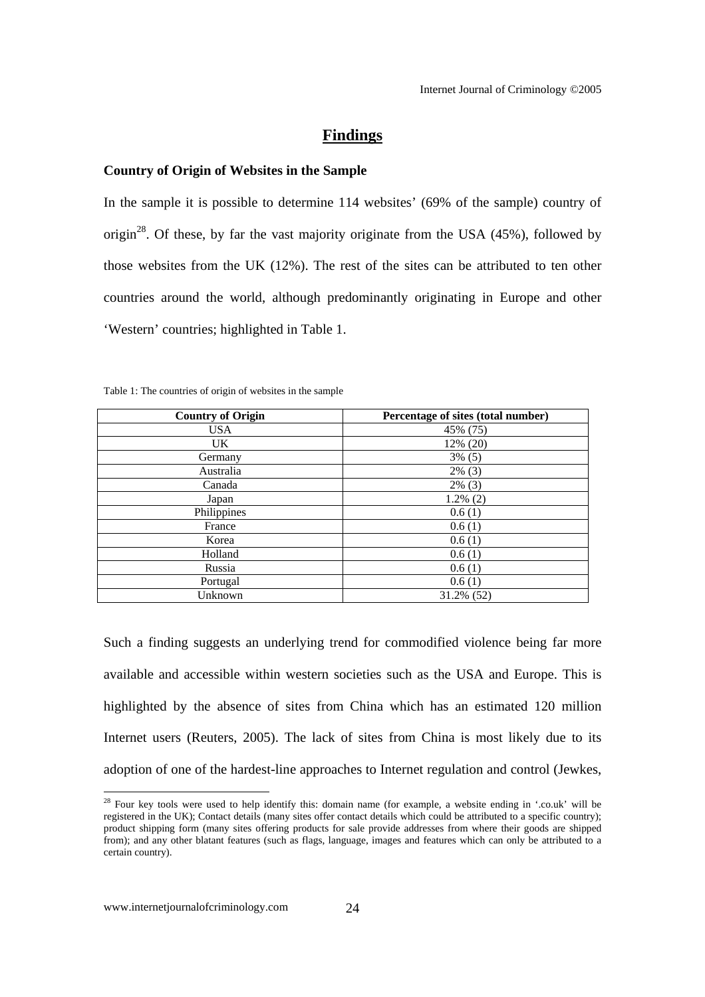#### **Findings**

#### **Country of Origin of Websites in the Sample**

In the sample it is possible to determine 114 websites' (69% of the sample) country of origin<sup>28</sup>. Of these, by far the vast majority originate from the USA  $(45%)$ , followed by those websites from the UK (12%). The rest of the sites can be attributed to ten other countries around the world, although predominantly originating in Europe and other 'Western' countries; highlighted in Table 1.

| <b>Country of Origin</b> | Percentage of sites (total number) |
|--------------------------|------------------------------------|
| <b>USA</b>               | 45% (75)                           |
| UK.                      | 12% (20)                           |
| Germany                  | $3\%$ (5)                          |
| Australia                | $2\%$ (3)                          |
| Canada                   | $2\%$ (3)                          |
| Japan                    | $1.2\%$ (2)                        |
| Philippines              | 0.6(1)                             |
| France                   | 0.6(1)                             |
| Korea                    | 0.6(1)                             |
| Holland                  | 0.6(1)                             |
| Russia                   | 0.6(1)                             |
| Portugal                 | 0.6(1)                             |
| Unknown                  | 31.2% (52)                         |

Table 1: The countries of origin of websites in the sample

Such a finding suggests an underlying trend for commodified violence being far more available and accessible within western societies such as the USA and Europe. This is highlighted by the absence of sites from China which has an estimated 120 million Internet users (Reuters, 2005). The lack of sites from China is most likely due to its adoption of one of the hardest-line approaches to Internet regulation and control (Jewkes,

l

<sup>&</sup>lt;sup>28</sup> Four key tools were used to help identify this: domain name (for example, a website ending in '.co.uk' will be registered in the UK); Contact details (many sites offer contact details which could be attributed to a specific country); product shipping form (many sites offering products for sale provide addresses from where their goods are shipped from); and any other blatant features (such as flags, language, images and features which can only be attributed to a certain country).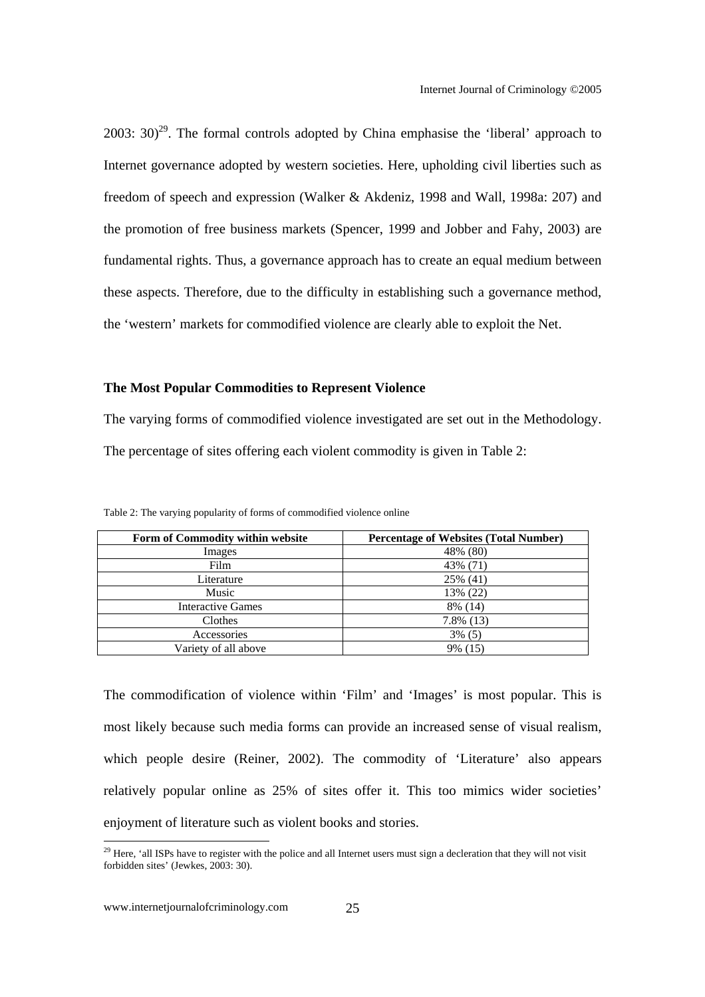$2003: 30<sup>29</sup>$ . The formal controls adopted by China emphasise the 'liberal' approach to Internet governance adopted by western societies. Here, upholding civil liberties such as freedom of speech and expression (Walker & Akdeniz, 1998 and Wall, 1998a: 207) and the promotion of free business markets (Spencer, 1999 and Jobber and Fahy, 2003) are fundamental rights. Thus, a governance approach has to create an equal medium between these aspects. Therefore, due to the difficulty in establishing such a governance method, the 'western' markets for commodified violence are clearly able to exploit the Net.

#### **The Most Popular Commodities to Represent Violence**

The varying forms of commodified violence investigated are set out in the Methodology. The percentage of sites offering each violent commodity is given in Table 2:

| Form of Commodity within website | <b>Percentage of Websites (Total Number)</b> |
|----------------------------------|----------------------------------------------|
| Images                           | 48% (80)                                     |
| Film                             | 43% (71)                                     |
| Literature                       | 25% (41)                                     |
| Music                            | 13% (22)                                     |
| <b>Interactive Games</b>         | 8% (14)                                      |
| Clothes                          | $7.8\%$ (13)                                 |
| Accessories                      | $3\%$ (5)                                    |
| Variety of all above             | 9% (15)                                      |

Table 2: The varying popularity of forms of commodified violence online

The commodification of violence within 'Film' and 'Images' is most popular. This is most likely because such media forms can provide an increased sense of visual realism, which people desire (Reiner, 2002). The commodity of 'Literature' also appears relatively popular online as 25% of sites offer it. This too mimics wider societies' enjoyment of literature such as violent books and stories.

<sup>&</sup>lt;sup>29</sup> Here, 'all ISPs have to register with the police and all Internet users must sign a decleration that they will not visit forbidden sites' (Jewkes, 2003: 30).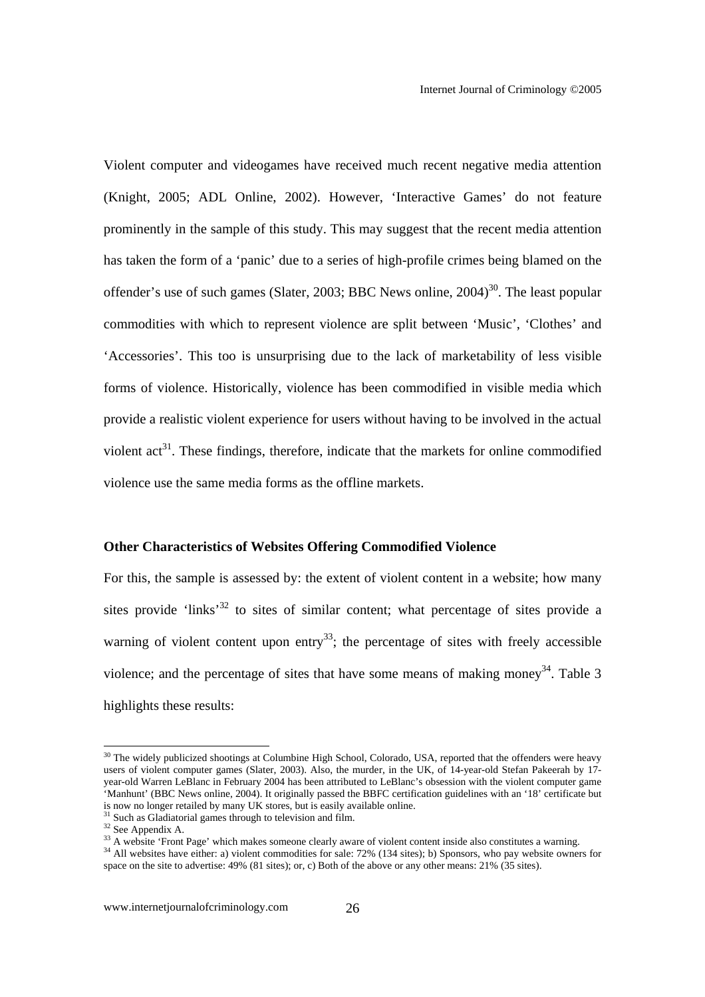Violent computer and videogames have received much recent negative media attention (Knight, 2005; ADL Online, 2002). However, 'Interactive Games' do not feature prominently in the sample of this study. This may suggest that the recent media attention has taken the form of a 'panic' due to a series of high-profile crimes being blamed on the offender's use of such games (Slater, 2003; BBC News online,  $2004$ )<sup>30</sup>. The least popular commodities with which to represent violence are split between 'Music', 'Clothes' and 'Accessories'. This too is unsurprising due to the lack of marketability of less visible forms of violence. Historically, violence has been commodified in visible media which provide a realistic violent experience for users without having to be involved in the actual violent  $\text{act}^{31}$ . These findings, therefore, indicate that the markets for online commodified violence use the same media forms as the offline markets.

#### **Other Characteristics of Websites Offering Commodified Violence**

For this, the sample is assessed by: the extent of violent content in a website; how many sites provide 'links'<sup>32</sup> to sites of similar content; what percentage of sites provide a warning of violent content upon entry<sup>33</sup>; the percentage of sites with freely accessible violence; and the percentage of sites that have some means of making money<sup>34</sup>. Table 3 highlights these results:

 $30$  The widely publicized shootings at Columbine High School, Colorado, USA, reported that the offenders were heavy users of violent computer games (Slater, 2003). Also, the murder, in the UK, of 14-year-old Stefan Pakeerah by 17 year-old Warren LeBlanc in February 2004 has been attributed to LeBlanc's obsession with the violent computer game 'Manhunt' (BBC News online, 2004). It originally passed the BBFC certification guidelines with an '18' certificate but Is now no longer retailed by many UK stores, but is easily available online.<br><sup>31</sup> Such as Gladiatorial games through to television and film.

 $\frac{32}{32}$  See Appendix A.<br> $\frac{32}{33}$  A website 'Front Page' which makes someone clearly aware of violent content inside also constitutes a warning.

<sup>&</sup>lt;sup>34</sup> All websites have either: a) violent commodities for sale: 72% (134 sites); b) Sponsors, who pay website owners for space on the site to advertise: 49% (81 sites); or, c) Both of the above or any other means: 21% (35 sites).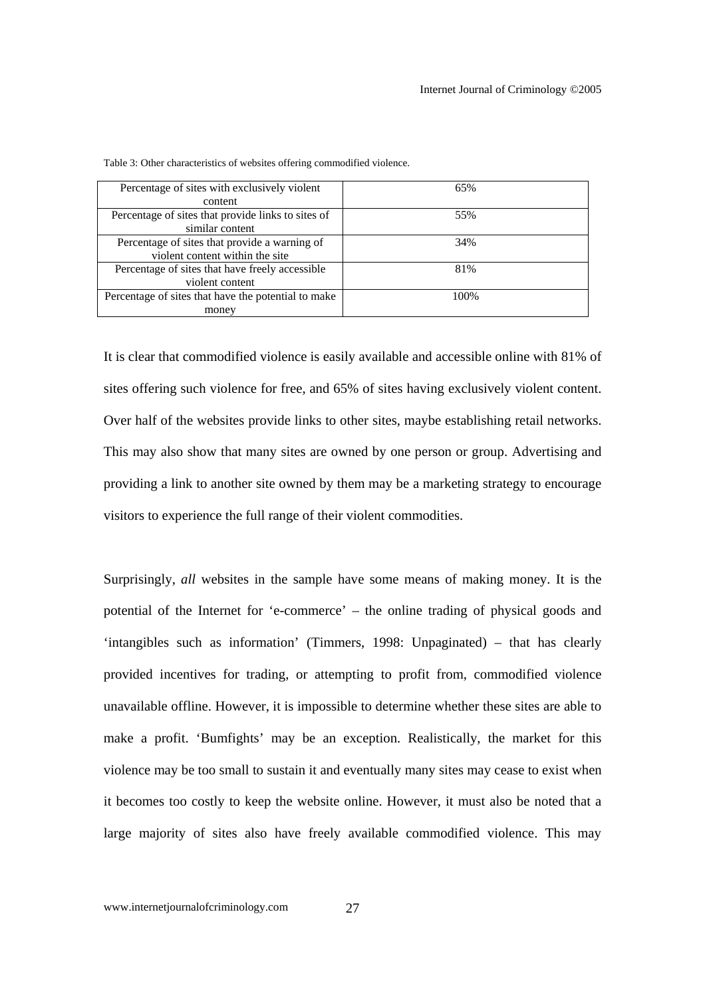| Percentage of sites with exclusively violent        | 65%  |
|-----------------------------------------------------|------|
| content                                             |      |
| Percentage of sites that provide links to sites of  | 55%  |
| similar content                                     |      |
| Percentage of sites that provide a warning of       | 34%  |
| violent content within the site                     |      |
| Percentage of sites that have freely accessible     | 81%  |
| violent content                                     |      |
| Percentage of sites that have the potential to make | 100% |
| money                                               |      |

Table 3: Other characteristics of websites offering commodified violence.

It is clear that commodified violence is easily available and accessible online with 81% of sites offering such violence for free, and 65% of sites having exclusively violent content. Over half of the websites provide links to other sites, maybe establishing retail networks. This may also show that many sites are owned by one person or group. Advertising and providing a link to another site owned by them may be a marketing strategy to encourage visitors to experience the full range of their violent commodities.

Surprisingly, *all* websites in the sample have some means of making money. It is the potential of the Internet for 'e-commerce' – the online trading of physical goods and 'intangibles such as information' (Timmers, 1998: Unpaginated) – that has clearly provided incentives for trading, or attempting to profit from, commodified violence unavailable offline. However, it is impossible to determine whether these sites are able to make a profit. 'Bumfights' may be an exception. Realistically, the market for this violence may be too small to sustain it and eventually many sites may cease to exist when it becomes too costly to keep the website online. However, it must also be noted that a large majority of sites also have freely available commodified violence. This may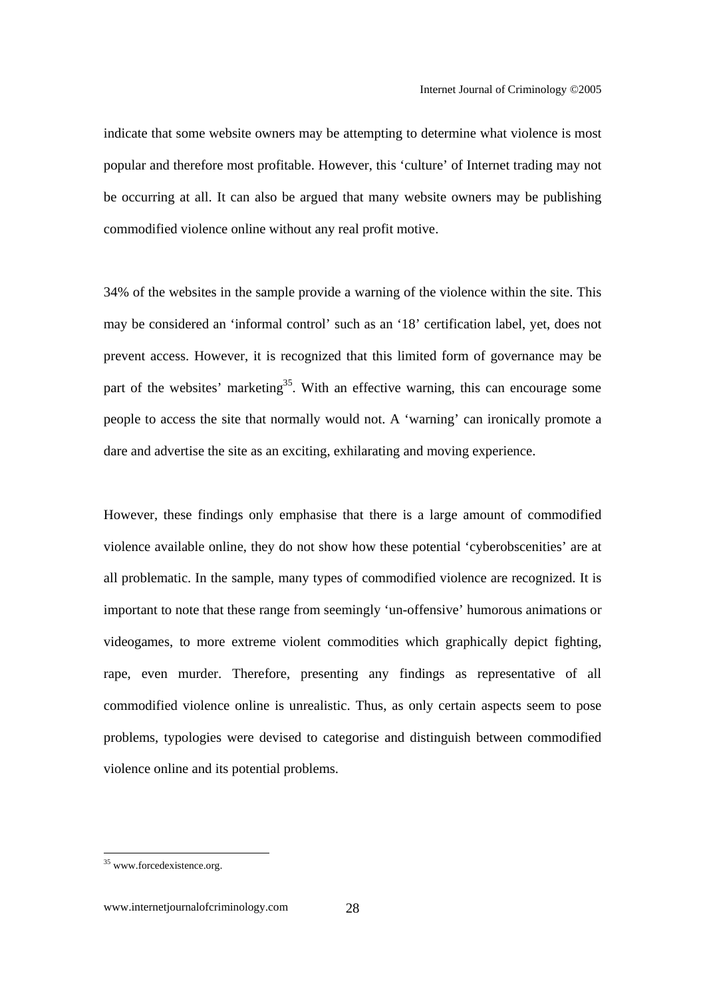indicate that some website owners may be attempting to determine what violence is most popular and therefore most profitable. However, this 'culture' of Internet trading may not be occurring at all. It can also be argued that many website owners may be publishing commodified violence online without any real profit motive.

34% of the websites in the sample provide a warning of the violence within the site. This may be considered an 'informal control' such as an '18' certification label, yet, does not prevent access. However, it is recognized that this limited form of governance may be part of the websites' marketing<sup>35</sup>. With an effective warning, this can encourage some people to access the site that normally would not. A 'warning' can ironically promote a dare and advertise the site as an exciting, exhilarating and moving experience.

However, these findings only emphasise that there is a large amount of commodified violence available online, they do not show how these potential 'cyberobscenities' are at all problematic. In the sample, many types of commodified violence are recognized. It is important to note that these range from seemingly 'un-offensive' humorous animations or videogames, to more extreme violent commodities which graphically depict fighting, rape, even murder. Therefore, presenting any findings as representative of all commodified violence online is unrealistic. Thus, as only certain aspects seem to pose problems, typologies were devised to categorise and distinguish between commodified violence online and its potential problems.

<sup>&</sup>lt;sup>35</sup> www.forcedexistence.org.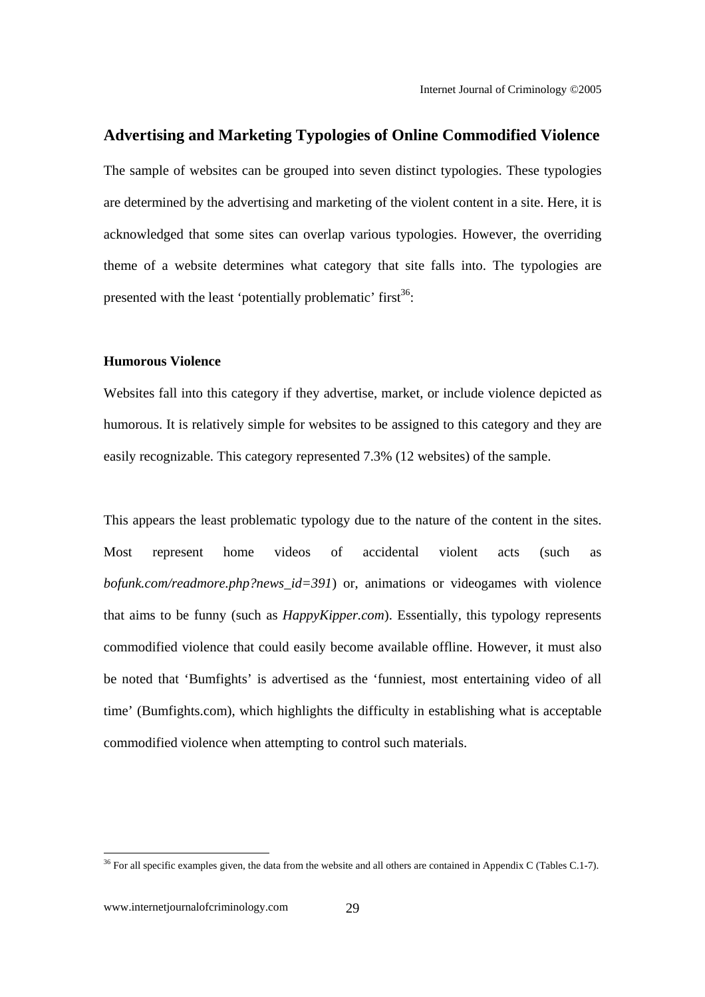#### **Advertising and Marketing Typologies of Online Commodified Violence**

The sample of websites can be grouped into seven distinct typologies. These typologies are determined by the advertising and marketing of the violent content in a site. Here, it is acknowledged that some sites can overlap various typologies. However, the overriding theme of a website determines what category that site falls into. The typologies are presented with the least 'potentially problematic' first $36$ :

#### **Humorous Violence**

Websites fall into this category if they advertise, market, or include violence depicted as humorous. It is relatively simple for websites to be assigned to this category and they are easily recognizable. This category represented 7.3% (12 websites) of the sample.

This appears the least problematic typology due to the nature of the content in the sites. Most represent home videos of accidental violent acts (such as *bofunk.com/readmore.php?news\_id=391*) or, animations or videogames with violence that aims to be funny (such as *HappyKipper.com*). Essentially, this typology represents commodified violence that could easily become available offline. However, it must also be noted that 'Bumfights' is advertised as the 'funniest, most entertaining video of all time' (Bumfights.com), which highlights the difficulty in establishing what is acceptable commodified violence when attempting to control such materials.

<sup>&</sup>lt;sup>36</sup> For all specific examples given, the data from the website and all others are contained in Appendix C (Tables C.1-7).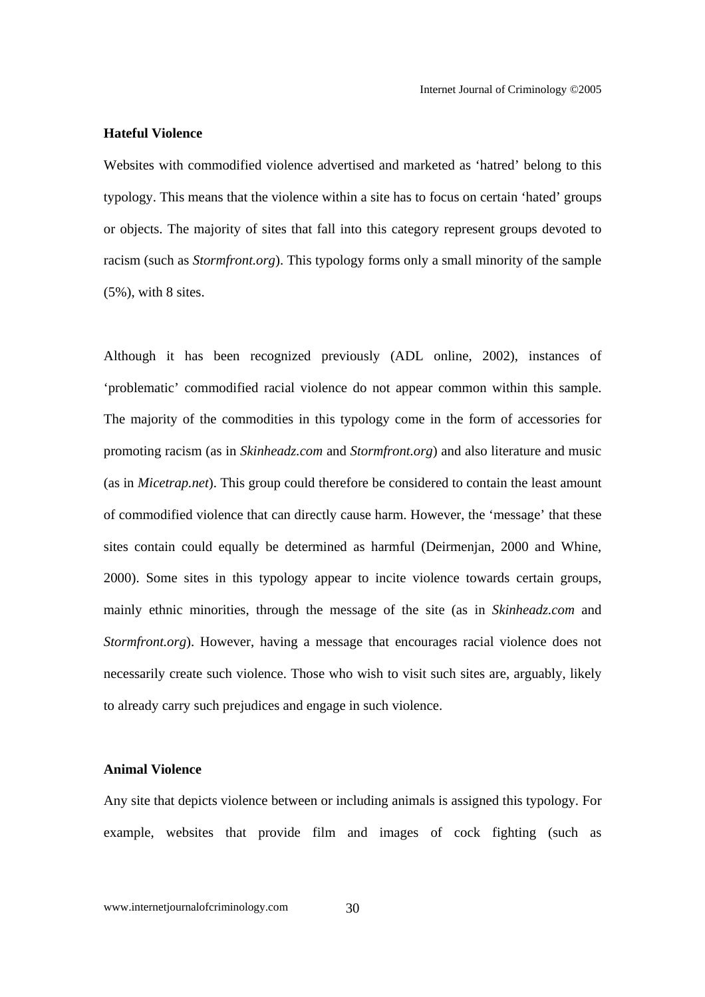#### **Hateful Violence**

Websites with commodified violence advertised and marketed as 'hatred' belong to this typology. This means that the violence within a site has to focus on certain 'hated' groups or objects. The majority of sites that fall into this category represent groups devoted to racism (such as *Stormfront.org*). This typology forms only a small minority of the sample (5%), with 8 sites.

Although it has been recognized previously (ADL online, 2002), instances of 'problematic' commodified racial violence do not appear common within this sample. The majority of the commodities in this typology come in the form of accessories for promoting racism (as in *Skinheadz.com* and *Stormfront.org*) and also literature and music (as in *Micetrap.net*). This group could therefore be considered to contain the least amount of commodified violence that can directly cause harm. However, the 'message' that these sites contain could equally be determined as harmful (Deirmenjan, 2000 and Whine, 2000). Some sites in this typology appear to incite violence towards certain groups, mainly ethnic minorities, through the message of the site (as in *Skinheadz.com* and *Stormfront.org*). However, having a message that encourages racial violence does not necessarily create such violence. Those who wish to visit such sites are, arguably, likely to already carry such prejudices and engage in such violence.

#### **Animal Violence**

Any site that depicts violence between or including animals is assigned this typology. For example, websites that provide film and images of cock fighting (such as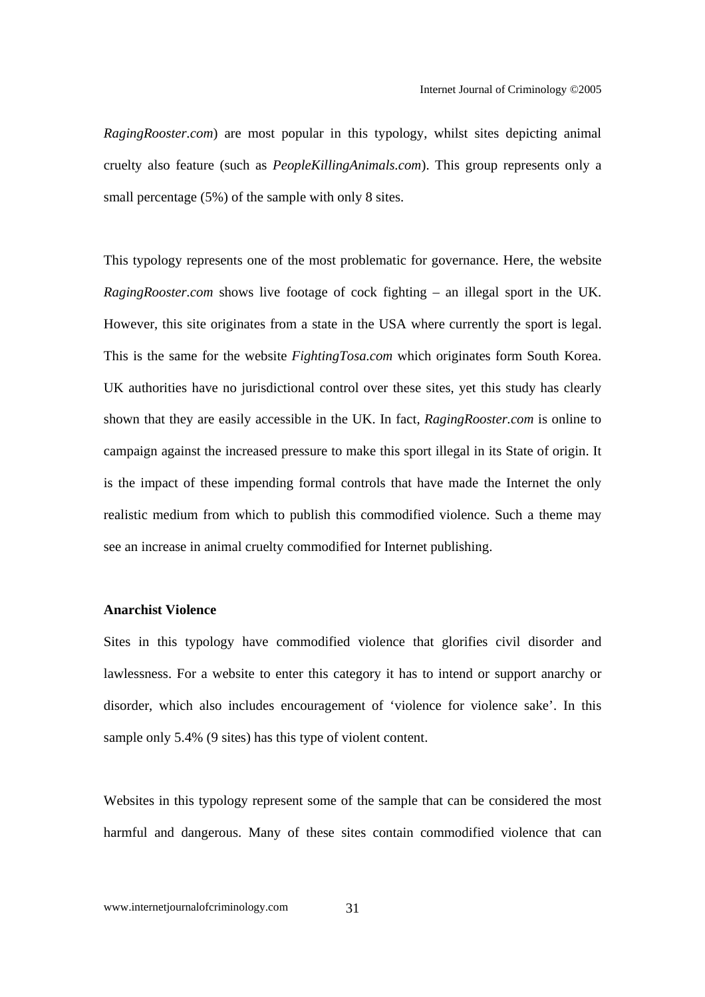*RagingRooster.com*) are most popular in this typology, whilst sites depicting animal cruelty also feature (such as *PeopleKillingAnimals.com*). This group represents only a small percentage (5%) of the sample with only 8 sites.

This typology represents one of the most problematic for governance. Here, the website *RagingRooster.com* shows live footage of cock fighting – an illegal sport in the UK. However, this site originates from a state in the USA where currently the sport is legal. This is the same for the website *FightingTosa.com* which originates form South Korea. UK authorities have no jurisdictional control over these sites, yet this study has clearly shown that they are easily accessible in the UK. In fact, *RagingRooster.com* is online to campaign against the increased pressure to make this sport illegal in its State of origin. It is the impact of these impending formal controls that have made the Internet the only realistic medium from which to publish this commodified violence. Such a theme may see an increase in animal cruelty commodified for Internet publishing.

#### **Anarchist Violence**

Sites in this typology have commodified violence that glorifies civil disorder and lawlessness. For a website to enter this category it has to intend or support anarchy or disorder, which also includes encouragement of 'violence for violence sake'. In this sample only 5.4% (9 sites) has this type of violent content.

Websites in this typology represent some of the sample that can be considered the most harmful and dangerous. Many of these sites contain commodified violence that can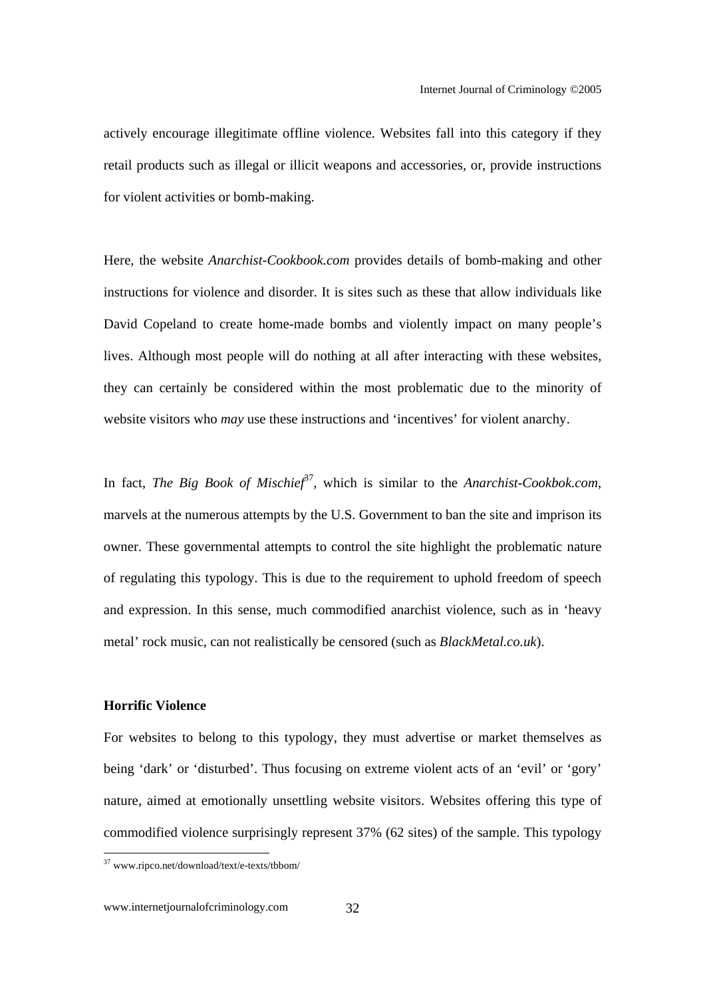actively encourage illegitimate offline violence. Websites fall into this category if they retail products such as illegal or illicit weapons and accessories, or, provide instructions for violent activities or bomb-making.

Here, the website *Anarchist-Cookbook.com* provides details of bomb-making and other instructions for violence and disorder. It is sites such as these that allow individuals like David Copeland to create home-made bombs and violently impact on many people's lives. Although most people will do nothing at all after interacting with these websites, they can certainly be considered within the most problematic due to the minority of website visitors who *may* use these instructions and 'incentives' for violent anarchy.

In fact, *The Big Book of Mischief*<sup>37</sup>, which is similar to the *Anarchist-Cookbok.com*, marvels at the numerous attempts by the U.S. Government to ban the site and imprison its owner. These governmental attempts to control the site highlight the problematic nature of regulating this typology. This is due to the requirement to uphold freedom of speech and expression. In this sense, much commodified anarchist violence, such as in 'heavy metal' rock music, can not realistically be censored (such as *BlackMetal.co.uk*).

#### **Horrific Violence**

For websites to belong to this typology, they must advertise or market themselves as being 'dark' or 'disturbed'. Thus focusing on extreme violent acts of an 'evil' or 'gory' nature, aimed at emotionally unsettling website visitors. Websites offering this type of commodified violence surprisingly represent 37% (62 sites) of the sample. This typology

<sup>37</sup> www.ripco.net/download/text/e-texts/tbbom/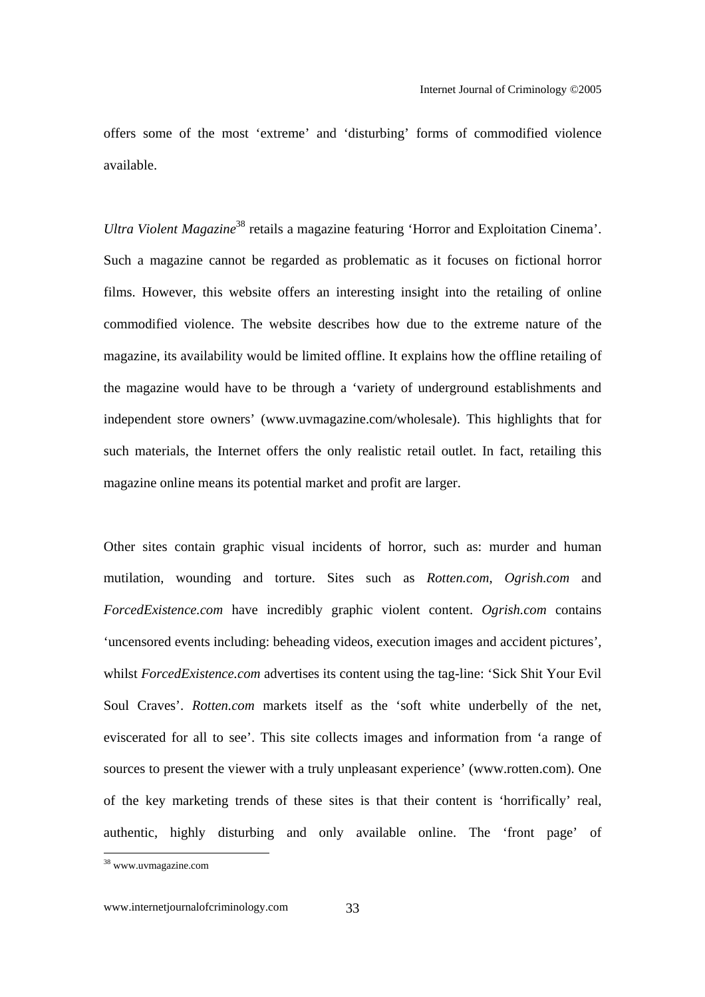offers some of the most 'extreme' and 'disturbing' forms of commodified violence available.

*Ultra Violent Magazine*<sup>38</sup> retails a magazine featuring 'Horror and Exploitation Cinema'. Such a magazine cannot be regarded as problematic as it focuses on fictional horror films. However, this website offers an interesting insight into the retailing of online commodified violence. The website describes how due to the extreme nature of the magazine, its availability would be limited offline. It explains how the offline retailing of the magazine would have to be through a 'variety of underground establishments and independent store owners' (www.uvmagazine.com/wholesale). This highlights that for such materials, the Internet offers the only realistic retail outlet. In fact, retailing this magazine online means its potential market and profit are larger.

Other sites contain graphic visual incidents of horror, such as: murder and human mutilation, wounding and torture. Sites such as *Rotten.com*, *Ogrish.com* and *ForcedExistence.com* have incredibly graphic violent content. *Ogrish.com* contains 'uncensored events including: beheading videos, execution images and accident pictures', whilst *ForcedExistence.com* advertises its content using the tag-line: 'Sick Shit Your Evil Soul Craves'. *Rotten.com* markets itself as the 'soft white underbelly of the net, eviscerated for all to see'. This site collects images and information from 'a range of sources to present the viewer with a truly unpleasant experience' (www.rotten.com). One of the key marketing trends of these sites is that their content is 'horrifically' real, authentic, highly disturbing and only available online. The 'front page' of

<sup>&</sup>lt;sup>38</sup> www.uvmagazine.com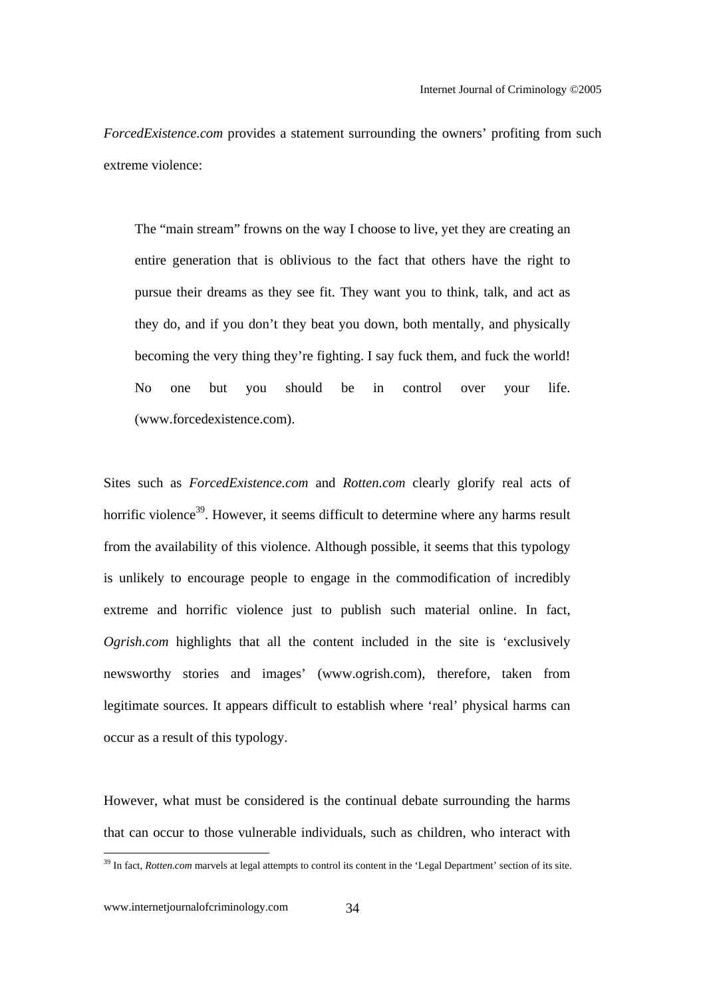*ForcedExistence.com* provides a statement surrounding the owners' profiting from such extreme violence:

The "main stream" frowns on the way I choose to live, yet they are creating an entire generation that is oblivious to the fact that others have the right to pursue their dreams as they see fit. They want you to think, talk, and act as they do, and if you don't they beat you down, both mentally, and physically becoming the very thing they're fighting. I say fuck them, and fuck the world! No one but you should be in control over your life. (www.forcedexistence.com).

Sites such as *ForcedExistence.com* and *Rotten.com* clearly glorify real acts of horrific violence<sup>39</sup>. However, it seems difficult to determine where any harms result from the availability of this violence. Although possible, it seems that this typology is unlikely to encourage people to engage in the commodification of incredibly extreme and horrific violence just to publish such material online. In fact, *Ogrish.com* highlights that all the content included in the site is 'exclusively newsworthy stories and images' (www.ogrish.com), therefore, taken from legitimate sources. It appears difficult to establish where 'real' physical harms can occur as a result of this typology.

However, what must be considered is the continual debate surrounding the harms that can occur to those vulnerable individuals, such as children, who interact with

<sup>&</sup>lt;sup>39</sup> In fact, *Rotten.com* marvels at legal attempts to control its content in the 'Legal Department' section of its site.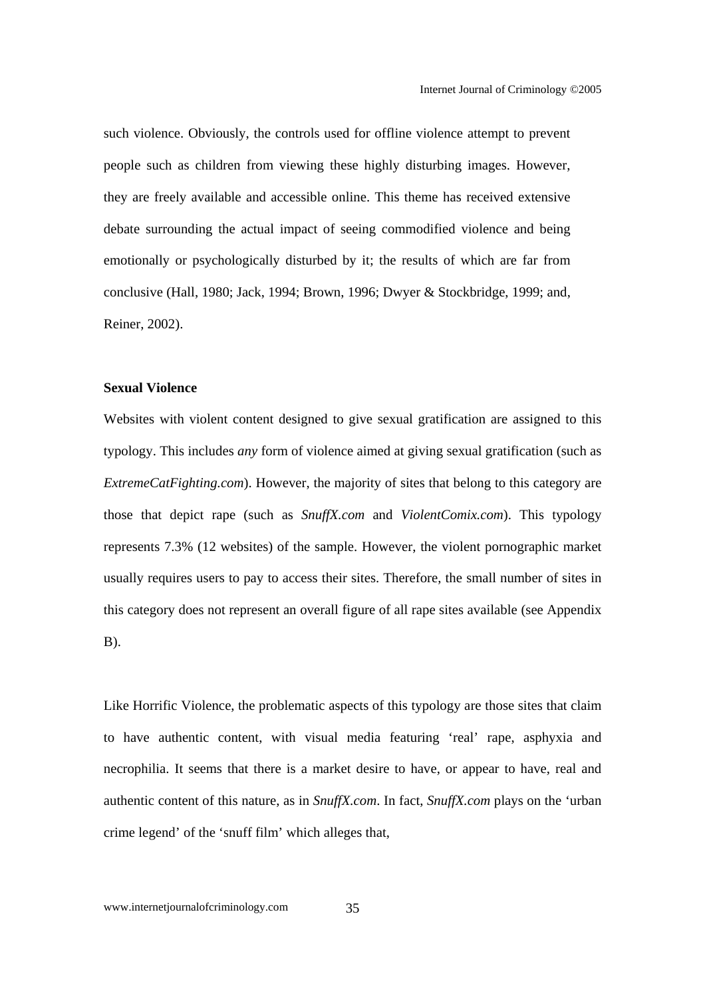such violence. Obviously, the controls used for offline violence attempt to prevent people such as children from viewing these highly disturbing images. However, they are freely available and accessible online. This theme has received extensive debate surrounding the actual impact of seeing commodified violence and being emotionally or psychologically disturbed by it; the results of which are far from conclusive (Hall, 1980; Jack, 1994; Brown, 1996; Dwyer & Stockbridge, 1999; and, Reiner, 2002).

#### **Sexual Violence**

Websites with violent content designed to give sexual gratification are assigned to this typology. This includes *any* form of violence aimed at giving sexual gratification (such as *ExtremeCatFighting.com*). However, the majority of sites that belong to this category are those that depict rape (such as *SnuffX.com* and *ViolentComix.com*). This typology represents 7.3% (12 websites) of the sample. However, the violent pornographic market usually requires users to pay to access their sites. Therefore, the small number of sites in this category does not represent an overall figure of all rape sites available (see Appendix B).

Like Horrific Violence, the problematic aspects of this typology are those sites that claim to have authentic content, with visual media featuring 'real' rape, asphyxia and necrophilia. It seems that there is a market desire to have, or appear to have, real and authentic content of this nature, as in *SnuffX.com*. In fact, *SnuffX.com* plays on the 'urban crime legend' of the 'snuff film' which alleges that,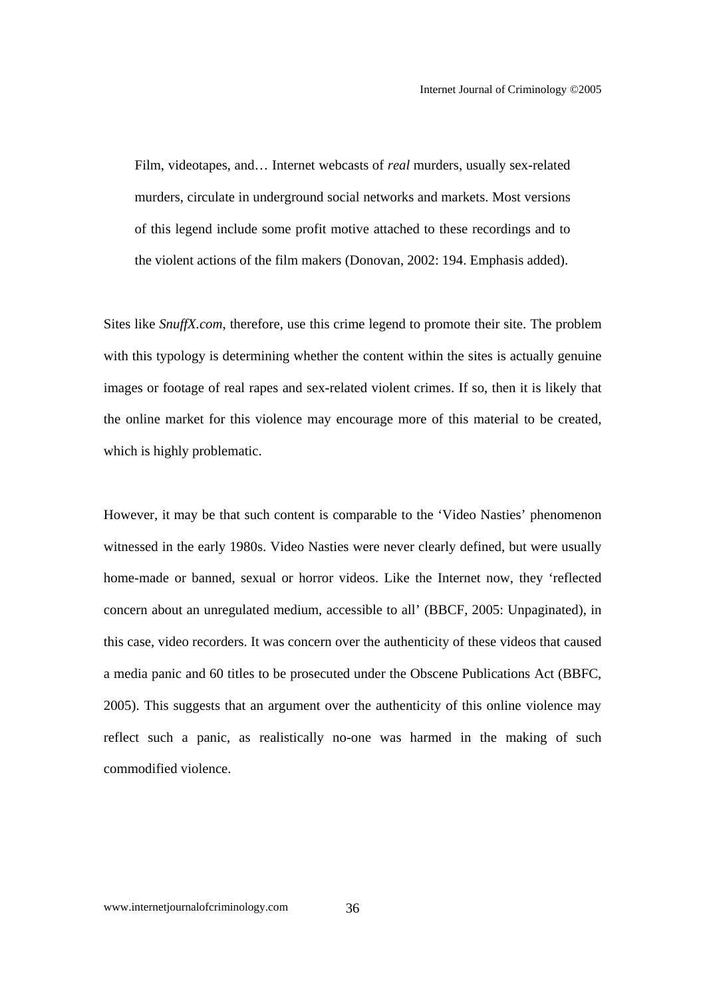Film, videotapes, and… Internet webcasts of *real* murders, usually sex-related murders, circulate in underground social networks and markets. Most versions of this legend include some profit motive attached to these recordings and to the violent actions of the film makers (Donovan, 2002: 194. Emphasis added).

Sites like *SnuffX.com*, therefore, use this crime legend to promote their site. The problem with this typology is determining whether the content within the sites is actually genuine images or footage of real rapes and sex-related violent crimes. If so, then it is likely that the online market for this violence may encourage more of this material to be created, which is highly problematic.

However, it may be that such content is comparable to the 'Video Nasties' phenomenon witnessed in the early 1980s. Video Nasties were never clearly defined, but were usually home-made or banned, sexual or horror videos. Like the Internet now, they 'reflected concern about an unregulated medium, accessible to all' (BBCF, 2005: Unpaginated), in this case, video recorders. It was concern over the authenticity of these videos that caused a media panic and 60 titles to be prosecuted under the Obscene Publications Act (BBFC, 2005). This suggests that an argument over the authenticity of this online violence may reflect such a panic, as realistically no-one was harmed in the making of such commodified violence.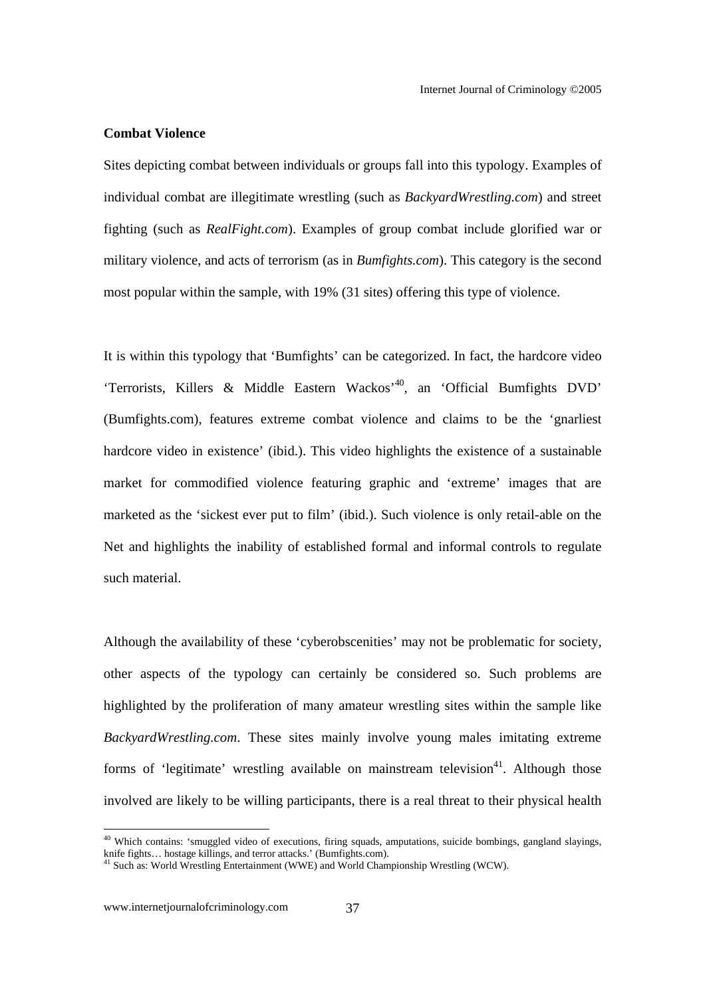#### **Combat Violence**

Sites depicting combat between individuals or groups fall into this typology. Examples of individual combat are illegitimate wrestling (such as *BackyardWrestling.com*) and street fighting (such as *RealFight.com*). Examples of group combat include glorified war or military violence, and acts of terrorism (as in *Bumfights.com*). This category is the second most popular within the sample, with 19% (31 sites) offering this type of violence.

It is within this typology that 'Bumfights' can be categorized. In fact, the hardcore video 'Terrorists, Killers & Middle Eastern Wackos<sup>, 40</sup>, an 'Official Bumfights DVD' (Bumfights.com), features extreme combat violence and claims to be the 'gnarliest hardcore video in existence' (ibid.). This video highlights the existence of a sustainable market for commodified violence featuring graphic and 'extreme' images that are marketed as the 'sickest ever put to film' (ibid.). Such violence is only retail-able on the Net and highlights the inability of established formal and informal controls to regulate such material.

Although the availability of these 'cyberobscenities' may not be problematic for society, other aspects of the typology can certainly be considered so. Such problems are highlighted by the proliferation of many amateur wrestling sites within the sample like *BackyardWrestling.com*. These sites mainly involve young males imitating extreme forms of 'legitimate' wrestling available on mainstream television<sup>41</sup>. Although those involved are likely to be willing participants, there is a real threat to their physical health

 $40$  Which contains: 'smuggled video of executions, firing squads, amputations, suicide bombings, gangland slayings, knife fights... hostage killings, and terror attacks.' (Bumfights.com).<br><sup>41</sup> Such as: World Wrestling Entertainment (WWE) and World Championship Wrestling (WCW).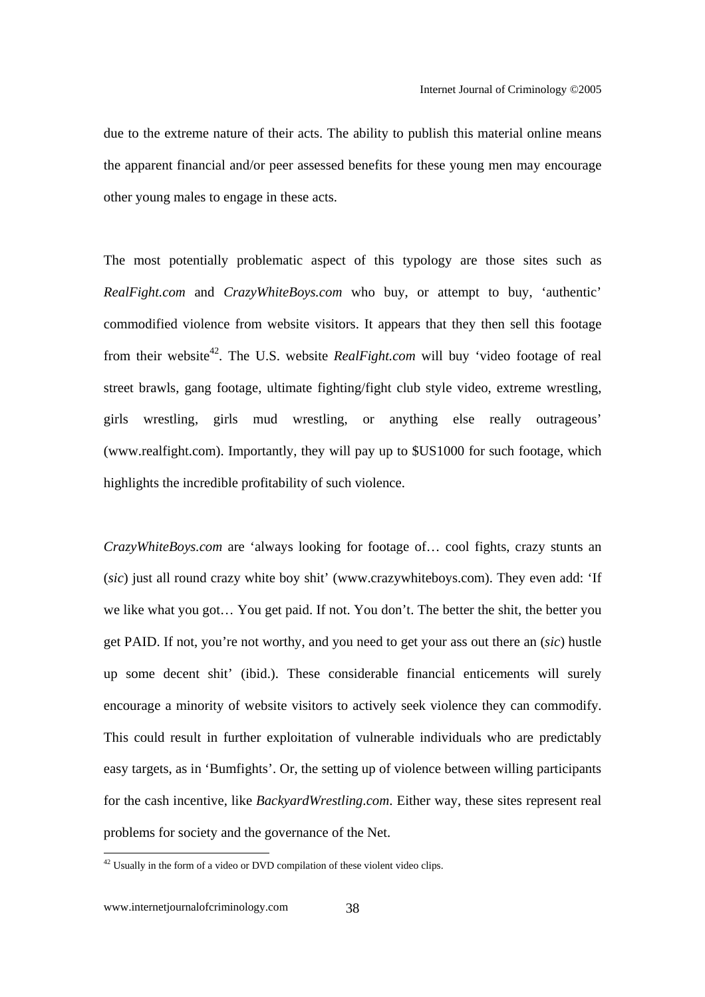due to the extreme nature of their acts. The ability to publish this material online means the apparent financial and/or peer assessed benefits for these young men may encourage other young males to engage in these acts.

The most potentially problematic aspect of this typology are those sites such as *RealFight.com* and *CrazyWhiteBoys.com* who buy, or attempt to buy, 'authentic' commodified violence from website visitors. It appears that they then sell this footage from their website<sup>42</sup>. The U.S. website *RealFight.com* will buy 'video footage of real street brawls, gang footage, ultimate fighting/fight club style video, extreme wrestling, girls wrestling, girls mud wrestling, or anything else really outrageous' (www.realfight.com). Importantly, they will pay up to \$US1000 for such footage, which highlights the incredible profitability of such violence.

*CrazyWhiteBoys.com* are 'always looking for footage of… cool fights, crazy stunts an (*sic*) just all round crazy white boy shit' (www.crazywhiteboys.com). They even add: 'If we like what you got… You get paid. If not. You don't. The better the shit, the better you get PAID. If not, you're not worthy, and you need to get your ass out there an (*sic*) hustle up some decent shit' (ibid.). These considerable financial enticements will surely encourage a minority of website visitors to actively seek violence they can commodify. This could result in further exploitation of vulnerable individuals who are predictably easy targets, as in 'Bumfights'. Or, the setting up of violence between willing participants for the cash incentive, like *BackyardWrestling.com*. Either way, these sites represent real problems for society and the governance of the Net.

 $42$  Usually in the form of a video or DVD compilation of these violent video clips.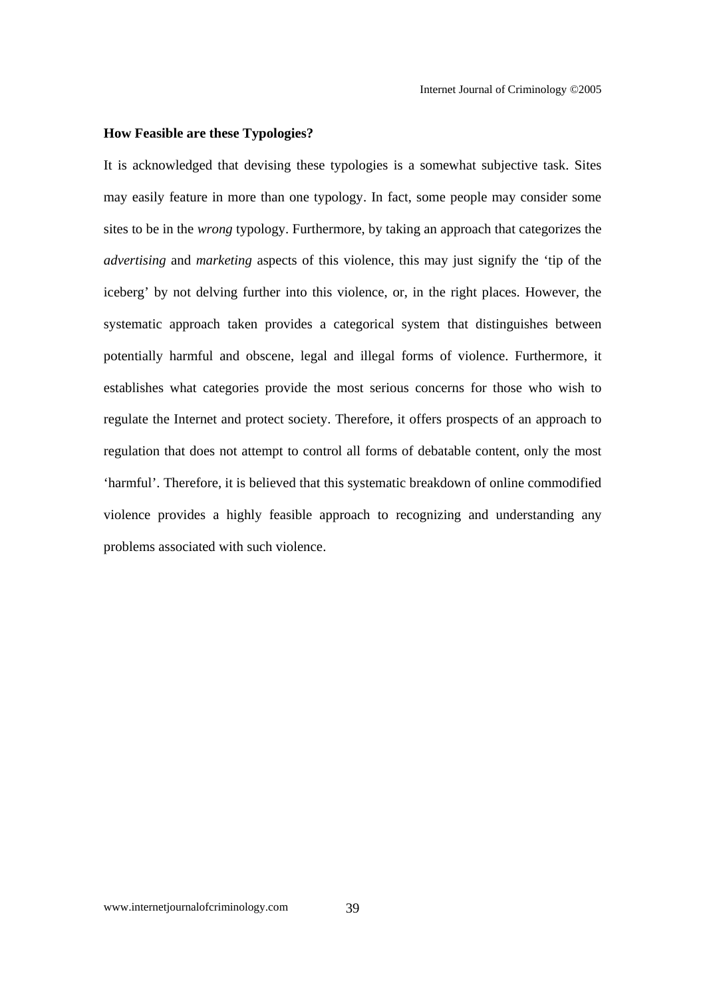#### **How Feasible are these Typologies?**

It is acknowledged that devising these typologies is a somewhat subjective task. Sites may easily feature in more than one typology. In fact, some people may consider some sites to be in the *wrong* typology. Furthermore, by taking an approach that categorizes the *advertising* and *marketing* aspects of this violence, this may just signify the 'tip of the iceberg' by not delving further into this violence, or, in the right places. However, the systematic approach taken provides a categorical system that distinguishes between potentially harmful and obscene, legal and illegal forms of violence. Furthermore, it establishes what categories provide the most serious concerns for those who wish to regulate the Internet and protect society. Therefore, it offers prospects of an approach to regulation that does not attempt to control all forms of debatable content, only the most 'harmful'. Therefore, it is believed that this systematic breakdown of online commodified violence provides a highly feasible approach to recognizing and understanding any problems associated with such violence.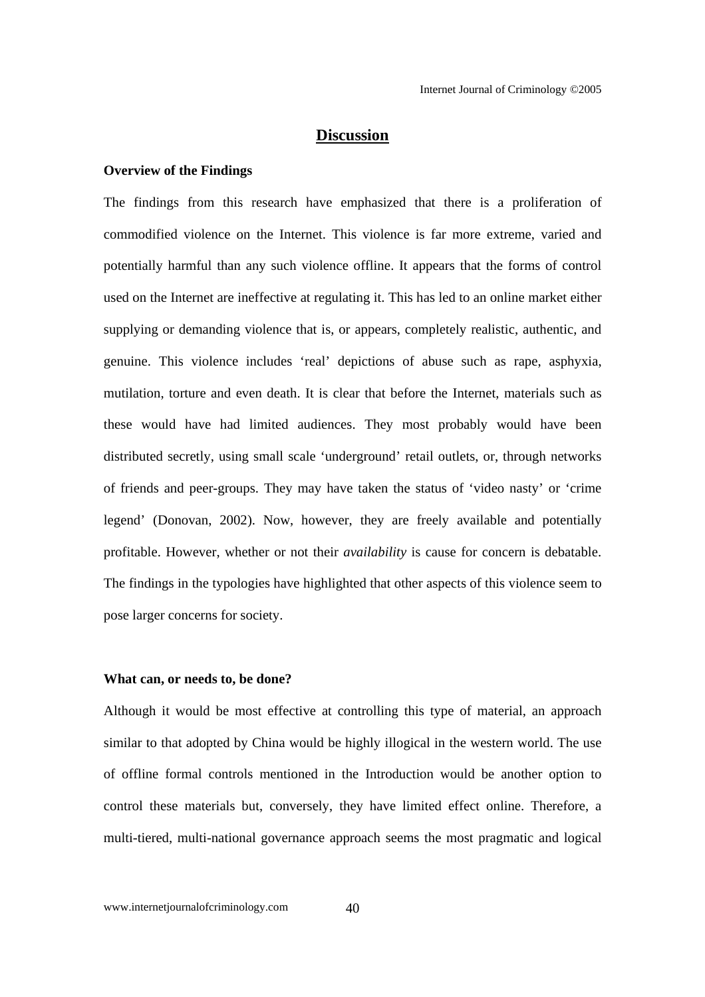#### **Discussion**

#### **Overview of the Findings**

The findings from this research have emphasized that there is a proliferation of commodified violence on the Internet. This violence is far more extreme, varied and potentially harmful than any such violence offline. It appears that the forms of control used on the Internet are ineffective at regulating it. This has led to an online market either supplying or demanding violence that is, or appears, completely realistic, authentic, and genuine. This violence includes 'real' depictions of abuse such as rape, asphyxia, mutilation, torture and even death. It is clear that before the Internet, materials such as these would have had limited audiences. They most probably would have been distributed secretly, using small scale 'underground' retail outlets, or, through networks of friends and peer-groups. They may have taken the status of 'video nasty' or 'crime legend' (Donovan, 2002). Now, however, they are freely available and potentially profitable. However, whether or not their *availability* is cause for concern is debatable. The findings in the typologies have highlighted that other aspects of this violence seem to pose larger concerns for society.

#### **What can, or needs to, be done?**

Although it would be most effective at controlling this type of material, an approach similar to that adopted by China would be highly illogical in the western world. The use of offline formal controls mentioned in the Introduction would be another option to control these materials but, conversely, they have limited effect online. Therefore, a multi-tiered, multi-national governance approach seems the most pragmatic and logical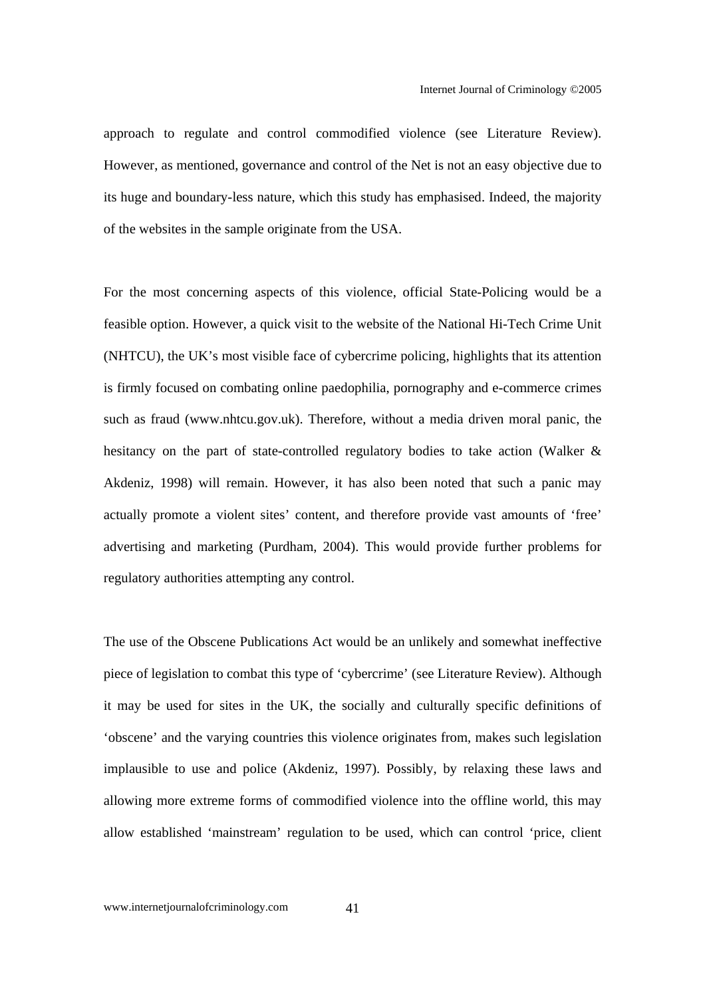approach to regulate and control commodified violence (see Literature Review). However, as mentioned, governance and control of the Net is not an easy objective due to its huge and boundary-less nature, which this study has emphasised. Indeed, the majority of the websites in the sample originate from the USA.

For the most concerning aspects of this violence, official State-Policing would be a feasible option. However, a quick visit to the website of the National Hi-Tech Crime Unit (NHTCU), the UK's most visible face of cybercrime policing, highlights that its attention is firmly focused on combating online paedophilia, pornography and e-commerce crimes such as fraud (www.nhtcu.gov.uk). Therefore, without a media driven moral panic, the hesitancy on the part of state-controlled regulatory bodies to take action (Walker & Akdeniz, 1998) will remain. However, it has also been noted that such a panic may actually promote a violent sites' content, and therefore provide vast amounts of 'free' advertising and marketing (Purdham, 2004). This would provide further problems for regulatory authorities attempting any control.

The use of the Obscene Publications Act would be an unlikely and somewhat ineffective piece of legislation to combat this type of 'cybercrime' (see Literature Review). Although it may be used for sites in the UK, the socially and culturally specific definitions of 'obscene' and the varying countries this violence originates from, makes such legislation implausible to use and police (Akdeniz, 1997). Possibly, by relaxing these laws and allowing more extreme forms of commodified violence into the offline world, this may allow established 'mainstream' regulation to be used, which can control 'price, client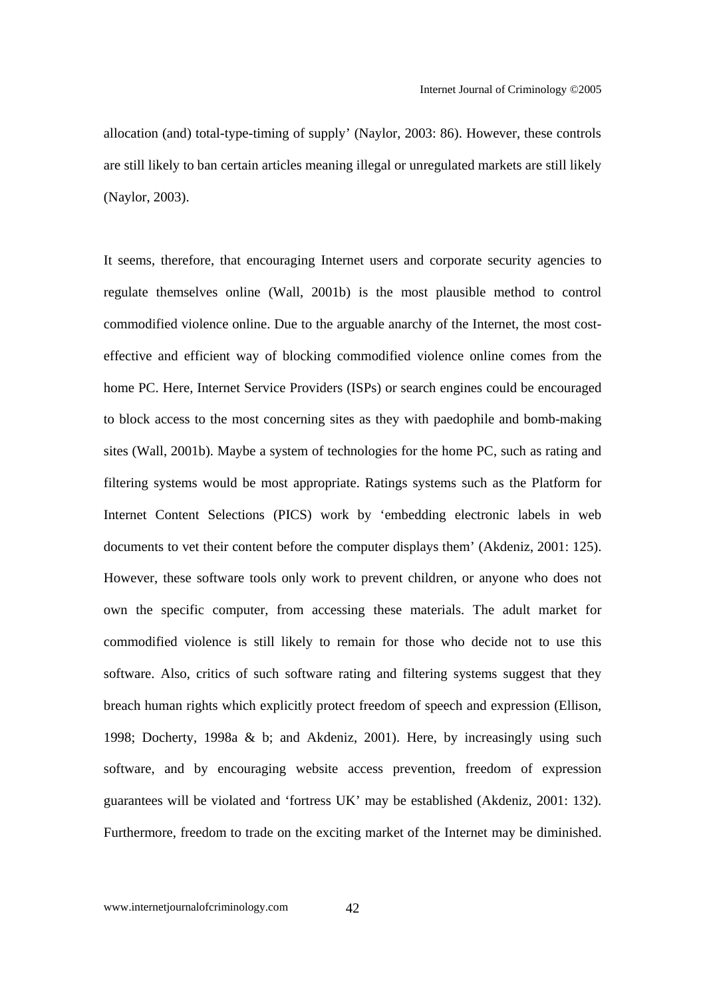allocation (and) total-type-timing of supply' (Naylor, 2003: 86). However, these controls are still likely to ban certain articles meaning illegal or unregulated markets are still likely (Naylor, 2003).

It seems, therefore, that encouraging Internet users and corporate security agencies to regulate themselves online (Wall, 2001b) is the most plausible method to control commodified violence online. Due to the arguable anarchy of the Internet, the most costeffective and efficient way of blocking commodified violence online comes from the home PC. Here, Internet Service Providers (ISPs) or search engines could be encouraged to block access to the most concerning sites as they with paedophile and bomb-making sites (Wall, 2001b). Maybe a system of technologies for the home PC, such as rating and filtering systems would be most appropriate. Ratings systems such as the Platform for Internet Content Selections (PICS) work by 'embedding electronic labels in web documents to vet their content before the computer displays them' (Akdeniz, 2001: 125). However, these software tools only work to prevent children, or anyone who does not own the specific computer, from accessing these materials. The adult market for commodified violence is still likely to remain for those who decide not to use this software. Also, critics of such software rating and filtering systems suggest that they breach human rights which explicitly protect freedom of speech and expression (Ellison, 1998; Docherty, 1998a & b; and Akdeniz, 2001). Here, by increasingly using such software, and by encouraging website access prevention, freedom of expression guarantees will be violated and 'fortress UK' may be established (Akdeniz, 2001: 132). Furthermore, freedom to trade on the exciting market of the Internet may be diminished.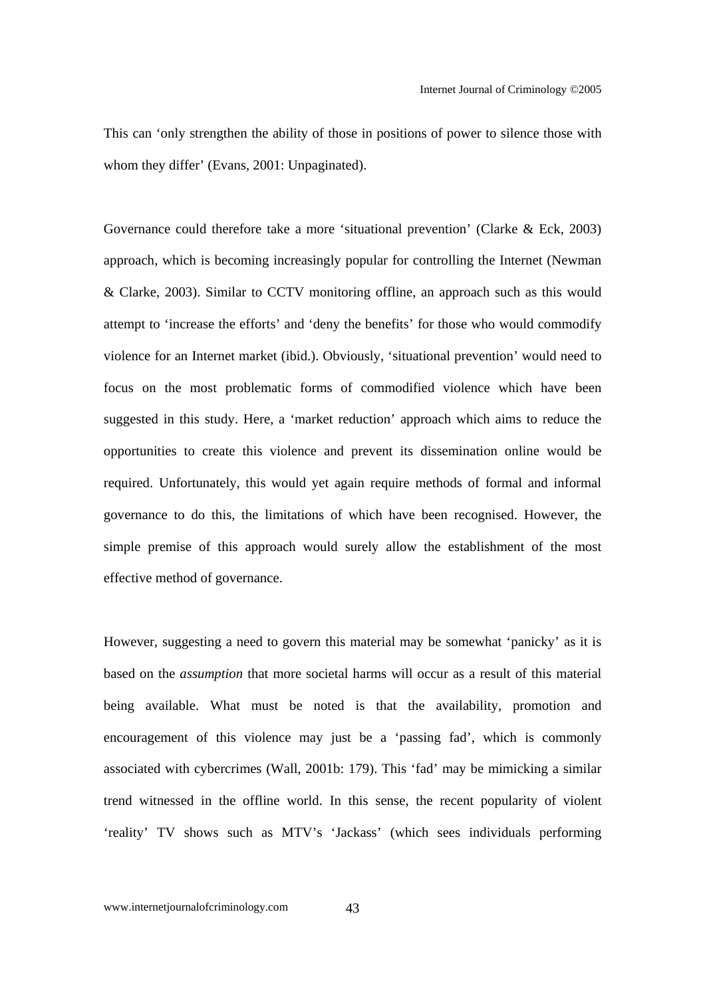This can 'only strengthen the ability of those in positions of power to silence those with whom they differ' (Evans, 2001: Unpaginated).

Governance could therefore take a more 'situational prevention' (Clarke & Eck, 2003) approach, which is becoming increasingly popular for controlling the Internet (Newman & Clarke, 2003). Similar to CCTV monitoring offline, an approach such as this would attempt to 'increase the efforts' and 'deny the benefits' for those who would commodify violence for an Internet market (ibid.). Obviously, 'situational prevention' would need to focus on the most problematic forms of commodified violence which have been suggested in this study. Here, a 'market reduction' approach which aims to reduce the opportunities to create this violence and prevent its dissemination online would be required. Unfortunately, this would yet again require methods of formal and informal governance to do this, the limitations of which have been recognised. However, the simple premise of this approach would surely allow the establishment of the most effective method of governance.

However, suggesting a need to govern this material may be somewhat 'panicky' as it is based on the *assumption* that more societal harms will occur as a result of this material being available. What must be noted is that the availability, promotion and encouragement of this violence may just be a 'passing fad', which is commonly associated with cybercrimes (Wall, 2001b: 179). This 'fad' may be mimicking a similar trend witnessed in the offline world. In this sense, the recent popularity of violent 'reality' TV shows such as MTV's 'Jackass' (which sees individuals performing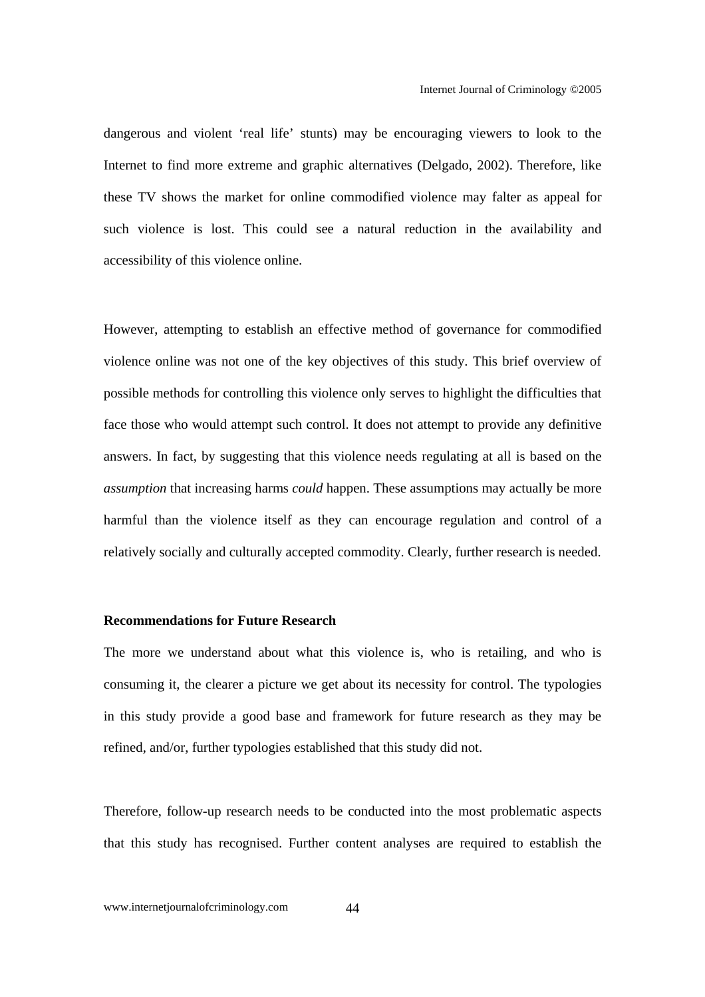dangerous and violent 'real life' stunts) may be encouraging viewers to look to the Internet to find more extreme and graphic alternatives (Delgado, 2002). Therefore, like these TV shows the market for online commodified violence may falter as appeal for such violence is lost. This could see a natural reduction in the availability and accessibility of this violence online.

However, attempting to establish an effective method of governance for commodified violence online was not one of the key objectives of this study. This brief overview of possible methods for controlling this violence only serves to highlight the difficulties that face those who would attempt such control. It does not attempt to provide any definitive answers. In fact, by suggesting that this violence needs regulating at all is based on the *assumption* that increasing harms *could* happen. These assumptions may actually be more harmful than the violence itself as they can encourage regulation and control of a relatively socially and culturally accepted commodity. Clearly, further research is needed.

#### **Recommendations for Future Research**

The more we understand about what this violence is, who is retailing, and who is consuming it, the clearer a picture we get about its necessity for control. The typologies in this study provide a good base and framework for future research as they may be refined, and/or, further typologies established that this study did not.

Therefore, follow-up research needs to be conducted into the most problematic aspects that this study has recognised. Further content analyses are required to establish the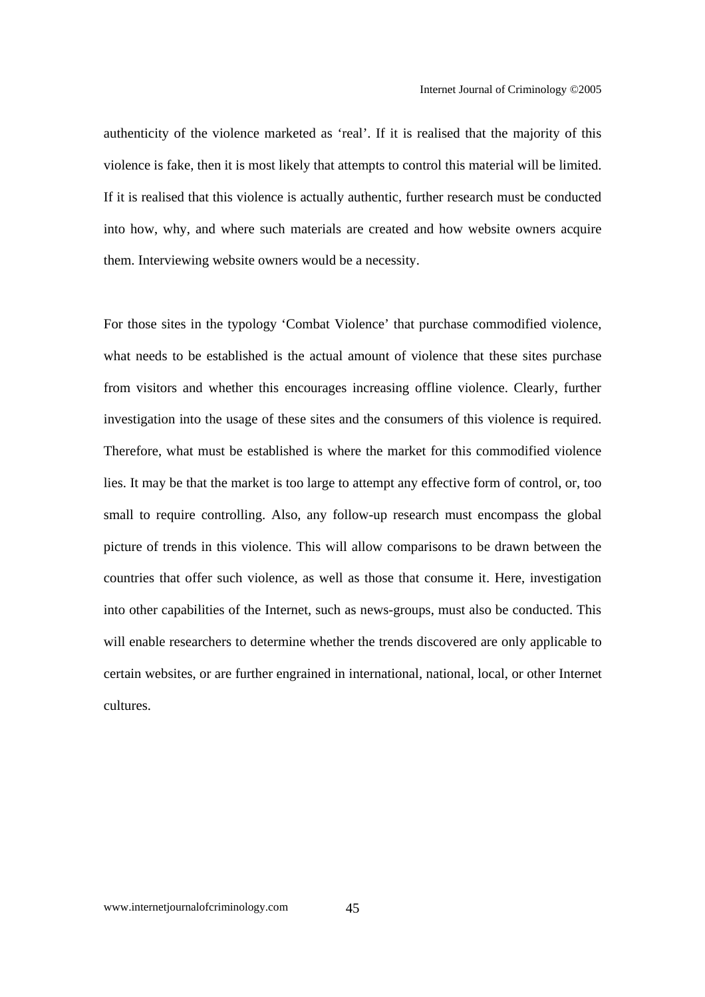authenticity of the violence marketed as 'real'. If it is realised that the majority of this violence is fake, then it is most likely that attempts to control this material will be limited. If it is realised that this violence is actually authentic, further research must be conducted into how, why, and where such materials are created and how website owners acquire them. Interviewing website owners would be a necessity.

For those sites in the typology 'Combat Violence' that purchase commodified violence, what needs to be established is the actual amount of violence that these sites purchase from visitors and whether this encourages increasing offline violence. Clearly, further investigation into the usage of these sites and the consumers of this violence is required. Therefore, what must be established is where the market for this commodified violence lies. It may be that the market is too large to attempt any effective form of control, or, too small to require controlling. Also, any follow-up research must encompass the global picture of trends in this violence. This will allow comparisons to be drawn between the countries that offer such violence, as well as those that consume it. Here, investigation into other capabilities of the Internet, such as news-groups, must also be conducted. This will enable researchers to determine whether the trends discovered are only applicable to certain websites, or are further engrained in international, national, local, or other Internet cultures.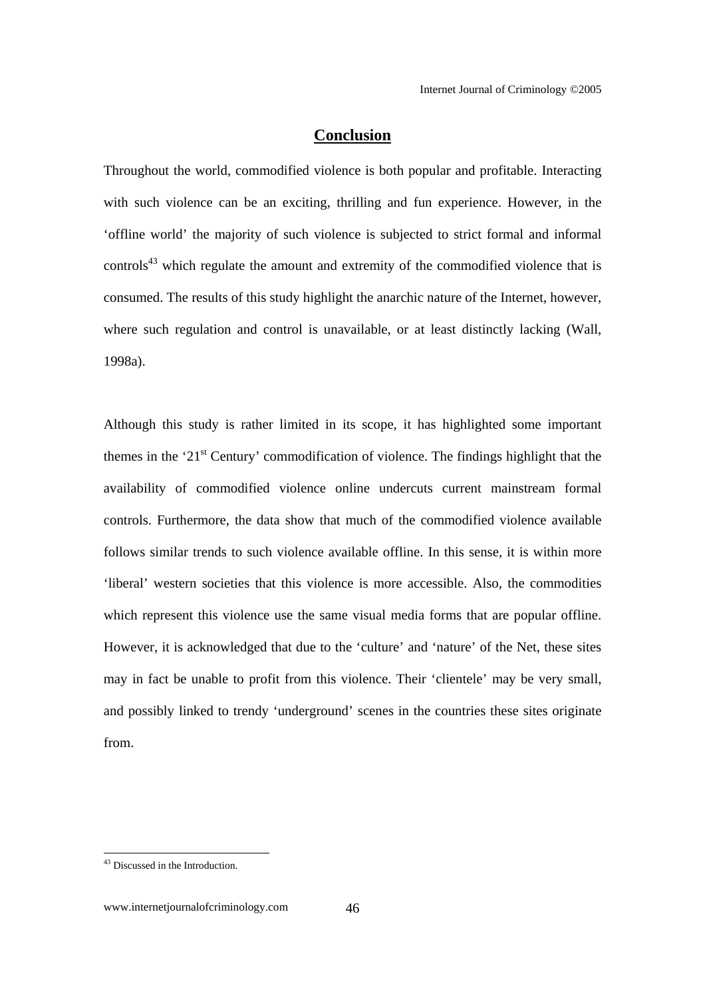#### **Conclusion**

Throughout the world, commodified violence is both popular and profitable. Interacting with such violence can be an exciting, thrilling and fun experience. However, in the 'offline world' the majority of such violence is subjected to strict formal and informal controls<sup>43</sup> which regulate the amount and extremity of the commodified violence that is consumed. The results of this study highlight the anarchic nature of the Internet, however, where such regulation and control is unavailable, or at least distinctly lacking (Wall, 1998a).

Although this study is rather limited in its scope, it has highlighted some important themes in the '21<sup>st</sup> Century' commodification of violence. The findings highlight that the availability of commodified violence online undercuts current mainstream formal controls. Furthermore, the data show that much of the commodified violence available follows similar trends to such violence available offline. In this sense, it is within more 'liberal' western societies that this violence is more accessible. Also, the commodities which represent this violence use the same visual media forms that are popular offline. However, it is acknowledged that due to the 'culture' and 'nature' of the Net, these sites may in fact be unable to profit from this violence. Their 'clientele' may be very small, and possibly linked to trendy 'underground' scenes in the countries these sites originate from.

<sup>&</sup>lt;sup>43</sup> Discussed in the Introduction.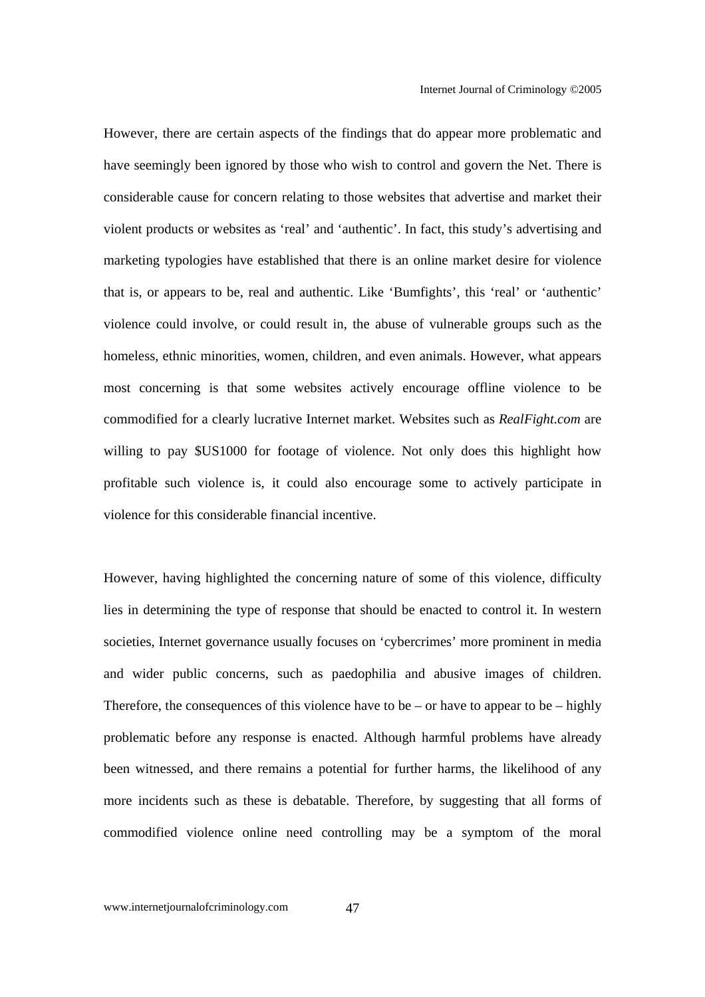However, there are certain aspects of the findings that do appear more problematic and have seemingly been ignored by those who wish to control and govern the Net. There is considerable cause for concern relating to those websites that advertise and market their violent products or websites as 'real' and 'authentic'. In fact, this study's advertising and marketing typologies have established that there is an online market desire for violence that is, or appears to be, real and authentic. Like 'Bumfights', this 'real' or 'authentic' violence could involve, or could result in, the abuse of vulnerable groups such as the homeless, ethnic minorities, women, children, and even animals. However, what appears most concerning is that some websites actively encourage offline violence to be commodified for a clearly lucrative Internet market. Websites such as *RealFight.com* are willing to pay \$US1000 for footage of violence. Not only does this highlight how profitable such violence is, it could also encourage some to actively participate in violence for this considerable financial incentive.

However, having highlighted the concerning nature of some of this violence, difficulty lies in determining the type of response that should be enacted to control it. In western societies, Internet governance usually focuses on 'cybercrimes' more prominent in media and wider public concerns, such as paedophilia and abusive images of children. Therefore, the consequences of this violence have to be – or have to appear to be – highly problematic before any response is enacted. Although harmful problems have already been witnessed, and there remains a potential for further harms, the likelihood of any more incidents such as these is debatable. Therefore, by suggesting that all forms of commodified violence online need controlling may be a symptom of the moral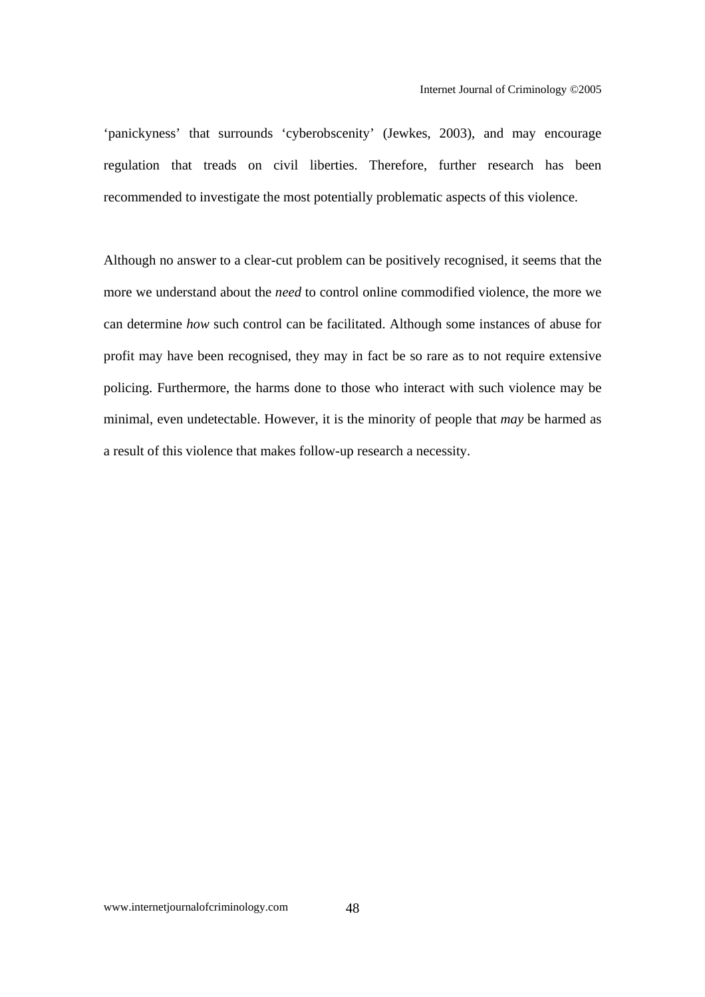'panickyness' that surrounds 'cyberobscenity' (Jewkes, 2003), and may encourage regulation that treads on civil liberties. Therefore, further research has been recommended to investigate the most potentially problematic aspects of this violence.

Although no answer to a clear-cut problem can be positively recognised, it seems that the more we understand about the *need* to control online commodified violence, the more we can determine *how* such control can be facilitated. Although some instances of abuse for profit may have been recognised, they may in fact be so rare as to not require extensive policing. Furthermore, the harms done to those who interact with such violence may be minimal, even undetectable. However, it is the minority of people that *may* be harmed as a result of this violence that makes follow-up research a necessity.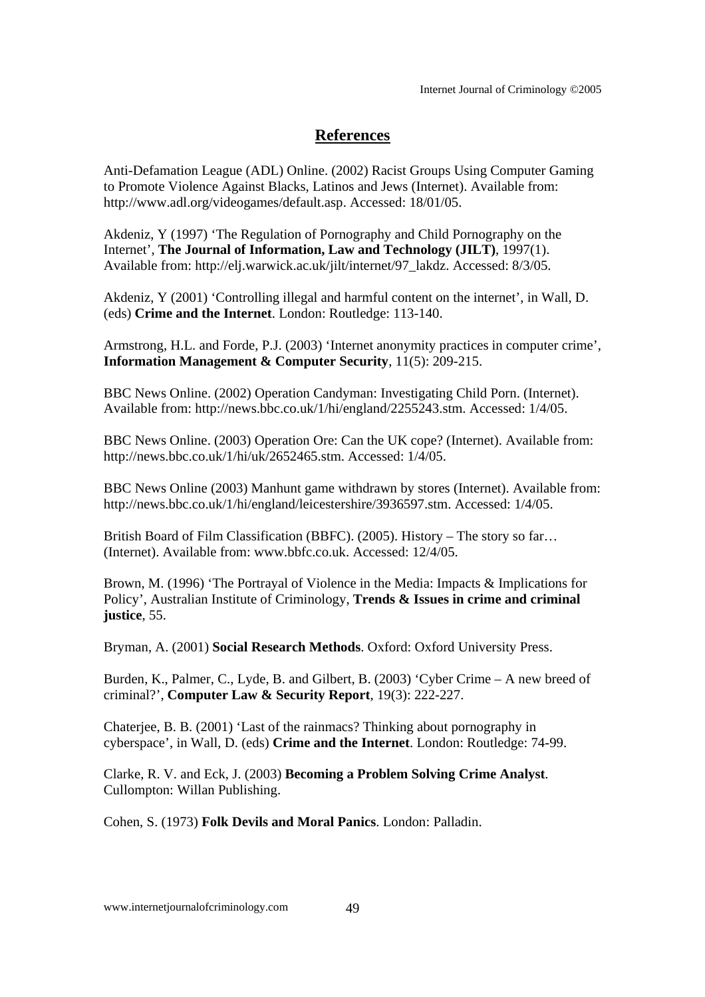### **References**

Anti-Defamation League (ADL) Online. (2002) Racist Groups Using Computer Gaming to Promote Violence Against Blacks, Latinos and Jews (Internet). Available from: http://www.adl.org/videogames/default.asp. Accessed: 18/01/05.

Akdeniz, Y (1997) 'The Regulation of Pornography and Child Pornography on the Internet', **The Journal of Information, Law and Technology (JILT)**, 1997(1). Available from: http://elj.warwick.ac.uk/jilt/internet/97\_lakdz. Accessed: 8/3/05.

Akdeniz, Y (2001) 'Controlling illegal and harmful content on the internet', in Wall, D. (eds) **Crime and the Internet**. London: Routledge: 113-140.

Armstrong, H.L. and Forde, P.J. (2003) 'Internet anonymity practices in computer crime', **Information Management & Computer Security**, 11(5): 209-215.

BBC News Online. (2002) Operation Candyman: Investigating Child Porn. (Internet). Available from: http://news.bbc.co.uk/1/hi/england/2255243.stm. Accessed: 1/4/05.

BBC News Online. (2003) Operation Ore: Can the UK cope? (Internet). Available from: http://news.bbc.co.uk/1/hi/uk/2652465.stm. Accessed: 1/4/05.

BBC News Online (2003) Manhunt game withdrawn by stores (Internet). Available from: http://news.bbc.co.uk/1/hi/england/leicestershire/3936597.stm. Accessed: 1/4/05.

British Board of Film Classification (BBFC). (2005). History – The story so far... (Internet). Available from: www.bbfc.co.uk. Accessed: 12/4/05.

Brown, M. (1996) 'The Portrayal of Violence in the Media: Impacts & Implications for Policy', Australian Institute of Criminology, **Trends & Issues in crime and criminal justice**, 55.

Bryman, A. (2001) **Social Research Methods**. Oxford: Oxford University Press.

Burden, K., Palmer, C., Lyde, B. and Gilbert, B. (2003) 'Cyber Crime – A new breed of criminal?', **Computer Law & Security Report**, 19(3): 222-227.

Chaterjee, B. B. (2001) 'Last of the rainmacs? Thinking about pornography in cyberspace', in Wall, D. (eds) **Crime and the Internet**. London: Routledge: 74-99.

Clarke, R. V. and Eck, J. (2003) **Becoming a Problem Solving Crime Analyst**. Cullompton: Willan Publishing.

Cohen, S. (1973) **Folk Devils and Moral Panics**. London: Palladin.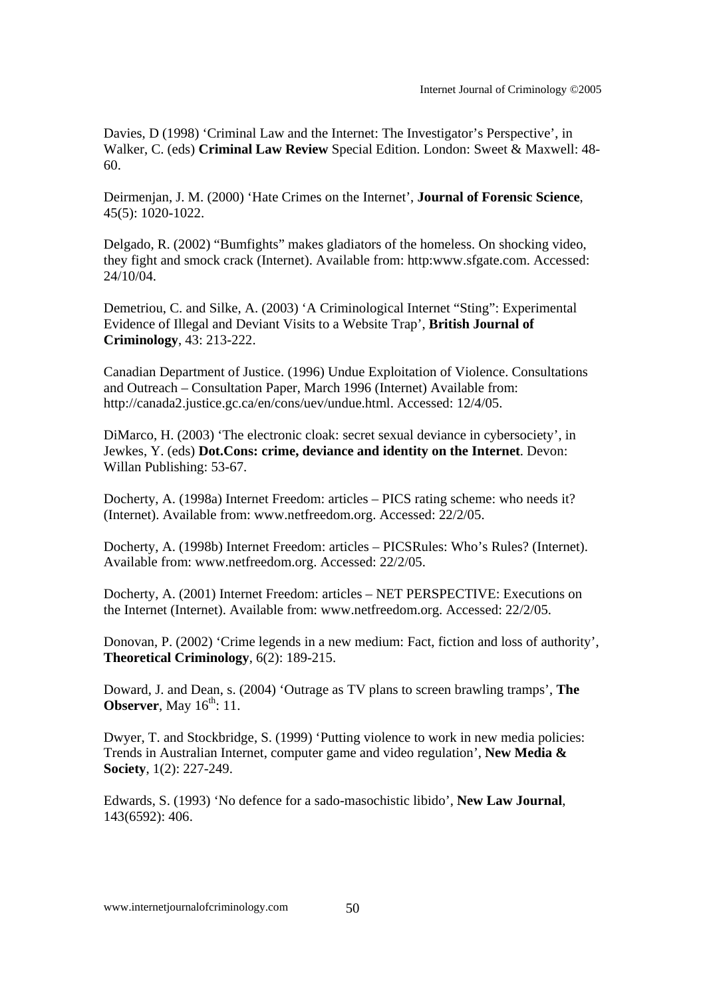Davies, D (1998) 'Criminal Law and the Internet: The Investigator's Perspective', in Walker, C. (eds) **Criminal Law Review** Special Edition. London: Sweet & Maxwell: 48- 60.

Deirmenjan, J. M. (2000) 'Hate Crimes on the Internet', **Journal of Forensic Science**, 45(5): 1020-1022.

Delgado, R. (2002) "Bumfights" makes gladiators of the homeless. On shocking video, they fight and smock crack (Internet). Available from: http:www.sfgate.com. Accessed: 24/10/04.

Demetriou, C. and Silke, A. (2003) 'A Criminological Internet "Sting": Experimental Evidence of Illegal and Deviant Visits to a Website Trap', **British Journal of Criminology**, 43: 213-222.

Canadian Department of Justice. (1996) Undue Exploitation of Violence. Consultations and Outreach – Consultation Paper, March 1996 (Internet) Available from: http://canada2.justice.gc.ca/en/cons/uev/undue.html. Accessed: 12/4/05.

DiMarco, H. (2003) 'The electronic cloak: secret sexual deviance in cybersociety', in Jewkes, Y. (eds) **Dot.Cons: crime, deviance and identity on the Internet**. Devon: Willan Publishing: 53-67.

Docherty, A. (1998a) Internet Freedom: articles – PICS rating scheme: who needs it? (Internet). Available from: www.netfreedom.org. Accessed: 22/2/05.

Docherty, A. (1998b) Internet Freedom: articles – PICSRules: Who's Rules? (Internet). Available from: www.netfreedom.org. Accessed: 22/2/05.

Docherty, A. (2001) Internet Freedom: articles – NET PERSPECTIVE: Executions on the Internet (Internet). Available from: www.netfreedom.org. Accessed: 22/2/05.

Donovan, P. (2002) 'Crime legends in a new medium: Fact, fiction and loss of authority', **Theoretical Criminology**, 6(2): 189-215.

Doward, J. and Dean, s. (2004) 'Outrage as TV plans to screen brawling tramps', **The Observer**, May 16<sup>th</sup>: 11.

Dwyer, T. and Stockbridge, S. (1999) 'Putting violence to work in new media policies: Trends in Australian Internet, computer game and video regulation', **New Media & Society**, 1(2): 227-249.

Edwards, S. (1993) 'No defence for a sado-masochistic libido', **New Law Journal**, 143(6592): 406.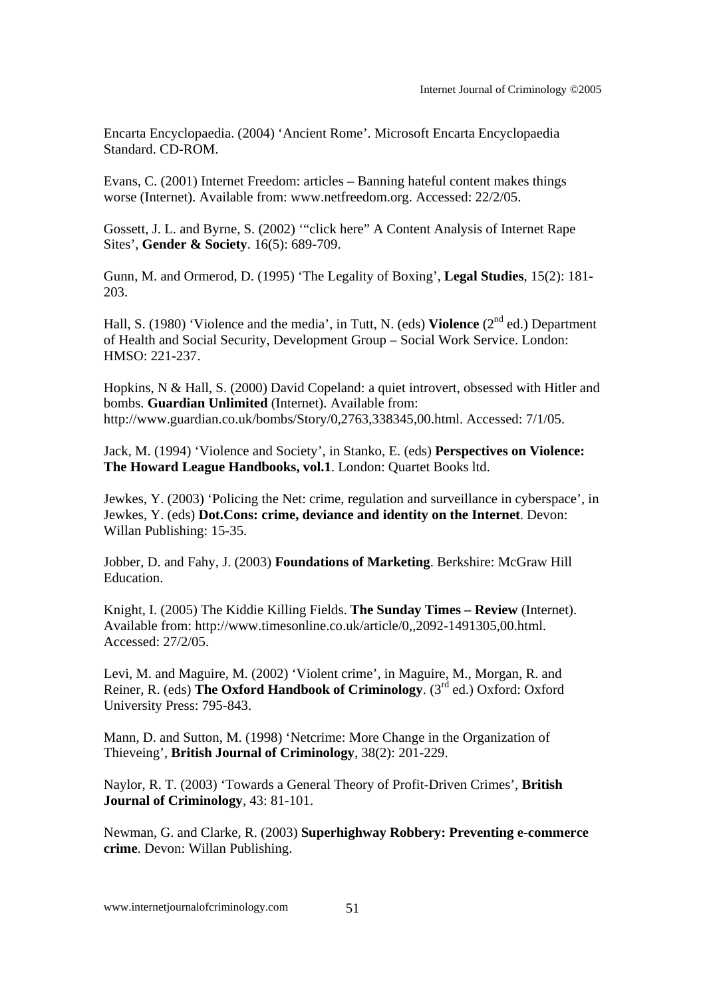Encarta Encyclopaedia. (2004) 'Ancient Rome'. Microsoft Encarta Encyclopaedia Standard. CD-ROM.

Evans, C. (2001) Internet Freedom: articles – Banning hateful content makes things worse (Internet). Available from: www.netfreedom.org. Accessed: 22/2/05.

Gossett, J. L. and Byrne, S. (2002) '"click here" A Content Analysis of Internet Rape Sites', **Gender & Society**. 16(5): 689-709.

Gunn, M. and Ormerod, D. (1995) 'The Legality of Boxing', **Legal Studies**, 15(2): 181- 203.

Hall, S. (1980) 'Violence and the media', in Tutt, N. (eds) **Violence** (2<sup>nd</sup> ed.) Department of Health and Social Security, Development Group – Social Work Service. London: HMSO: 221-237.

Hopkins, N & Hall, S. (2000) David Copeland: a quiet introvert, obsessed with Hitler and bombs. **Guardian Unlimited** (Internet). Available from: http://www.guardian.co.uk/bombs/Story/0,2763,338345,00.html. Accessed: 7/1/05.

Jack, M. (1994) 'Violence and Society', in Stanko, E. (eds) **Perspectives on Violence: The Howard League Handbooks, vol.1**. London: Quartet Books ltd.

Jewkes, Y. (2003) 'Policing the Net: crime, regulation and surveillance in cyberspace', in Jewkes, Y. (eds) **Dot.Cons: crime, deviance and identity on the Internet**. Devon: Willan Publishing: 15-35.

Jobber, D. and Fahy, J. (2003) **Foundations of Marketing**. Berkshire: McGraw Hill Education.

Knight, I. (2005) The Kiddie Killing Fields. **The Sunday Times – Review** (Internet). Available from: http://www.timesonline.co.uk/article/0,,2092-1491305,00.html. Accessed: 27/2/05.

Levi, M. and Maguire, M. (2002) 'Violent crime', in Maguire, M., Morgan, R. and Reiner, R. (eds) **The Oxford Handbook of Criminology.**  $(3^{rd}$  ed.) Oxford: Oxford University Press: 795-843.

Mann, D. and Sutton, M. (1998) 'Netcrime: More Change in the Organization of Thieveing', **British Journal of Criminology**, 38(2): 201-229.

Naylor, R. T. (2003) 'Towards a General Theory of Profit-Driven Crimes', **British Journal of Criminology**, 43: 81-101.

Newman, G. and Clarke, R. (2003) **Superhighway Robbery: Preventing e-commerce crime**. Devon: Willan Publishing.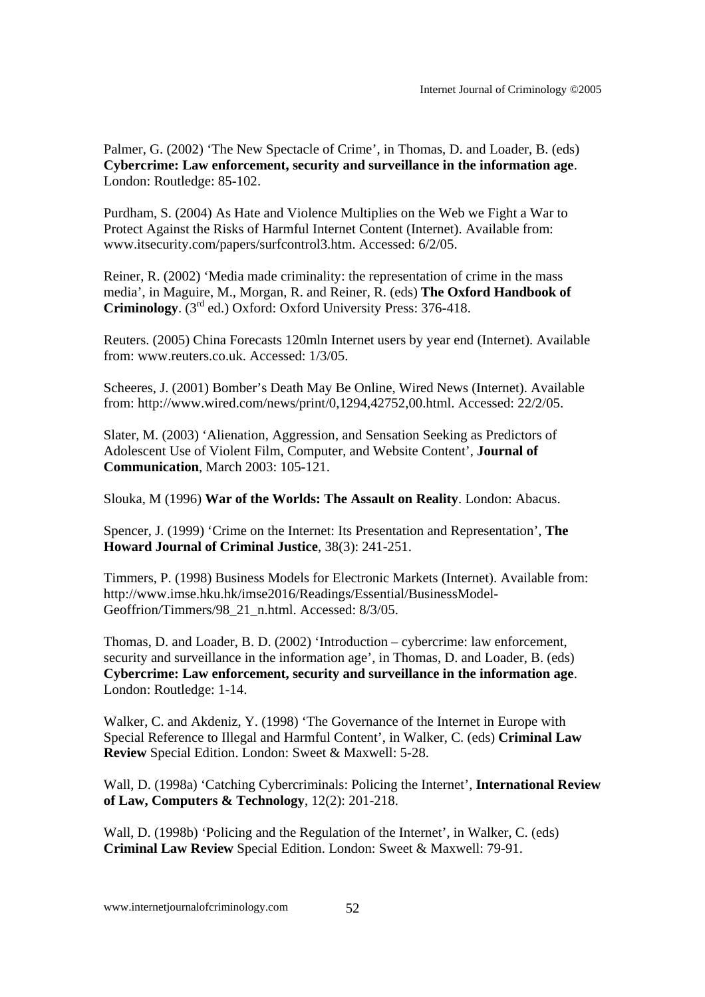Palmer, G. (2002) 'The New Spectacle of Crime', in Thomas, D. and Loader, B. (eds) **Cybercrime: Law enforcement, security and surveillance in the information age**. London: Routledge: 85-102.

Purdham, S. (2004) As Hate and Violence Multiplies on the Web we Fight a War to Protect Against the Risks of Harmful Internet Content (Internet). Available from: www.itsecurity.com/papers/surfcontrol3.htm. Accessed: 6/2/05.

Reiner, R. (2002) 'Media made criminality: the representation of crime in the mass media', in Maguire, M., Morgan, R. and Reiner, R. (eds) **The Oxford Handbook of Criminology**. (3rd ed.) Oxford: Oxford University Press: 376-418.

Reuters. (2005) China Forecasts 120mln Internet users by year end (Internet). Available from: www.reuters.co.uk. Accessed: 1/3/05.

Scheeres, J. (2001) Bomber's Death May Be Online, Wired News (Internet). Available from: http://www.wired.com/news/print/0,1294,42752,00.html. Accessed: 22/2/05.

Slater, M. (2003) 'Alienation, Aggression, and Sensation Seeking as Predictors of Adolescent Use of Violent Film, Computer, and Website Content', **Journal of Communication**, March 2003: 105-121.

Slouka, M (1996) **War of the Worlds: The Assault on Reality**. London: Abacus.

Spencer, J. (1999) 'Crime on the Internet: Its Presentation and Representation', **The Howard Journal of Criminal Justice**, 38(3): 241-251.

Timmers, P. (1998) Business Models for Electronic Markets (Internet). Available from: http://www.imse.hku.hk/imse2016/Readings/Essential/BusinessModel-Geoffrion/Timmers/98\_21\_n.html. Accessed: 8/3/05.

Thomas, D. and Loader, B. D. (2002) 'Introduction – cybercrime: law enforcement, security and surveillance in the information age', in Thomas, D. and Loader, B. (eds) **Cybercrime: Law enforcement, security and surveillance in the information age**. London: Routledge: 1-14.

Walker, C. and Akdeniz, Y. (1998) 'The Governance of the Internet in Europe with Special Reference to Illegal and Harmful Content', in Walker, C. (eds) **Criminal Law Review** Special Edition. London: Sweet & Maxwell: 5-28.

Wall, D. (1998a) 'Catching Cybercriminals: Policing the Internet', **International Review of Law, Computers & Technology**, 12(2): 201-218.

Wall, D. (1998b) 'Policing and the Regulation of the Internet', in Walker, C. (eds) **Criminal Law Review** Special Edition. London: Sweet & Maxwell: 79-91.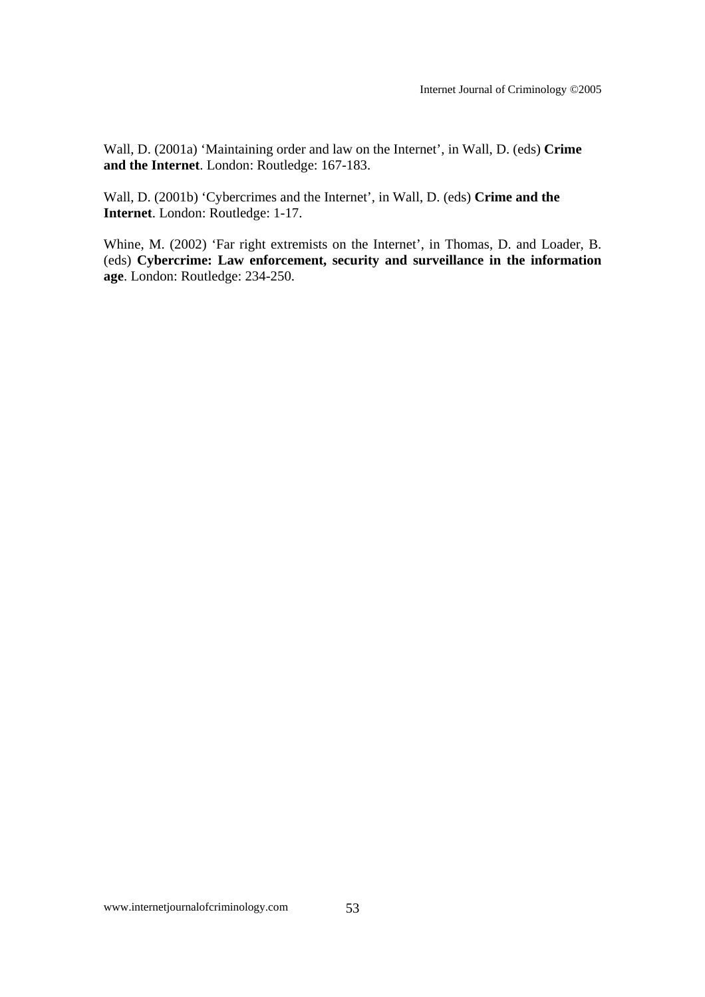Wall, D. (2001a) 'Maintaining order and law on the Internet', in Wall, D. (eds) **Crime and the Internet**. London: Routledge: 167-183.

Wall, D. (2001b) 'Cybercrimes and the Internet', in Wall, D. (eds) **Crime and the Internet**. London: Routledge: 1-17.

Whine, M. (2002) 'Far right extremists on the Internet', in Thomas, D. and Loader, B. (eds) **Cybercrime: Law enforcement, security and surveillance in the information age**. London: Routledge: 234-250.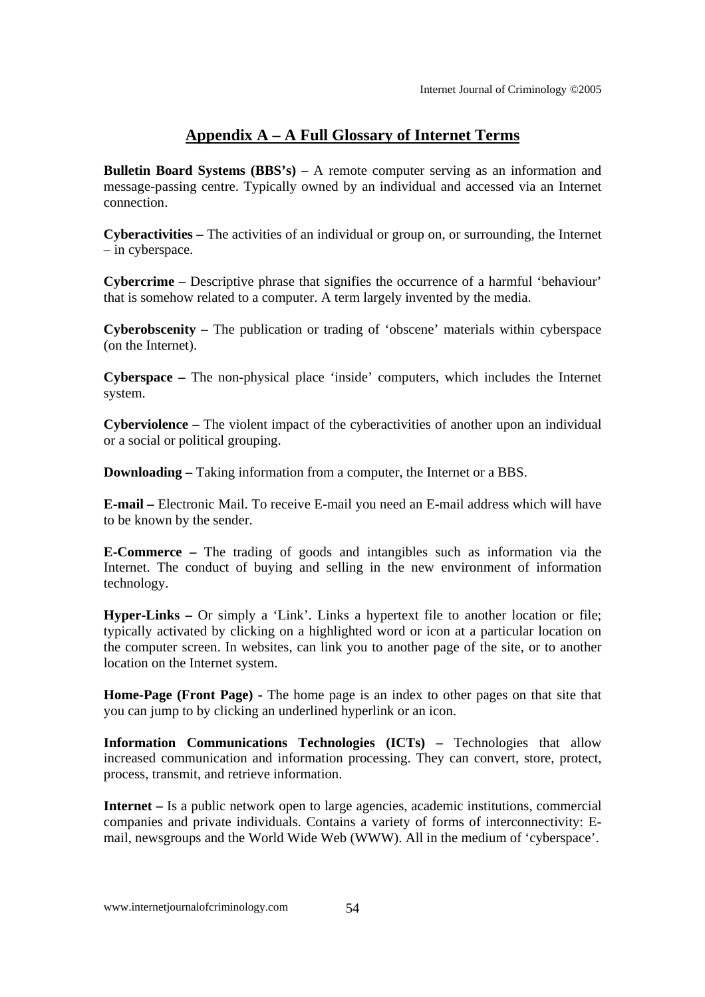### **Appendix A – A Full Glossary of Internet Terms**

**Bulletin Board Systems (BBS's) –** A remote computer serving as an information and message-passing centre. Typically owned by an individual and accessed via an Internet connection.

**Cyberactivities –** The activities of an individual or group on, or surrounding, the Internet – in cyberspace.

**Cybercrime –** Descriptive phrase that signifies the occurrence of a harmful 'behaviour' that is somehow related to a computer. A term largely invented by the media.

**Cyberobscenity –** The publication or trading of 'obscene' materials within cyberspace (on the Internet).

**Cyberspace –** The non-physical place 'inside' computers, which includes the Internet system.

**Cyberviolence –** The violent impact of the cyberactivities of another upon an individual or a social or political grouping.

**Downloading – Taking information from a computer, the Internet or a BBS.** 

**E-mail –** Electronic Mail. To receive E-mail you need an E-mail address which will have to be known by the sender.

**E-Commerce –** The trading of goods and intangibles such as information via the Internet. The conduct of buying and selling in the new environment of information technology.

**Hyper-Links –** Or simply a 'Link'. Links a hypertext file to another location or file; typically activated by clicking on a highlighted word or icon at a particular location on the computer screen. In websites, can link you to another page of the site, or to another location on the Internet system.

**Home-Page (Front Page) -** The home page is an index to other pages on that site that you can jump to by clicking an underlined hyperlink or an icon.

**Information Communications Technologies (ICTs) – Technologies that allow** increased communication and information processing. They can convert, store, protect, process, transmit, and retrieve information.

**Internet –** Is a public network open to large agencies, academic institutions, commercial companies and private individuals. Contains a variety of forms of interconnectivity: Email, newsgroups and the World Wide Web (WWW). All in the medium of 'cyberspace'.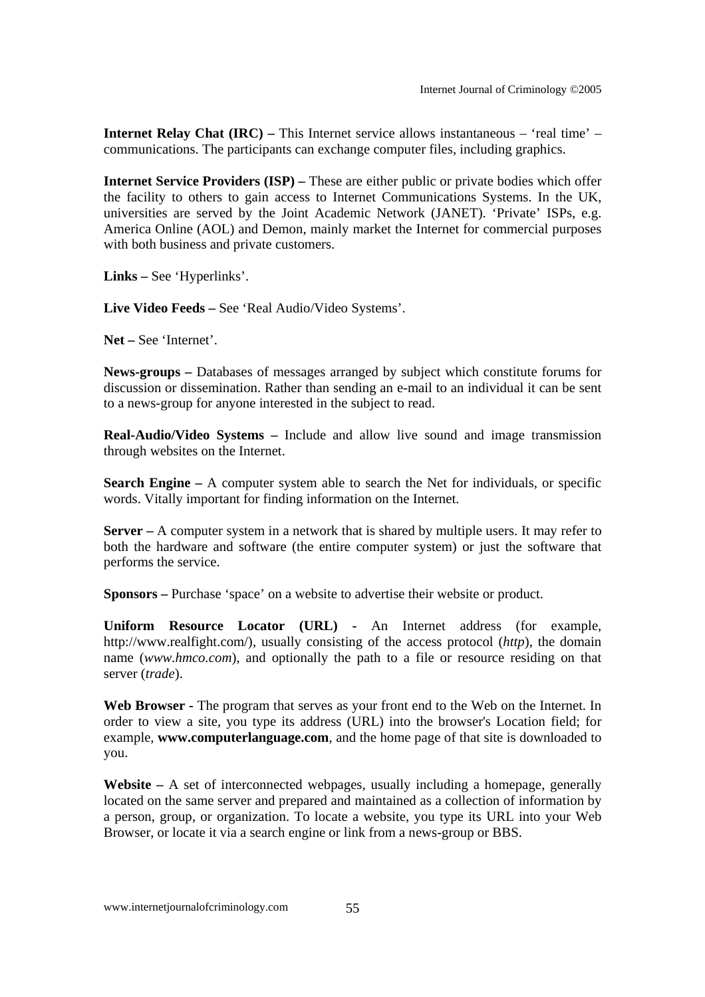**Internet Relay Chat (IRC) – This Internet service allows instantaneous – 'real time' –** communications. The participants can exchange computer files, including graphics.

**Internet Service Providers (ISP)** – These are either public or private bodies which offer the facility to others to gain access to Internet Communications Systems. In the UK, universities are served by the Joint Academic Network (JANET). 'Private' ISPs, e.g. America Online (AOL) and Demon, mainly market the Internet for commercial purposes with both business and private customers.

**Links –** See 'Hyperlinks'.

**Live Video Feeds –** See 'Real Audio/Video Systems'.

**Net –** See 'Internet'.

**News-groups –** Databases of messages arranged by subject which constitute forums for discussion or dissemination. Rather than sending an e-mail to an individual it can be sent to a news-group for anyone interested in the subject to read.

**Real-Audio/Video Systems –** Include and allow live sound and image transmission through websites on the Internet.

**Search Engine –** A computer system able to search the Net for individuals, or specific words. Vitally important for finding information on the Internet.

**Server –** A computer system in a network that is shared by multiple users. It may refer to both the hardware and software (the entire computer system) or just the software that performs the service.

**Sponsors –** Purchase 'space' on a website to advertise their website or product.

**Uniform Resource Locator (URL) -** An Internet address (for example, http://www.realfight.com/), usually consisting of the access protocol (*http*), the domain name (*www.hmco.com*), and optionally the path to a file or resource residing on that server (*trade*).

**Web Browser -** The program that serves as your front end to the Web on the Internet. In order to view a site, you type its address (URL) into the browser's Location field; for example, **www.computerlanguage.com**, and the home page of that site is downloaded to you.

**Website –** A set of interconnected webpages, usually including a homepage, generally located on the same server and prepared and maintained as a collection of information by a person, group, or organization. To locate a website, you type its URL into your Web Browser, or locate it via a search engine or link from a news-group or BBS.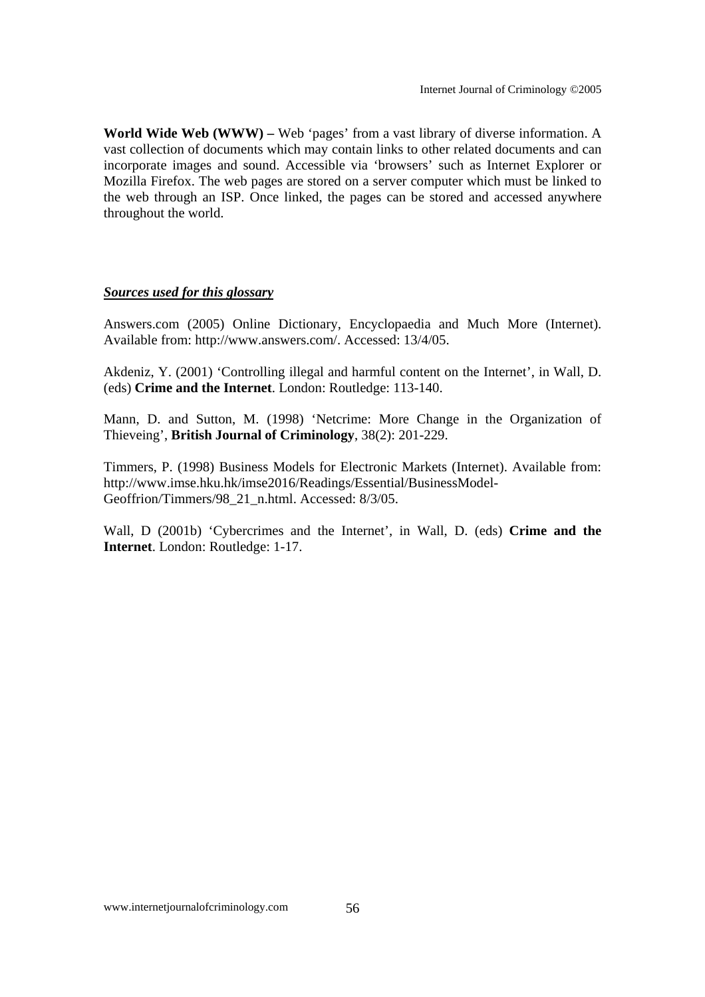**World Wide Web (WWW) –** Web 'pages' from a vast library of diverse information. A vast collection of documents which may contain links to other related documents and can incorporate images and sound. Accessible via 'browsers' such as Internet Explorer or Mozilla Firefox. The web pages are stored on a server computer which must be linked to the web through an ISP. Once linked, the pages can be stored and accessed anywhere throughout the world.

#### *Sources used for this glossary*

Answers.com (2005) Online Dictionary, Encyclopaedia and Much More (Internet). Available from: http://www.answers.com/. Accessed: 13/4/05.

Akdeniz, Y. (2001) 'Controlling illegal and harmful content on the Internet', in Wall, D. (eds) **Crime and the Internet**. London: Routledge: 113-140.

Mann, D. and Sutton, M. (1998) 'Netcrime: More Change in the Organization of Thieveing', **British Journal of Criminology**, 38(2): 201-229.

Timmers, P. (1998) Business Models for Electronic Markets (Internet). Available from: http://www.imse.hku.hk/imse2016/Readings/Essential/BusinessModel-Geoffrion/Timmers/98\_21\_n.html. Accessed: 8/3/05.

Wall, D (2001b) 'Cybercrimes and the Internet', in Wall, D. (eds) **Crime and the Internet**. London: Routledge: 1-17.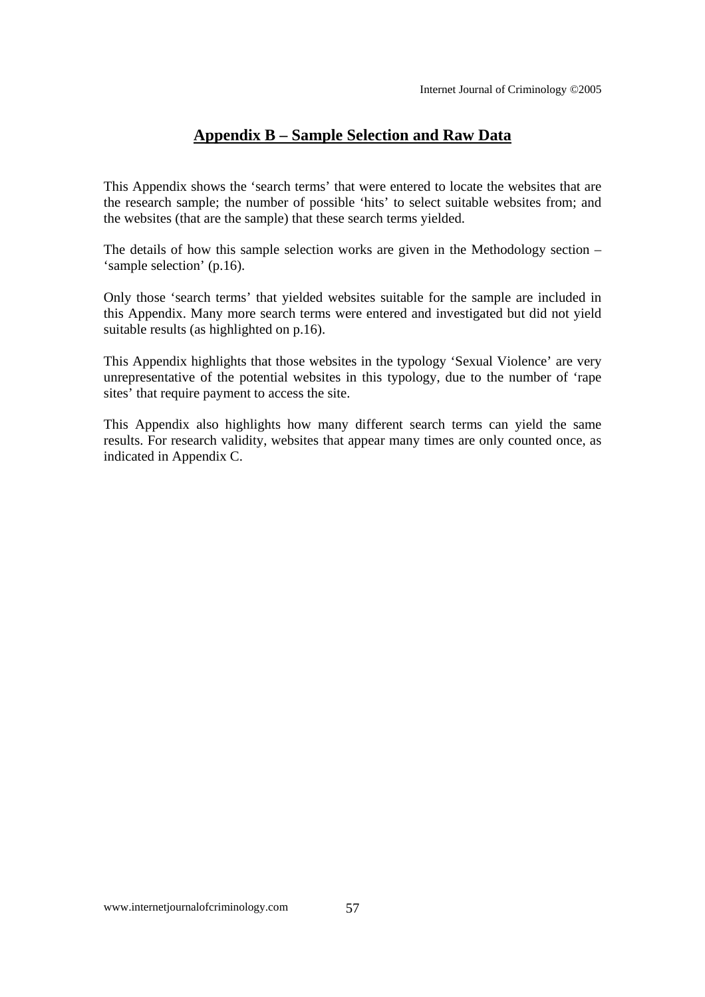## **Appendix B – Sample Selection and Raw Data**

This Appendix shows the 'search terms' that were entered to locate the websites that are the research sample; the number of possible 'hits' to select suitable websites from; and the websites (that are the sample) that these search terms yielded.

The details of how this sample selection works are given in the Methodology section – 'sample selection' (p.16).

Only those 'search terms' that yielded websites suitable for the sample are included in this Appendix. Many more search terms were entered and investigated but did not yield suitable results (as highlighted on p.16).

This Appendix highlights that those websites in the typology 'Sexual Violence' are very unrepresentative of the potential websites in this typology, due to the number of 'rape sites' that require payment to access the site.

This Appendix also highlights how many different search terms can yield the same results. For research validity, websites that appear many times are only counted once, as indicated in Appendix C.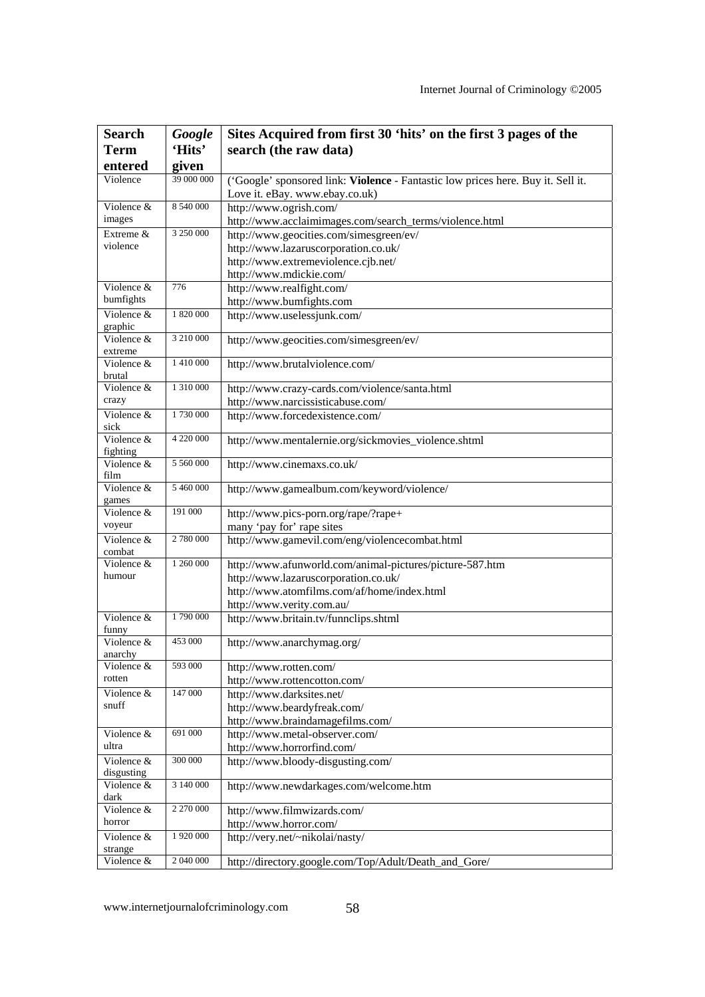| <b>Search</b>            | Google     | Sites Acquired from first 30 'hits' on the first 3 pages of the                  |  |  |  |  |  |  |
|--------------------------|------------|----------------------------------------------------------------------------------|--|--|--|--|--|--|
| <b>Term</b>              | 'Hits'     | search (the raw data)                                                            |  |  |  |  |  |  |
| entered                  | given      |                                                                                  |  |  |  |  |  |  |
| Violence                 | 39 000 000 | ('Google' sponsored link: Violence - Fantastic low prices here. Buy it. Sell it. |  |  |  |  |  |  |
|                          |            | Love it. eBay. www.ebay.co.uk)                                                   |  |  |  |  |  |  |
| Violence &               | 8 540 000  | http://www.ogrish.com/                                                           |  |  |  |  |  |  |
| images                   |            | http://www.acclaimimages.com/search_terms/violence.html                          |  |  |  |  |  |  |
| Extreme &                | 3 250 000  | http://www.geocities.com/simesgreen/ev/                                          |  |  |  |  |  |  |
| violence                 |            | http://www.lazaruscorporation.co.uk/                                             |  |  |  |  |  |  |
|                          |            | http://www.extremeviolence.cjb.net/                                              |  |  |  |  |  |  |
|                          |            | http://www.mdickie.com/                                                          |  |  |  |  |  |  |
| Violence &               | 776        | http://www.realfight.com/                                                        |  |  |  |  |  |  |
| bumfights                |            | http://www.bumfights.com                                                         |  |  |  |  |  |  |
| Violence &               | 1 820 000  | http://www.uselessjunk.com/                                                      |  |  |  |  |  |  |
| graphic                  |            |                                                                                  |  |  |  |  |  |  |
| Violence &               | 3 210 000  | http://www.geocities.com/simesgreen/ev/                                          |  |  |  |  |  |  |
| extreme<br>Violence &    | 1 410 000  | http://www.brutalviolence.com/                                                   |  |  |  |  |  |  |
| brutal                   |            |                                                                                  |  |  |  |  |  |  |
| Violence &               | 1 310 000  | http://www.crazy-cards.com/violence/santa.html                                   |  |  |  |  |  |  |
| crazy                    |            | http://www.narcissisticabuse.com/                                                |  |  |  |  |  |  |
| Violence &               | 1730 000   | http://www.forcedexistence.com/                                                  |  |  |  |  |  |  |
| sick                     |            |                                                                                  |  |  |  |  |  |  |
| Violence &<br>fighting   | 4 220 000  | http://www.mentalernie.org/sickmovies_violence.shtml                             |  |  |  |  |  |  |
| Violence &               | 5 560 000  | http://www.cinemaxs.co.uk/                                                       |  |  |  |  |  |  |
| film                     |            |                                                                                  |  |  |  |  |  |  |
| Violence &               | 5 460 000  | http://www.gamealbum.com/keyword/violence/                                       |  |  |  |  |  |  |
| games                    |            |                                                                                  |  |  |  |  |  |  |
| Violence &               | 191 000    | http://www.pics-porn.org/rape/?rape+                                             |  |  |  |  |  |  |
| voyeur                   |            | many 'pay for' rape sites                                                        |  |  |  |  |  |  |
| Violence &               | 2 780 000  | http://www.gamevil.com/eng/violencecombat.html                                   |  |  |  |  |  |  |
| combat<br>Violence &     | 1 260 000  |                                                                                  |  |  |  |  |  |  |
| humour                   |            | http://www.afunworld.com/animal-pictures/picture-587.htm                         |  |  |  |  |  |  |
|                          |            | http://www.lazaruscorporation.co.uk/                                             |  |  |  |  |  |  |
|                          |            | http://www.atomfilms.com/af/home/index.html<br>http://www.verity.com.au/         |  |  |  |  |  |  |
| Violence &               | 1790 000   | http://www.britain.tv/funnclips.shtml                                            |  |  |  |  |  |  |
| funny                    |            |                                                                                  |  |  |  |  |  |  |
| Violence &               | 453 000    | http://www.anarchymag.org/                                                       |  |  |  |  |  |  |
| anarchy                  |            |                                                                                  |  |  |  |  |  |  |
| Violence &               | 593 000    | http://www.rotten.com/                                                           |  |  |  |  |  |  |
| rotten                   |            | http://www.rottencotton.com/                                                     |  |  |  |  |  |  |
| Violence &               | 147 000    | http://www.darksites.net/                                                        |  |  |  |  |  |  |
| snuff                    |            | http://www.beardyfreak.com/                                                      |  |  |  |  |  |  |
|                          |            | http://www.braindamagefilms.com/                                                 |  |  |  |  |  |  |
| Violence &               | 691 000    | http://www.metal-observer.com/                                                   |  |  |  |  |  |  |
| ultra                    |            | http://www.horrorfind.com/                                                       |  |  |  |  |  |  |
| Violence &               | 300 000    | http://www.bloody-disgusting.com/                                                |  |  |  |  |  |  |
| disgusting<br>Violence & | 3 140 000  | http://www.newdarkages.com/welcome.htm                                           |  |  |  |  |  |  |
| dark                     |            |                                                                                  |  |  |  |  |  |  |
| Violence &               | 2 270 000  | http://www.filmwizards.com/                                                      |  |  |  |  |  |  |
| horror                   |            | http://www.horror.com/                                                           |  |  |  |  |  |  |
| Violence &               | 1 920 000  | http://very.net/~nikolai/nasty/                                                  |  |  |  |  |  |  |
| strange                  |            |                                                                                  |  |  |  |  |  |  |
| Violence &               | 2 040 000  | http://directory.google.com/Top/Adult/Death_and_Gore/                            |  |  |  |  |  |  |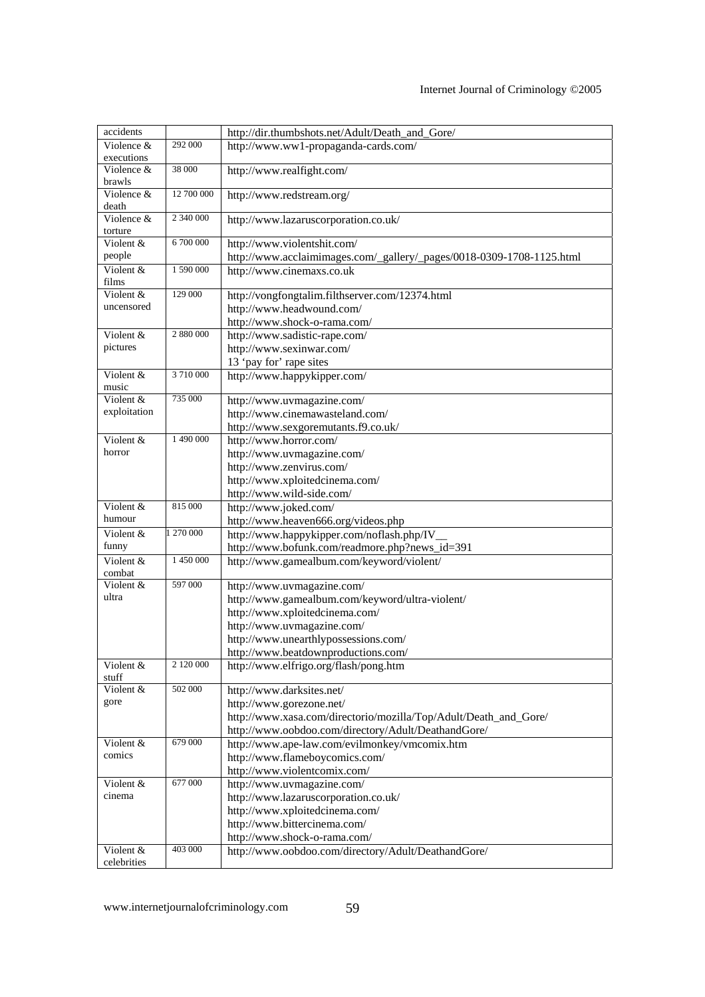| accidents                       |            | http://dir.thumbshots.net/Adult/Death_and_Gore/                       |
|---------------------------------|------------|-----------------------------------------------------------------------|
| Violence &                      | 292 000    | http://www.ww1-propaganda-cards.com/                                  |
| executions                      |            |                                                                       |
| Violence &                      | 38 000     | http://www.realfight.com/                                             |
| brawls                          |            |                                                                       |
| Violence &                      | 12 700 000 | http://www.redstream.org/                                             |
| death                           |            |                                                                       |
| $\overline{\text{V}}$ iolence & | 2 340 000  | http://www.lazaruscorporation.co.uk/                                  |
| torture                         |            |                                                                       |
| Violent &                       | 6 700 000  | http://www.violentshit.com/                                           |
| people                          |            | http://www.acclaimimages.com/_gallery/_pages/0018-0309-1708-1125.html |
| Violent &                       | 1 590 000  | http://www.cinemaxs.co.uk                                             |
| films                           |            |                                                                       |
| Violent &                       | 129 000    | http://vongfongtalim.filthserver.com/12374.html                       |
| uncensored                      |            | http://www.headwound.com/                                             |
|                                 |            | http://www.shock-o-rama.com/                                          |
| Violent &                       | 2 880 000  | http://www.sadistic-rape.com/                                         |
| pictures                        |            |                                                                       |
|                                 |            | http://www.sexinwar.com/                                              |
|                                 |            | 13 'pay for' rape sites                                               |
| Violent &                       | 3 710 000  | http://www.happykipper.com/                                           |
| music                           |            |                                                                       |
| Violent &                       | 735 000    | http://www.uvmagazine.com/                                            |
| exploitation                    |            | http://www.cinemawasteland.com/                                       |
|                                 |            | http://www.sexgoremutants.f9.co.uk/                                   |
| Violent &                       | 1 490 000  | http://www.horror.com/                                                |
| horror                          |            | http://www.uvmagazine.com/                                            |
|                                 |            | http://www.zenvirus.com/                                              |
|                                 |            | http://www.xploitedcinema.com/                                        |
|                                 |            | http://www.wild-side.com/                                             |
| Violent &                       | 815 000    |                                                                       |
| humour                          |            | http://www.joked.com/                                                 |
|                                 |            | http://www.heaven666.org/videos.php                                   |
| Violent &                       | 1 270 000  | http://www.happykipper.com/noflash.php/IV                             |
| funny                           |            | http://www.bofunk.com/readmore.php?news_id=391                        |
| Violent &                       | 1 450 000  | http://www.gamealbum.com/keyword/violent/                             |
| combat                          |            |                                                                       |
| Violent &                       | 597 000    | http://www.uvmagazine.com/                                            |
| ultra                           |            | http://www.gamealbum.com/keyword/ultra-violent/                       |
|                                 |            | http://www.xploitedcinema.com/                                        |
|                                 |            | http://www.uvmagazine.com/                                            |
|                                 |            | http://www.unearthlypossessions.com/                                  |
|                                 |            | http://www.beatdownproductions.com/                                   |
| Violent &                       | 2 120 000  | http://www.elfrigo.org/flash/pong.htm                                 |
| stuff                           |            |                                                                       |
| Violent &                       | 502 000    | http://www.darksites.net/                                             |
| gore                            |            | http://www.gorezone.net/                                              |
|                                 |            | http://www.xasa.com/directorio/mozilla/Top/Adult/Death_and_Gore/      |
|                                 |            |                                                                       |
|                                 |            | http://www.oobdoo.com/directory/Adult/DeathandGore/                   |
| Violent &<br>comics             | 679 000    | http://www.ape-law.com/evilmonkey/vmcomix.htm                         |
|                                 |            | http://www.flameboycomics.com/                                        |
|                                 |            | http://www.violentcomix.com/                                          |
| Violent &                       | 677 000    | http://www.uvmagazine.com/                                            |
| cinema                          |            | http://www.lazaruscorporation.co.uk/                                  |
|                                 |            | http://www.xploitedcinema.com/                                        |
|                                 |            | http://www.bittercinema.com/                                          |
|                                 |            | http://www.shock-o-rama.com/                                          |
| $\overline{\text{V}}$ iolent &  | 403 000    | http://www.oobdoo.com/directory/Adult/DeathandGore/                   |
| celebrities                     |            |                                                                       |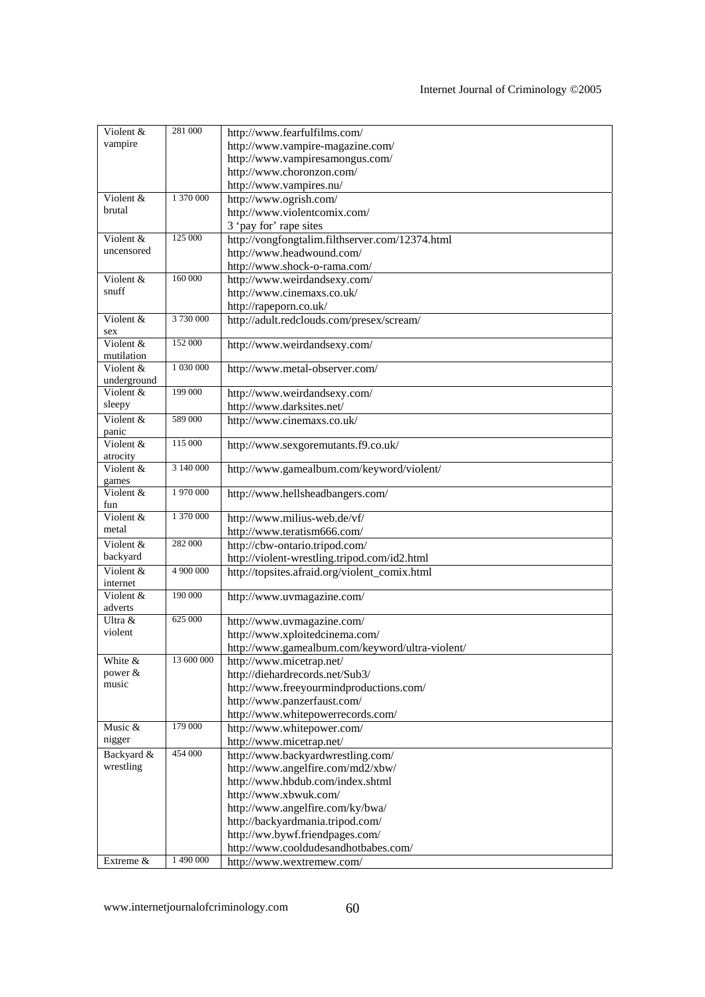| Violent &                             | 281 000    | http://www.fearfulfilms.com/                    |
|---------------------------------------|------------|-------------------------------------------------|
| vampire                               |            | http://www.vampire-magazine.com/                |
|                                       |            | http://www.vampiresamongus.com/                 |
|                                       |            | http://www.choronzon.com/                       |
|                                       |            | http://www.vampires.nu/                         |
| Violent &                             | 1 370 000  | http://www.ogrish.com/                          |
| brutal                                |            |                                                 |
|                                       |            | http://www.violentcomix.com/                    |
|                                       | 125 000    | 3 'pay for' rape sites                          |
| Violent &<br>uncensored               |            | http://vongfongtalim.filthserver.com/12374.html |
|                                       |            | http://www.headwound.com/                       |
|                                       |            | http://www.shock-o-rama.com/                    |
| Violent &                             | 160 000    | http://www.weirdandsexy.com/                    |
| snuff                                 |            | http://www.cinemaxs.co.uk/                      |
|                                       |            | http://rapeporn.co.uk/                          |
| $\overline{\text{V}}$ iolent &<br>sex | 3 730 000  | http://adult.redclouds.com/presex/scream/       |
| Violent &                             | 152 000    | http://www.weirdandsexy.com/                    |
| mutilation                            |            |                                                 |
| Violent &                             | 1 030 000  | http://www.metal-observer.com/                  |
| underground                           |            |                                                 |
| Violent &                             | 199 000    | http://www.weirdandsexy.com/                    |
| sleepy                                |            | http://www.darksites.net/                       |
| Violent &                             | 589 000    | http://www.cinemaxs.co.uk/                      |
| panic                                 |            |                                                 |
| Violent &                             | 115 000    | http://www.sexgoremutants.f9.co.uk/             |
| atrocity                              |            |                                                 |
| Violent &                             | 3 140 000  | http://www.gamealbum.com/keyword/violent/       |
| games                                 |            |                                                 |
| Violent &                             | 1 970 000  | http://www.hellsheadbangers.com/                |
| fun                                   |            |                                                 |
| Violent &                             | 1 370 000  | http://www.milius-web.de/vf/                    |
| metal                                 |            | http://www.teratism666.com/                     |
| Violent &                             | 282 000    | http://cbw-ontario.tripod.com/                  |
| backyard                              |            | http://violent-wrestling.tripod.com/id2.html    |
| Violent &<br>internet                 | 4 900 000  | http://topsites.afraid.org/violent_comix.html   |
| Violent &                             | 190 000    | http://www.uvmagazine.com/                      |
| adverts                               |            |                                                 |
| Ultra &                               | 625 000    | http://www.uvmagazine.com/                      |
| violent                               |            | http://www.xploitedcinema.com/                  |
|                                       |            | http://www.gamealbum.com/keyword/ultra-violent/ |
| White &                               | 13 600 000 | http://www.micetrap.net/                        |
| power $&$                             |            | http://diehardrecords.net/Sub3/                 |
| music                                 |            | http://www.freeyourmindproductions.com/         |
|                                       |            | http://www.panzerfaust.com/                     |
|                                       |            | http://www.whitepowerrecords.com/               |
| Music &                               | 179 000    | http://www.whitepower.com/                      |
| nigger                                |            | http://www.micetrap.net/                        |
| Backyard &                            | 454 000    | http://www.backyardwrestling.com/               |
| wrestling                             |            | http://www.angelfire.com/md2/xbw/               |
|                                       |            | http://www.hbdub.com/index.shtml                |
|                                       |            | http://www.xbwuk.com/                           |
|                                       |            | http://www.angelfire.com/ky/bwa/                |
|                                       |            |                                                 |
|                                       |            | http://backyardmania.tripod.com/                |
|                                       |            | http://ww.bywf.friendpages.com/                 |
|                                       |            | http://www.cooldudesandhotbabes.com/            |
| Extreme $\overline{\&}$               | 1 490 000  | http://www.wextremew.com/                       |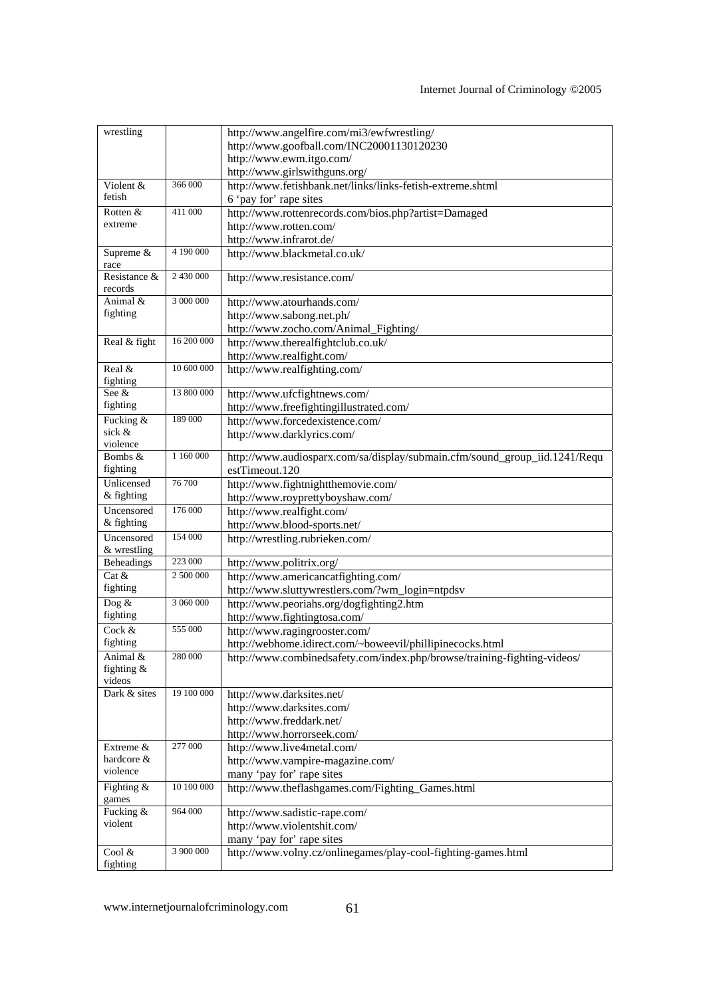| wrestling         |            | http://www.angelfire.com/mi3/ewfwrestling/                                 |
|-------------------|------------|----------------------------------------------------------------------------|
|                   |            | http://www.goofball.com/INC20001130120230                                  |
|                   |            | http://www.ewm.itgo.com/                                                   |
|                   |            | http://www.girlswithguns.org/                                              |
| Violent &         | 366 000    | http://www.fetishbank.net/links/links-fetish-extreme.shtml                 |
| fetish            |            |                                                                            |
|                   |            | 6 'pay for' rape sites                                                     |
| Rotten &          | 411 000    | http://www.rottenrecords.com/bios.php?artist=Damaged                       |
| extreme           |            | http://www.rotten.com/                                                     |
|                   |            | http://www.infrarot.de/                                                    |
| Supreme &         | 4 190 000  | http://www.blackmetal.co.uk/                                               |
| race              |            |                                                                            |
| Resistance &      | 2 430 000  | http://www.resistance.com/                                                 |
| records           |            |                                                                            |
| Animal &          | 3 000 000  | http://www.atourhands.com/                                                 |
| fighting          |            | http://www.sabong.net.ph/                                                  |
|                   |            | http://www.zocho.com/Animal_Fighting/                                      |
| Real & fight      | 16 200 000 | http://www.therealfightclub.co.uk/                                         |
|                   |            | http://www.realfight.com/                                                  |
| Real $\&$         | 10 600 000 |                                                                            |
|                   |            | http://www.realfighting.com/                                               |
| fighting<br>See & | 13 800 000 |                                                                            |
|                   |            | http://www.ufcfightnews.com/                                               |
| fighting          |            | http://www.freefightingillustrated.com/                                    |
| Fucking &         | 189 000    | http://www.forcedexistence.com/                                            |
| sick &            |            | http://www.darklyrics.com/                                                 |
| violence          |            |                                                                            |
| Bombs &           | 1 160 000  | http://www.audiosparx.com/sa/display/submain.cfm/sound_group_iid.1241/Requ |
| fighting          |            | estTimeout.120                                                             |
| Unlicensed        | 76 700     | http://www.fightnightthemovie.com/                                         |
| & fighting        |            | http://www.royprettyboyshaw.com/                                           |
| Uncensored        | 176 000    | http://www.realfight.com/                                                  |
| & fighting        |            | http://www.blood-sports.net/                                               |
| Uncensored        | 154 000    | http://wrestling.rubrieken.com/                                            |
| & wrestling       |            |                                                                            |
| <b>Beheadings</b> | 223 000    | http://www.politrix.org/                                                   |
| Cat &             | 2 500 000  |                                                                            |
|                   |            | http://www.americancatfighting.com/                                        |
| fighting          |            | http://www.sluttywrestlers.com/?wm_login=ntpdsv                            |
| Dog $&$           | 3 060 000  | http://www.peoriahs.org/dogfighting2.htm                                   |
| fighting          |            | http://www.fightingtosa.com/                                               |
| Cock &            | 555 000    | http://www.ragingrooster.com/                                              |
| fighting          |            | http://webhome.idirect.com/~boweevil/phillipinecocks.html                  |
| Animal &          | 280 000    | http://www.combinedsafety.com/index.php/browse/training-fighting-videos/   |
| fighting $\&$     |            |                                                                            |
| videos            |            |                                                                            |
| Dark & sites      | 19 100 000 | http://www.darksites.net/                                                  |
|                   |            | http://www.darksites.com/                                                  |
|                   |            | http://www.freddark.net/                                                   |
|                   |            | http://www.horrorseek.com/                                                 |
| Extreme &         | 277 000    |                                                                            |
| hardcore &        |            | http://www.live4metal.com/                                                 |
| violence          |            | http://www.vampire-magazine.com/                                           |
|                   |            | many 'pay for' rape sites                                                  |
| Fighting &        | 10 100 000 | http://www.theflashgames.com/Fighting_Games.html                           |
| games             |            |                                                                            |
| Fucking &         | 964 000    | http://www.sadistic-rape.com/                                              |
| violent           |            | http://www.violentshit.com/                                                |
|                   |            | many 'pay for' rape sites                                                  |
| Cool $&$          | 3 900 000  | http://www.volny.cz/onlinegames/play-cool-fighting-games.html              |
| fighting          |            |                                                                            |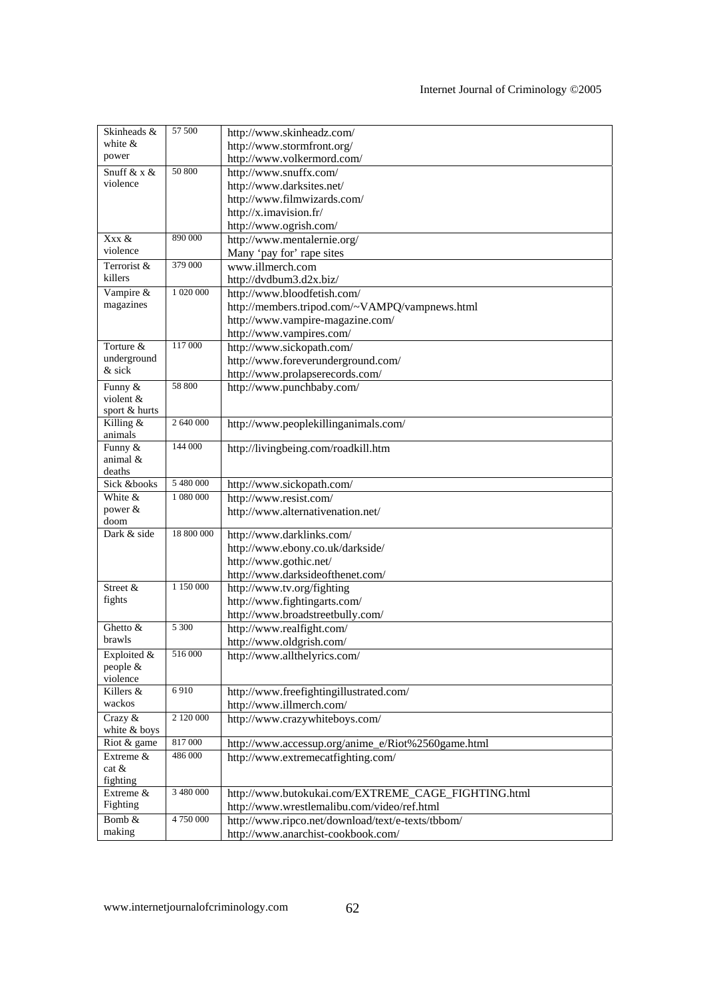| Skinheads &          | 57 500     | http://www.skinheadz.com/                           |
|----------------------|------------|-----------------------------------------------------|
| white $\&$           |            | http://www.stormfront.org/                          |
| power                |            | http://www.volkermord.com/                          |
| Snuff & $x \&$       | 50 800     | http://www.snuffx.com/                              |
| violence             |            | http://www.darksites.net/                           |
|                      |            | http://www.filmwizards.com/                         |
|                      |            | http://x.imavision.fr/                              |
|                      |            | http://www.ogrish.com/                              |
| Xxx &                | 890 000    | http://www.mentalernie.org/                         |
| violence             |            | Many 'pay for' rape sites                           |
| Terrorist &          | 379 000    | www.illmerch.com                                    |
| killers              |            | http://dvdbum3.d2x.biz/                             |
| Vampire &            | 1 020 000  | http://www.bloodfetish.com/                         |
| magazines            |            | http://members.tripod.com/~VAMPQ/vampnews.html      |
|                      |            | http://www.vampire-magazine.com/                    |
|                      |            | http://www.vampires.com/                            |
| Torture &            | 117 000    | http://www.sickopath.com/                           |
| underground          |            | http://www.foreverunderground.com/                  |
| & sick               |            | http://www.prolapserecords.com/                     |
| Funny &              | 58 800     | http://www.punchbaby.com/                           |
| violent &            |            |                                                     |
| sport & hurts        |            |                                                     |
| Killing $\&$         | 2 640 000  | http://www.peoplekillinganimals.com/                |
| animals<br>Funny &   | 144 000    |                                                     |
| animal &             |            | http://livingbeing.com/roadkill.htm                 |
| deaths               |            |                                                     |
| Sick &books          | 5 480 000  | http://www.sickopath.com/                           |
| White &              | 1 080 000  | http://www.resist.com/                              |
| power $&$            |            | http://www.alternativenation.net/                   |
| doom                 |            |                                                     |
| Dark & side          | 18 800 000 | http://www.darklinks.com/                           |
|                      |            | http://www.ebony.co.uk/darkside/                    |
|                      |            | http://www.gothic.net/                              |
|                      |            | http://www.darksideofthenet.com/                    |
| Street &             | 1 150 000  | http://www.tv.org/fighting                          |
| fights               |            | http://www.fightingarts.com/                        |
|                      |            | http://www.broadstreetbully.com/                    |
| Ghetto &             | 5 300      | http://www.realfight.com/                           |
| brawls               |            | http://www.oldgrish.com/                            |
| Exploited $&$        | 516 000    | http://www.allthelyrics.com/                        |
| people &<br>violence |            |                                                     |
| Killers &            | 6910       | http://www.freefightingillustrated.com/             |
| wackos               |            | http://www.illmerch.com/                            |
| Crazy &              | 2 120 000  | http://www.crazywhiteboys.com/                      |
| white & boys         |            |                                                     |
| Riot & game          | 817000     | http://www.accessup.org/anime_e/Riot%2560game.html  |
| Extreme &            | 486 000    | http://www.extremecatfighting.com/                  |
| cat &                |            |                                                     |
| fighting             |            |                                                     |
| Extreme &            | 3 480 000  | http://www.butokukai.com/EXTREME_CAGE_FIGHTING.html |
| Fighting             |            | http://www.wrestlemalibu.com/video/ref.html         |
| Bomb &               | 4 750 000  | http://www.ripco.net/download/text/e-texts/tbbom/   |
| making               |            | http://www.anarchist-cookbook.com/                  |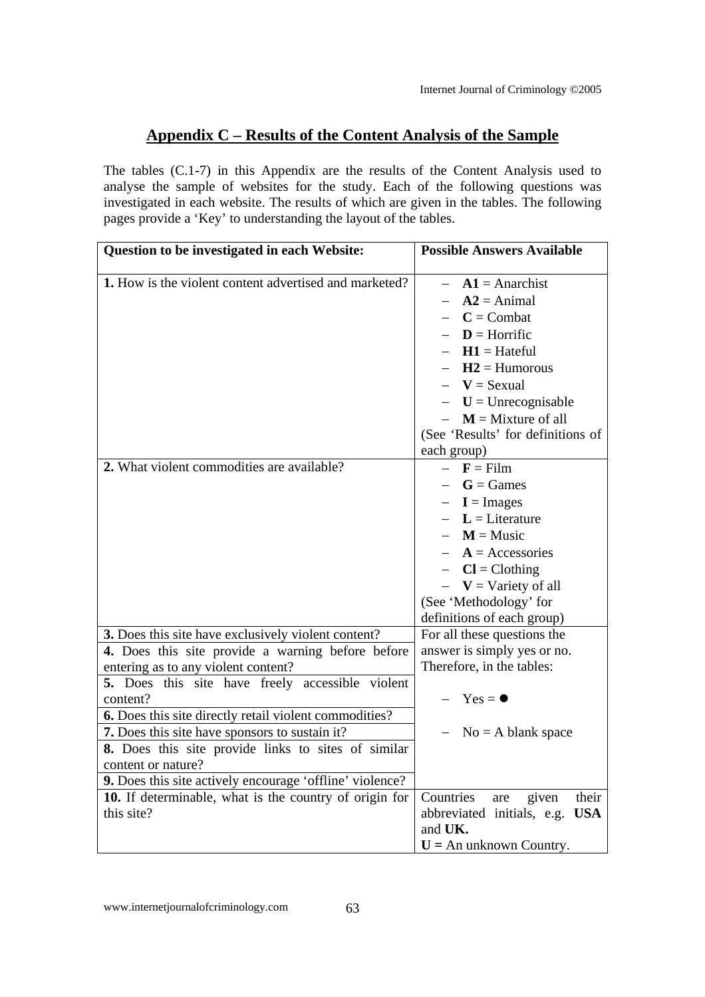### **Appendix C – Results of the Content Analysis of the Sample**

The tables (C.1-7) in this Appendix are the results of the Content Analysis used to analyse the sample of websites for the study. Each of the following questions was investigated in each website. The results of which are given in the tables. The following pages provide a 'Key' to understanding the layout of the tables.

| Question to be investigated in each Website:                                                                                                                                                                                                                                                                                                                                                                                                                         | <b>Possible Answers Available</b>                                                                                                                                                                                                           |
|----------------------------------------------------------------------------------------------------------------------------------------------------------------------------------------------------------------------------------------------------------------------------------------------------------------------------------------------------------------------------------------------------------------------------------------------------------------------|---------------------------------------------------------------------------------------------------------------------------------------------------------------------------------------------------------------------------------------------|
| 1. How is the violent content advertised and marketed?                                                                                                                                                                                                                                                                                                                                                                                                               | $A1$ = Anarchist<br>$A2 = Animal$<br>$C =$ Combat<br>$D =$ Horrific<br>$H1 = Hateful$<br>$H2 =$ Humorous<br>$V =$ Sexual<br>$-$ U = Unrecognisable<br>$- M$ = Mixture of all<br>(See 'Results' for definitions of                           |
| 2. What violent commodities are available?                                                                                                                                                                                                                                                                                                                                                                                                                           | each group)<br>$-$ <b>F</b> = Film<br>$-G = Games$<br>$- I = \text{Images}$<br>$-L =$ Literature<br>$- M$ = Music<br>$A = Accessories$<br>$-Cl = Clothing$<br>$ V =$ Variety of all<br>(See 'Methodology' for<br>definitions of each group) |
| 3. Does this site have exclusively violent content?<br>4. Does this site provide a warning before before<br>entering as to any violent content?<br>5. Does this site have freely accessible violent<br>content?<br>6. Does this site directly retail violent commodities?<br>7. Does this site have sponsors to sustain it?<br>8. Does this site provide links to sites of similar<br>content or nature?<br>9. Does this site actively encourage 'offline' violence? | For all these questions the<br>answer is simply yes or no.<br>Therefore, in the tables:<br>$Yes = \bullet$<br>$No = A blank space$                                                                                                          |
| 10. If determinable, what is the country of origin for<br>this site?                                                                                                                                                                                                                                                                                                                                                                                                 | Countries<br>given<br>their<br>are<br>abbreviated initials, e.g. USA<br>and UK.<br>$U = An unknown Country.$                                                                                                                                |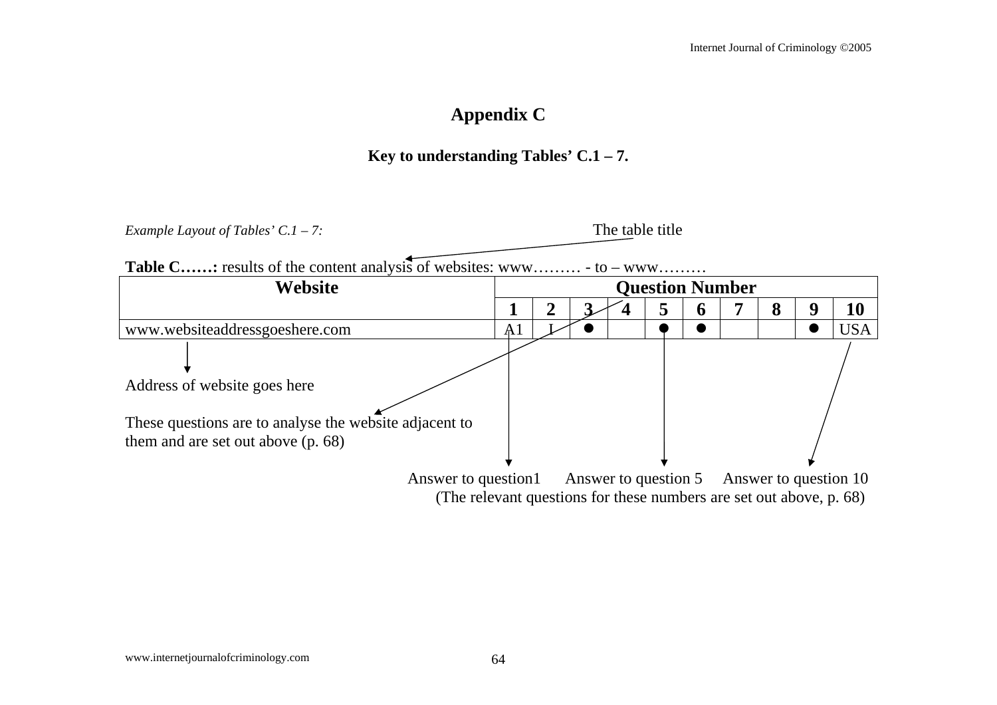# **Appendix C**

### **Key to understanding Tables' C.1 – 7.**

*Example Layout of Tables' C.1 – 7:* The table title

**Table C……:** results of the content analysis of websites: www……… - to – www………

| Website                                                                                                                        | <b>Question Number</b> |  |  |                      |  |   |  |   |   |                       |
|--------------------------------------------------------------------------------------------------------------------------------|------------------------|--|--|----------------------|--|---|--|---|---|-----------------------|
|                                                                                                                                |                        |  |  |                      |  | o |  | 8 | y | 10                    |
| www.websiteaddressgoeshere.com                                                                                                 | A <sup>1</sup>         |  |  |                      |  |   |  |   |   | USA                   |
| Address of website goes here<br>These questions are to analyse the website adjacent to<br>them and are set out above $(p. 68)$ |                        |  |  |                      |  |   |  |   |   |                       |
| Answer to question1<br>(The relevant questions for these numbers are set out above, p. 68)                                     |                        |  |  | Answer to question 5 |  |   |  |   |   | Answer to question 10 |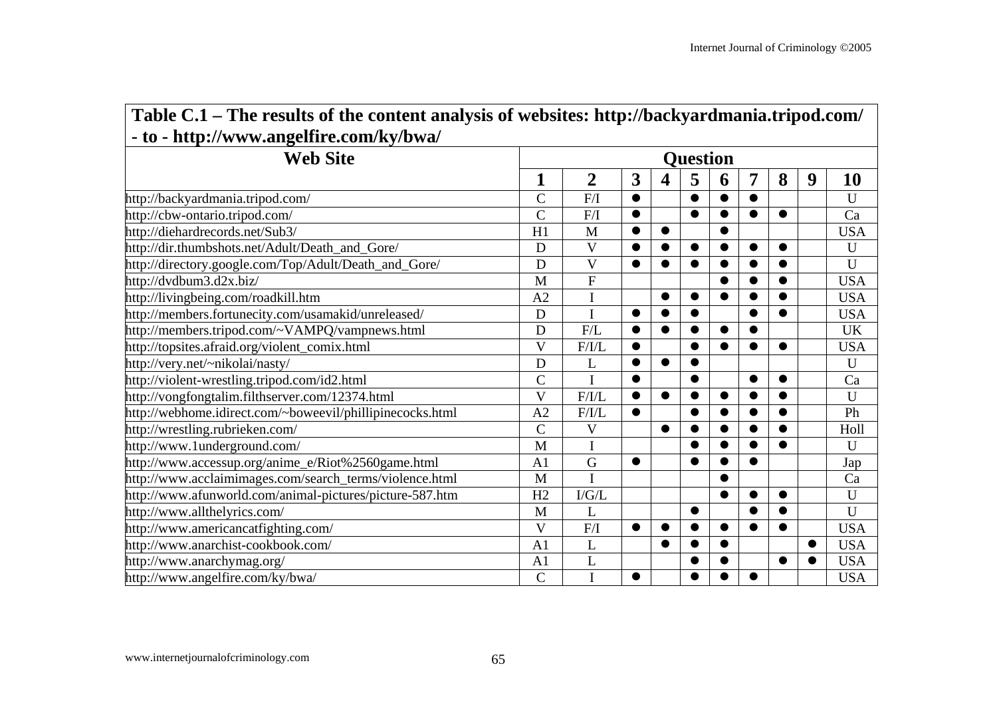| Table C.1 – The results of the content analysis of websites: http://backyardmania.tripod.com/ |                         |                   |           |           |           |           |           |           |           |             |  |  |  |  |
|-----------------------------------------------------------------------------------------------|-------------------------|-------------------|-----------|-----------|-----------|-----------|-----------|-----------|-----------|-------------|--|--|--|--|
| - to - http://www.angelfire.com/ky/bwa/                                                       |                         |                   |           |           |           |           |           |           |           |             |  |  |  |  |
| <b>Web Site</b>                                                                               | <b>Question</b>         |                   |           |           |           |           |           |           |           |             |  |  |  |  |
|                                                                                               | 1                       | $\overline{2}$    | 3         | 4         | 5         | 6         | 7         | 8         | 9         | <b>10</b>   |  |  |  |  |
| http://backyardmania.tripod.com/                                                              | $\overline{C}$          | F/I               | $\bullet$ |           | $\bullet$ |           |           |           |           | U           |  |  |  |  |
| http://cbw-ontario.tripod.com/                                                                | $\overline{C}$          | F/I               | $\bullet$ |           | $\bullet$ | $\bullet$ | $\bullet$ | $\bullet$ |           | Ca          |  |  |  |  |
| http://diehardrecords.net/Sub3/                                                               | H1                      | M                 | $\bullet$ | $\bullet$ |           | $\bullet$ |           |           |           | <b>USA</b>  |  |  |  |  |
| http://dir.thumbshots.net/Adult/Death_and_Gore/                                               | D                       | V                 | $\bullet$ |           | ●         |           | $\bullet$ |           |           | $\mathbf U$ |  |  |  |  |
| http://directory.google.com/Top/Adult/Death_and_Gore/                                         | D                       | $\mathbf V$       | $\bullet$ | $\bullet$ | $\bullet$ |           | $\bullet$ |           |           | $\mathbf U$ |  |  |  |  |
| http://dvdbum3.d2x.biz/                                                                       | M                       | ${\bf F}$         |           |           |           |           | $\bullet$ | $\bullet$ |           | <b>USA</b>  |  |  |  |  |
| http://livingbeing.com/roadkill.htm                                                           | A2                      |                   |           | $\bullet$ | $\bullet$ | $\bullet$ |           |           |           | <b>USA</b>  |  |  |  |  |
| http://members.fortunecity.com/usamakid/unreleased/                                           | D                       | I                 | $\bullet$ | $\bullet$ | $\bullet$ |           | $\bullet$ | $\bullet$ |           | <b>USA</b>  |  |  |  |  |
| http://members.tripod.com/~VAMPQ/vampnews.html                                                | D                       | F/L               | $\bullet$ | $\bullet$ | ●         |           |           |           |           | <b>UK</b>   |  |  |  |  |
| http://topsites.afraid.org/violent_comix.html                                                 | $\overline{\mathbf{V}}$ | F/IL              | $\bullet$ |           | $\bullet$ | $\bullet$ | $\bullet$ | $\bullet$ |           | <b>USA</b>  |  |  |  |  |
| http://very.net/~nikolai/nasty/                                                               | D                       | L                 | $\bullet$ | $\bullet$ | $\bullet$ |           |           |           |           | $\mathbf U$ |  |  |  |  |
| http://violent-wrestling.tripod.com/id2.html                                                  | $\overline{C}$          |                   | $\bullet$ |           | $\bullet$ |           | $\bullet$ |           |           | Ca          |  |  |  |  |
| http://vongfongtalim.filthserver.com/12374.html                                               | $\overline{\mathbf{V}}$ | F/I/L             | $\bullet$ | $\bullet$ | $\bullet$ | $\bullet$ | $\bullet$ |           |           | $\mathbf U$ |  |  |  |  |
| http://webhome.idirect.com/~boweevil/phillipinecocks.html                                     | A2                      | F/ I/L            | $\bullet$ |           | $\bullet$ | $\bullet$ | $\bullet$ |           |           | Ph          |  |  |  |  |
| http://wrestling.rubrieken.com/                                                               | $\overline{C}$          | $\mathbf V$       |           | $\bullet$ | ●         | $\bullet$ |           |           |           | Holl        |  |  |  |  |
| http://www.1underground.com/                                                                  | M                       | I                 |           |           | $\bullet$ | $\bullet$ | $\bullet$ | $\bullet$ |           | U           |  |  |  |  |
| http://www.accessup.org/anime_e/Riot%2560game.html                                            | A <sub>1</sub>          | $\mathbf G$       | $\bullet$ |           | $\bullet$ |           | $\bullet$ |           |           | Jap         |  |  |  |  |
| http://www.acclaimimages.com/search_terms/violence.html                                       | M                       |                   |           |           |           |           |           |           |           | Ca          |  |  |  |  |
| http://www.afunworld.com/animal-pictures/picture-587.htm                                      | H2                      | $\rm I/G/L$       |           |           |           | $\bullet$ | $\bullet$ | $\bullet$ |           | $\mathbf U$ |  |  |  |  |
| http://www.allthelyrics.com/                                                                  | M                       | L                 |           |           | $\bullet$ |           |           |           |           | U           |  |  |  |  |
| http://www.americancatfighting.com/                                                           | $\overline{\mathbf{V}}$ | ${\rm F}/{\rm I}$ | $\bullet$ |           | $\bullet$ | $\bullet$ | $\bullet$ |           |           | <b>USA</b>  |  |  |  |  |
| http://www.anarchist-cookbook.com/                                                            | A <sub>1</sub>          | L                 |           |           |           |           |           |           | $\bullet$ | <b>USA</b>  |  |  |  |  |
| http://www.anarchymag.org/                                                                    | A <sub>1</sub>          | L                 |           |           | ●         |           |           |           | $\bullet$ | <b>USA</b>  |  |  |  |  |
| http://www.angelfire.com/ky/bwa/                                                              | $\mathbf C$             | $\mathbf I$       | $\bullet$ |           |           |           |           |           |           | <b>USA</b>  |  |  |  |  |

# **Table C.1 – The results of the content analysis of websites: http://backyardmania.tripod.com/**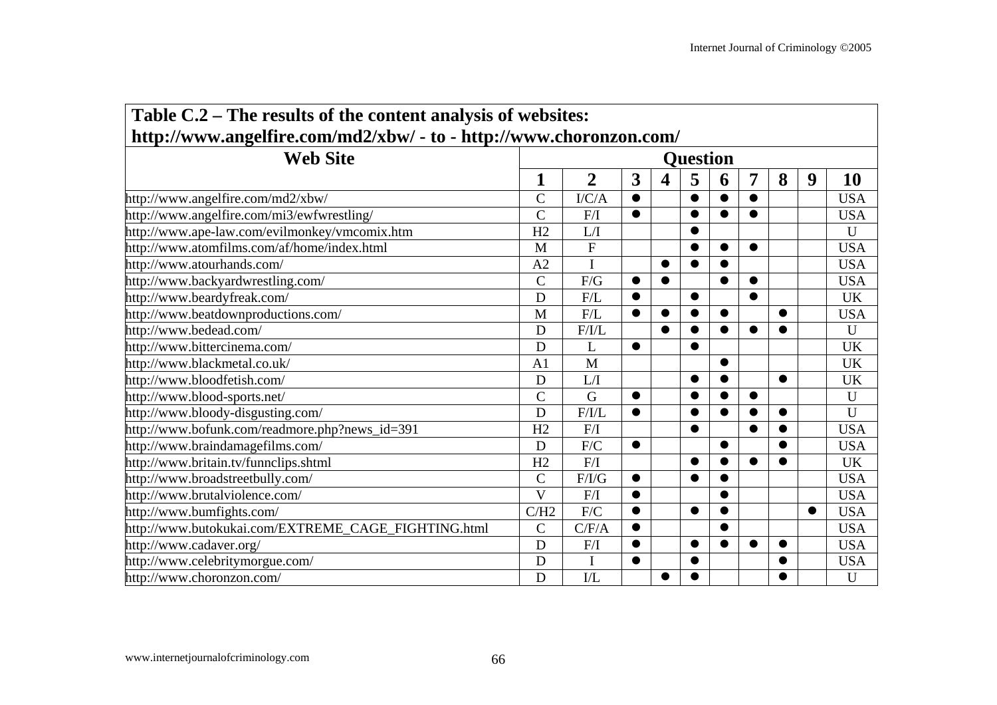÷

| Table C.2 – The results of the content analysis of websites:       |                         |                       |           |           |           |           |           |           |           |             |  |  |  |
|--------------------------------------------------------------------|-------------------------|-----------------------|-----------|-----------|-----------|-----------|-----------|-----------|-----------|-------------|--|--|--|
| http://www.angelfire.com/md2/xbw/ - to - http://www.choronzon.com/ |                         |                       |           |           |           |           |           |           |           |             |  |  |  |
| <b>Web Site</b>                                                    | <b>Question</b>         |                       |           |           |           |           |           |           |           |             |  |  |  |
|                                                                    | 1                       | $\overline{2}$        | 3         | 4         | 5         | 6         | 7         | 8         | 9         | 10          |  |  |  |
| http://www.angelfire.com/md2/xbw/                                  | $\overline{C}$          | I/C/A                 | $\bullet$ |           | $\bullet$ | $\bullet$ | $\bullet$ |           |           | <b>USA</b>  |  |  |  |
| http://www.angelfire.com/mi3/ewfwrestling/                         | $\overline{C}$          | F/I                   | $\bullet$ |           | $\bullet$ | $\bullet$ | $\bullet$ |           |           | <b>USA</b>  |  |  |  |
| http://www.ape-law.com/evilmonkey/vmcomix.htm                      | H2                      | L/I                   |           |           | ●         |           |           |           |           | $\mathbf U$ |  |  |  |
| http://www.atomfilms.com/af/home/index.html                        | M                       | ${\bf F}$             |           |           | $\bullet$ | $\bullet$ | $\bullet$ |           |           | <b>USA</b>  |  |  |  |
| http://www.atourhands.com/                                         | A <sub>2</sub>          |                       |           | $\bullet$ | $\bullet$ | $\bullet$ |           |           |           | <b>USA</b>  |  |  |  |
| http://www.backyardwrestling.com/                                  | $\overline{C}$          | F/G                   | $\bullet$ | $\bullet$ |           | $\bullet$ | $\bullet$ |           |           | <b>USA</b>  |  |  |  |
| http://www.beardyfreak.com/                                        | D                       | F/L                   | $\bullet$ |           | $\bullet$ |           | $\bullet$ |           |           | <b>UK</b>   |  |  |  |
| http://www.beatdownproductions.com/                                | M                       | F/L                   | $\bullet$ | $\bullet$ | $\bullet$ | $\bullet$ |           | $\bullet$ |           | <b>USA</b>  |  |  |  |
| http://www.bedead.com/                                             | D                       | F/I/L                 |           | ●         |           | ●         |           |           |           | $\mathbf U$ |  |  |  |
| http://www.bittercinema.com/                                       | D                       | L                     | $\bullet$ |           | $\bullet$ |           |           |           |           | UK          |  |  |  |
| http://www.blackmetal.co.uk/                                       | A <sub>1</sub>          | M                     |           |           |           |           |           |           |           | <b>UK</b>   |  |  |  |
| http://www.bloodfetish.com/                                        | D                       | L/I                   |           |           | $\bullet$ |           |           | $\bullet$ |           | <b>UK</b>   |  |  |  |
| http://www.blood-sports.net/                                       | $\overline{C}$          | G                     | $\bullet$ |           | $\bullet$ | $\bullet$ | $\bullet$ |           |           | $\mathbf U$ |  |  |  |
| http://www.bloody-disgusting.com/                                  | D                       | F/I/L                 | $\bullet$ |           | $\bullet$ | $\bullet$ |           | $\bullet$ |           | $\mathbf U$ |  |  |  |
| http://www.bofunk.com/readmore.php?news_id=391                     | H2                      | F/I                   |           |           | $\bullet$ |           | $\bullet$ |           |           | <b>USA</b>  |  |  |  |
| http://www.braindamagefilms.com/                                   | D                       | F/C                   | $\bullet$ |           |           | $\bullet$ |           |           |           | <b>USA</b>  |  |  |  |
| http://www.britain.tv/funnclips.shtml                              | H2                      | F/I                   |           |           | ●         | $\bullet$ | $\bullet$ |           |           | <b>UK</b>   |  |  |  |
| http://www.broadstreetbully.com/                                   | $\overline{C}$          | F/I/G                 | $\bullet$ |           | $\bullet$ |           |           |           |           | <b>USA</b>  |  |  |  |
| http://www.brutalviolence.com/                                     | $\overline{\mathbf{V}}$ | F/I                   | $\bullet$ |           |           |           |           |           |           | <b>USA</b>  |  |  |  |
| http://www.bumfights.com/                                          | C/H2                    | F/C                   | $\bullet$ |           | ●         |           |           |           | $\bullet$ | <b>USA</b>  |  |  |  |
| http://www.butokukai.com/EXTREME_CAGE_FIGHTING.html                | $\overline{C}$          | C/F/A                 | $\bullet$ |           |           |           |           |           |           | <b>USA</b>  |  |  |  |
| http://www.cadaver.org/                                            | D                       | F/I                   | $\bullet$ |           | $\bullet$ |           | $\bullet$ | ●         |           | <b>USA</b>  |  |  |  |
| http://www.celebritymorgue.com/                                    | D                       | I                     | $\bullet$ |           | $\bullet$ |           |           |           |           | <b>USA</b>  |  |  |  |
| http://www.choronzon.com/                                          | D                       | $\overline{\text{L}}$ |           | $\bullet$ |           |           |           |           |           | $\mathbf U$ |  |  |  |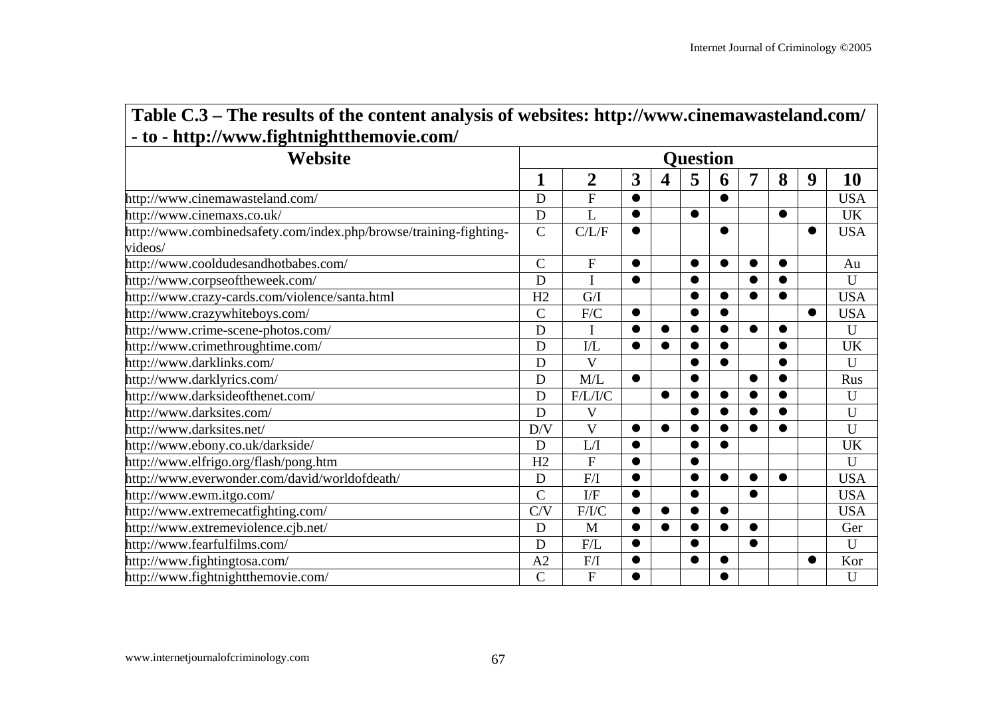| Table C.3 – The results of the content analysis of websites: http://www.cinemawasteland.com/ |
|----------------------------------------------------------------------------------------------|
| - to - http://www.fightnightthemovie.com/                                                    |

| Website                                                                      | <b>Ouestion</b> |                         |           |                         |           |           |           |           |           |             |  |  |  |  |
|------------------------------------------------------------------------------|-----------------|-------------------------|-----------|-------------------------|-----------|-----------|-----------|-----------|-----------|-------------|--|--|--|--|
|                                                                              | 1               | $\overline{2}$          | 3         | $\overline{\mathbf{4}}$ | 5         | 6         | 7         | 8         | 9         | 10          |  |  |  |  |
| http://www.cinemawasteland.com/                                              | D               | ${\bf F}$               |           |                         |           | ●         |           |           |           | <b>USA</b>  |  |  |  |  |
| http://www.cinemaxs.co.uk/                                                   | D               | L                       | $\bullet$ |                         | $\bullet$ |           |           | $\bullet$ |           | <b>UK</b>   |  |  |  |  |
| http://www.combinedsafety.com/index.php/browse/training-fighting-<br>videos/ | $\mathcal{C}$   | C/L/F                   | $\bullet$ |                         |           | ●         |           |           | $\bullet$ | <b>USA</b>  |  |  |  |  |
| http://www.cooldudesandhotbabes.com/                                         | $\mathcal{C}$   | $\mathbf F$             | $\bullet$ |                         | $\bullet$ | $\bullet$ |           |           |           | Au          |  |  |  |  |
| http://www.corpseoftheweek.com/                                              | D               | <sup>T</sup>            | $\bullet$ |                         | $\bullet$ |           | $\bullet$ |           |           | U           |  |  |  |  |
| http://www.crazy-cards.com/violence/santa.html                               | H2              | G/I                     |           |                         | $\bullet$ | ●         | $\bullet$ |           |           | <b>USA</b>  |  |  |  |  |
| http://www.crazywhiteboys.com/                                               | $\mathcal{C}$   | F/C                     | $\bullet$ |                         | $\bullet$ | $\bullet$ |           |           | $\bullet$ | <b>USA</b>  |  |  |  |  |
| http://www.crime-scene-photos.com/                                           | D               | I                       |           |                         | $\bullet$ | ●         | $\bullet$ |           |           | U           |  |  |  |  |
| http://www.crimethroughtime.com/                                             | D               | $\rm I/L$               |           |                         | $\bullet$ | $\bullet$ |           |           |           | <b>UK</b>   |  |  |  |  |
| http://www.darklinks.com/                                                    | D               | $\overline{\mathbf{V}}$ |           |                         | $\bullet$ | ●         |           |           |           | U           |  |  |  |  |
| http://www.darklyrics.com/                                                   | D               | M/L                     | $\bullet$ |                         | $\bullet$ |           | $\bullet$ |           |           | Rus         |  |  |  |  |
| http://www.darksideofthenet.com/                                             | D               | F/L/I/C                 |           | $\bullet$               | $\bullet$ | $\bullet$ | $\bullet$ |           |           | U           |  |  |  |  |
| http://www.darksites.com/                                                    | D               | $\mathbf V$             |           |                         | $\bullet$ | ●         | $\bullet$ |           |           | U           |  |  |  |  |
| http://www.darksites.net/                                                    | D/V             | V                       | ●         |                         | $\bullet$ |           | $\bullet$ |           |           | U           |  |  |  |  |
| http://www.ebony.co.uk/darkside/                                             | D               | L/I                     | ●         |                         | $\bullet$ |           |           |           |           | UK          |  |  |  |  |
| http://www.elfrigo.org/flash/pong.htm                                        | H2              | $\mathbf{F}$            | $\bullet$ |                         | $\bullet$ |           |           |           |           | U           |  |  |  |  |
| http://www.everwonder.com/david/worldofdeath/                                | D               | F/I                     | $\bullet$ |                         | $\bullet$ | $\bullet$ | $\bullet$ | $\bullet$ |           | <b>USA</b>  |  |  |  |  |
| http://www.ewm.itgo.com/                                                     | $\overline{C}$  | $\overline{IF}$         |           |                         | $\bullet$ |           | $\bullet$ |           |           | <b>USA</b>  |  |  |  |  |
| http://www.extremecatfighting.com/                                           | C/V             | F/I/C                   |           |                         | $\bullet$ | $\bullet$ |           |           |           | <b>USA</b>  |  |  |  |  |
| http://www.extremeviolence.cjb.net/                                          | D               | M                       |           |                         | $\bullet$ | ●         | $\bullet$ |           |           | Ger         |  |  |  |  |
| http://www.fearfulfilms.com/                                                 | D               | F/L                     | ●         |                         | $\bullet$ |           | ●         |           |           | $\mathbf U$ |  |  |  |  |
| http://www.fightingtosa.com/                                                 | A2              | F/I                     |           |                         | $\bullet$ | $\bullet$ |           |           | $\bullet$ | Kor         |  |  |  |  |
| http://www.fightnightthemovie.com/                                           | $\overline{C}$  | ${\bf F}$               |           |                         |           |           |           |           |           | U           |  |  |  |  |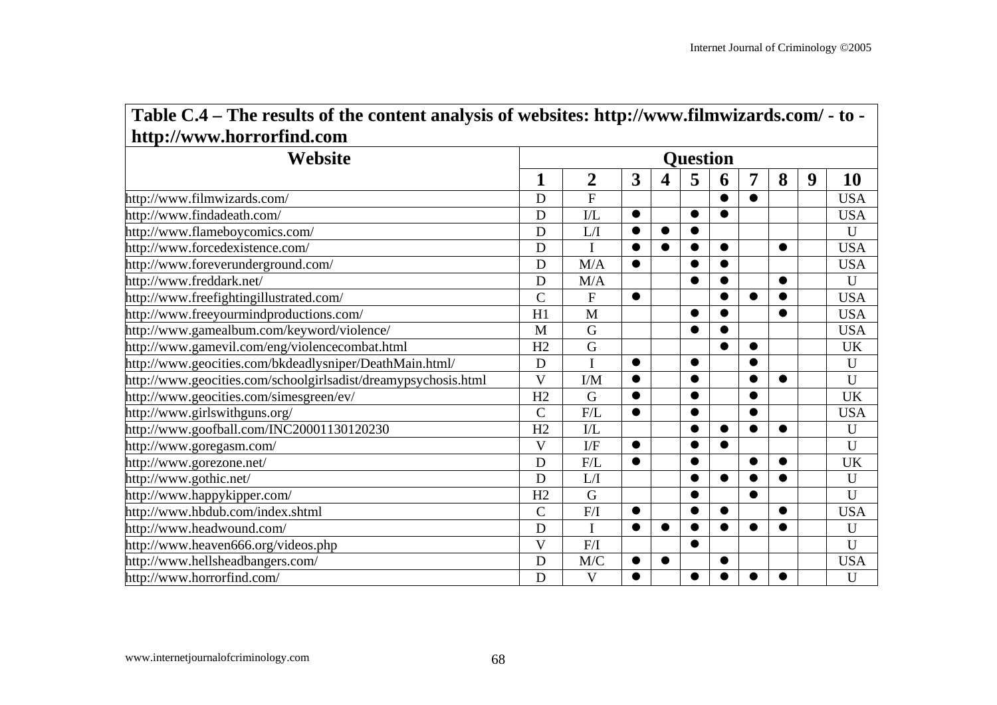| Website                                                        | <b>Question</b>         |                         |              |           |           |           |           |           |   |             |  |  |  |
|----------------------------------------------------------------|-------------------------|-------------------------|--------------|-----------|-----------|-----------|-----------|-----------|---|-------------|--|--|--|
|                                                                | 1                       | $\overline{2}$          | $\mathbf{3}$ | 4         | 5         | 6         | 7         | 8         | 9 | 10          |  |  |  |
| http://www.filmwizards.com/                                    | D                       | $\overline{F}$          |              |           |           | $\bullet$ | $\bullet$ |           |   | <b>USA</b>  |  |  |  |
| http://www.findadeath.com/                                     | D                       | $\overline{\text{IL}}$  | $\bullet$    |           | $\bullet$ | $\bullet$ |           |           |   | <b>USA</b>  |  |  |  |
| http://www.flameboycomics.com/                                 | D                       | L/I                     | 0            | $\bullet$ | $\bullet$ |           |           |           |   | U           |  |  |  |
| http://www.forcedexistence.com/                                | D                       | Ī                       | $\bullet$    | $\bullet$ | $\bullet$ | $\bullet$ |           | $\bullet$ |   | <b>USA</b>  |  |  |  |
| http://www.foreverunderground.com/                             | D                       | M/A                     | $\bullet$    |           | $\bullet$ | $\bullet$ |           |           |   | <b>USA</b>  |  |  |  |
| http://www.freddark.net/                                       | D                       | M/A                     |              |           | $\bullet$ |           |           | $\bullet$ |   | U           |  |  |  |
| http://www.freefightingillustrated.com/                        | $\overline{C}$          | ${\bf F}$               | $\bullet$    |           |           | ●         | $\bullet$ |           |   | <b>USA</b>  |  |  |  |
| http://www.freeyourmindproductions.com/                        | H1                      | M                       |              |           | $\bullet$ | $\bullet$ |           | $\bullet$ |   | <b>USA</b>  |  |  |  |
| http://www.gamealbum.com/keyword/violence/                     | M                       | G                       |              |           | ●         | ●         |           |           |   | <b>USA</b>  |  |  |  |
| http://www.gamevil.com/eng/violencecombat.html                 | H2                      | G                       |              |           |           | ●         | $\bullet$ |           |   | <b>UK</b>   |  |  |  |
| http://www.geocities.com/bkdeadlysniper/DeathMain.html/        | D                       | I                       | $\bullet$    |           | $\bullet$ |           | $\bullet$ |           |   | U           |  |  |  |
| http://www.geocities.com/schoolgirlsadist/dreamypsychosis.html | $\overline{\mathbf{V}}$ | $\rm I/M$               | $\bullet$    |           | $\bullet$ |           | $\bullet$ | $\bullet$ |   | $\mathbf U$ |  |  |  |
| http://www.geocities.com/simesgreen/ev/                        | H2                      | G                       | $\bullet$    |           | $\bullet$ |           | $\bullet$ |           |   | <b>UK</b>   |  |  |  |
| http://www.girlswithguns.org/                                  | $\overline{C}$          | F/L                     | $\bullet$    |           | $\bullet$ |           | $\bullet$ |           |   | <b>USA</b>  |  |  |  |
| http://www.goofball.com/INC20001130120230                      | H2                      | $\mathbf{I}/\mathbf{L}$ |              |           | $\bullet$ | $\bullet$ | $\bullet$ | ●         |   | U           |  |  |  |
| http://www.goregasm.com/                                       | V                       | $\mathbf{I}/\mathbf{F}$ | $\bullet$    |           | $\bullet$ | ●         |           |           |   | U           |  |  |  |
| http://www.gorezone.net/                                       | D                       | F/L                     | $\bullet$    |           | $\bullet$ |           | $\bullet$ | $\bullet$ |   | <b>UK</b>   |  |  |  |
| http://www.gothic.net/                                         | D                       | L/I                     |              |           | $\bullet$ | $\bullet$ | $\bullet$ | $\bullet$ |   | U           |  |  |  |
| http://www.happykipper.com/                                    | H2                      | G                       |              |           | $\bullet$ |           | $\bullet$ |           |   | U           |  |  |  |
| http://www.hbdub.com/index.shtml                               | $\mathcal{C}$           | F/I                     | $\bullet$    |           | $\bullet$ | $\bullet$ |           | $\bullet$ |   | <b>USA</b>  |  |  |  |
| http://www.headwound.com/                                      | D                       | I                       | $\bullet$    | $\bullet$ | $\bullet$ | $\bullet$ | $\bullet$ | $\bullet$ |   | U           |  |  |  |
| http://www.heaven666.org/videos.php                            | V                       | F/I                     |              |           | $\bullet$ |           |           |           |   | U           |  |  |  |
| http://www.hellsheadbangers.com/                               | D                       | M/C                     | $\bullet$    | $\bullet$ |           | ●         |           |           |   | <b>USA</b>  |  |  |  |
| http://www.horrorfind.com/                                     | D                       | V                       |              |           |           |           |           |           |   | U           |  |  |  |

# **Table C.4 – The results of the content analysis of websites: http://www.filmwizards.com/ - to -**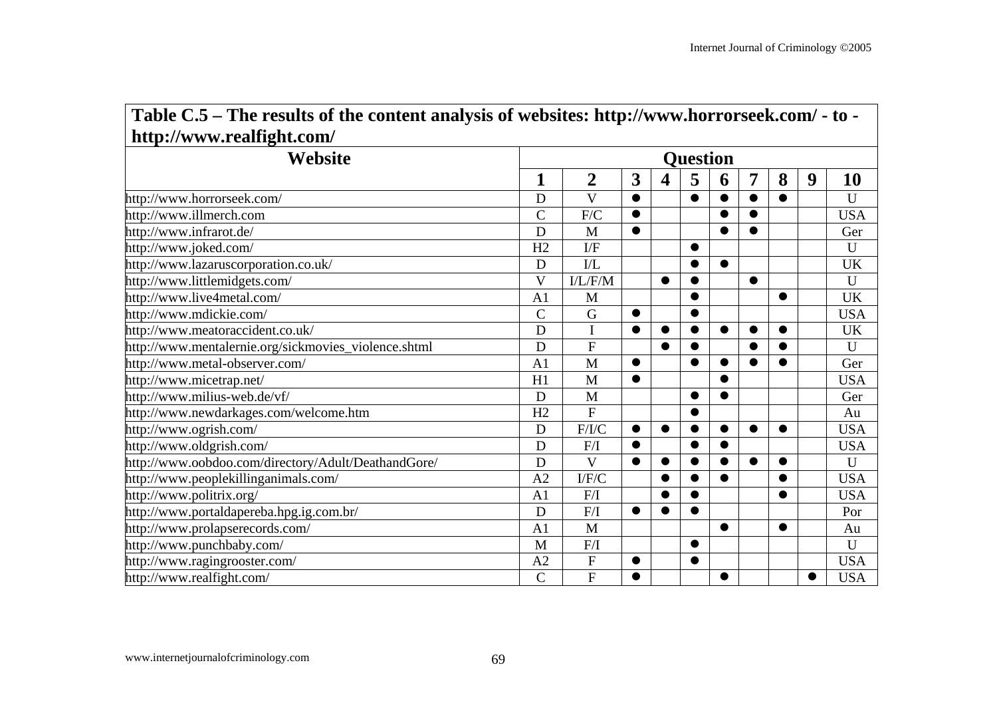| Website                                              | <b>Ouestion</b>         |                           |           |           |           |           |           |           |           |              |  |  |  |
|------------------------------------------------------|-------------------------|---------------------------|-----------|-----------|-----------|-----------|-----------|-----------|-----------|--------------|--|--|--|
|                                                      | 1                       | $\overline{2}$            | 3         | 4         | 5         | 6         | 7         | 8         | 9         | 10           |  |  |  |
| http://www.horrorseek.com/                           | D                       | $\overline{\mathbf{V}}$   | $\bullet$ |           | $\bullet$ |           |           |           |           | U            |  |  |  |
| http://www.illmerch.com                              | $\overline{C}$          | F/C                       | $\bullet$ |           |           | ●         | $\bullet$ |           |           | <b>USA</b>   |  |  |  |
| http://www.infrarot.de/                              | D                       | M                         | $\bullet$ |           |           | ●         | $\bullet$ |           |           | Ger          |  |  |  |
| http://www.joked.com/                                | H2                      | I/F                       |           |           | $\bullet$ |           |           |           |           | U            |  |  |  |
| http://www.lazaruscorporation.co.uk/                 | D                       | I/L                       |           |           | ●         | $\bullet$ |           |           |           | <b>UK</b>    |  |  |  |
| http://www.littlemidgets.com/                        | $\overline{\mathbf{V}}$ | I/L/F/M                   |           | $\bullet$ | $\bullet$ |           | $\bullet$ |           |           | U            |  |  |  |
| http://www.live4metal.com/                           | A <sub>1</sub>          | M                         |           |           | ●         |           |           | ●         |           | <b>UK</b>    |  |  |  |
| http://www.mdickie.com/                              | $\overline{C}$          | G                         | $\bullet$ |           | $\bullet$ |           |           |           |           | <b>USA</b>   |  |  |  |
| http://www.meatoraccident.co.uk/                     | D                       | I                         | $\bullet$ | $\bullet$ | $\bullet$ | $\bullet$ | $\bullet$ | $\bullet$ |           | <b>UK</b>    |  |  |  |
| http://www.mentalernie.org/sickmovies_violence.shtml | D                       | $\overline{F}$            |           | $\bullet$ | ●         |           | ●         |           |           | U            |  |  |  |
| http://www.metal-observer.com/                       | A <sub>1</sub>          | M                         | $\bullet$ |           | $\bullet$ | $\bullet$ | $\bullet$ |           |           | Ger          |  |  |  |
| http://www.micetrap.net/                             | H1                      | M                         | $\bullet$ |           |           |           |           |           |           | <b>USA</b>   |  |  |  |
| http://www.milius-web.de/vf/                         | D                       | M                         |           |           | $\bullet$ | $\bullet$ |           |           |           | Ger          |  |  |  |
| http://www.newdarkages.com/welcome.htm               | H2                      | $\overline{F}$            |           |           | $\bullet$ |           |           |           |           | Au           |  |  |  |
| http://www.ogrish.com/                               | D                       | F/I/C                     | $\bullet$ | $\bullet$ | $\bullet$ | $\bullet$ | $\bullet$ | $\bullet$ |           | <b>USA</b>   |  |  |  |
| http://www.oldgrish.com/                             | D                       | F/I                       | $\bullet$ |           | ●         | ●         |           |           |           | <b>USA</b>   |  |  |  |
| http://www.oobdoo.com/directory/Adult/DeathandGore/  | D                       | $\overline{\mathbf{V}}$   | $\bullet$ | $\bullet$ | ●         | $\bullet$ | $\bullet$ | ●         |           | $\mathbf{U}$ |  |  |  |
| http://www.peoplekillinganimals.com/                 | A <sub>2</sub>          | $\rm I/F/ C$              |           | $\bullet$ | $\bullet$ | $\bullet$ |           | ●         |           | <b>USA</b>   |  |  |  |
| http://www.politrix.org/                             | A <sub>1</sub>          | F/I                       |           | $\bullet$ | $\bullet$ |           |           |           |           | <b>USA</b>   |  |  |  |
| http://www.portaldapereba.hpg.ig.com.br/             | D                       | ${\rm F}/{\rm I}$         | $\bullet$ |           | $\bullet$ |           |           |           |           | Por          |  |  |  |
| http://www.prolapserecords.com/                      | A <sub>1</sub>          | M                         |           |           |           | $\bullet$ |           | $\bullet$ |           | Au           |  |  |  |
| http://www.punchbaby.com/                            | M                       | F/I                       |           |           | $\bullet$ |           |           |           |           | U            |  |  |  |
| http://www.ragingrooster.com/                        | A <sub>2</sub>          | $\boldsymbol{\mathrm{F}}$ | $\bullet$ |           | $\bullet$ |           |           |           |           | <b>USA</b>   |  |  |  |
| http://www.realfight.com/                            | $\mathcal{C}$           | $\mathbf F$               | $\bullet$ |           |           | $\bullet$ |           |           | $\bullet$ | <b>USA</b>   |  |  |  |

# **Table C.5 – The results of the content analysis of websites: http://www.horrorseek.com/ - to -**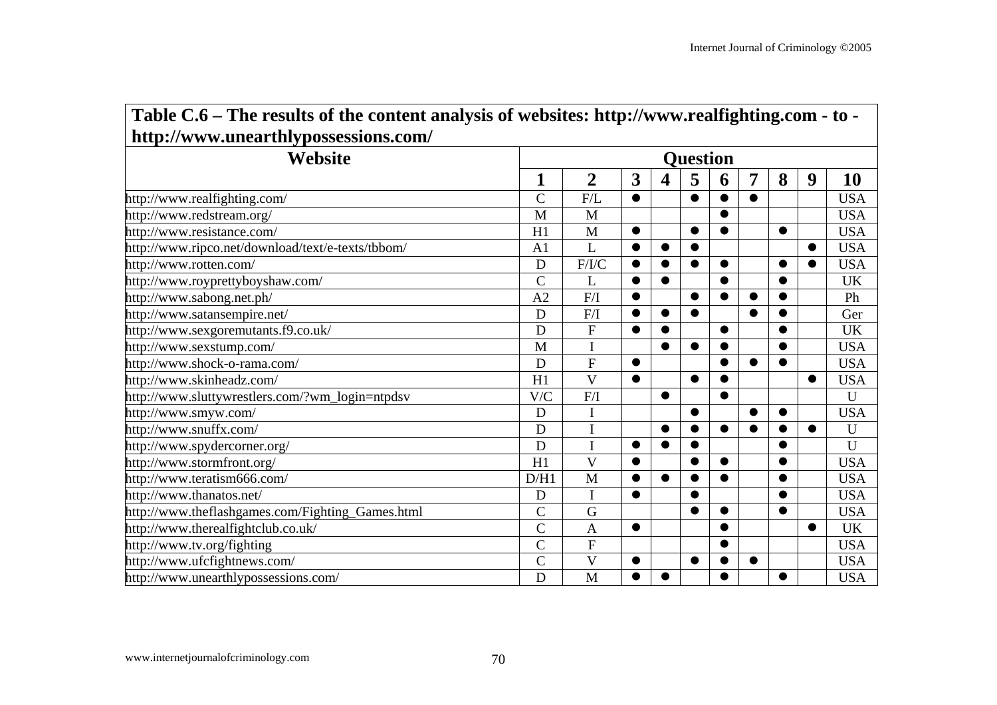| Website                                           | <b>Ouestion</b> |                         |           |           |           |           |           |           |           |              |  |  |
|---------------------------------------------------|-----------------|-------------------------|-----------|-----------|-----------|-----------|-----------|-----------|-----------|--------------|--|--|
|                                                   | 1               | $\overline{2}$          | 3         | 4         | 5         | 6         | 7         | 8         | 9         | 10           |  |  |
| http://www.realfighting.com/                      | $\overline{C}$  | F/L                     | $\bullet$ |           | $\bullet$ | $\bullet$ | $\bullet$ |           |           | <b>USA</b>   |  |  |
| http://www.redstream.org/                         | M               | M                       |           |           |           |           |           |           |           | <b>USA</b>   |  |  |
| http://www.resistance.com/                        | H1              | M                       | $\bullet$ |           | $\bullet$ | $\bullet$ |           | $\bullet$ |           | <b>USA</b>   |  |  |
| http://www.ripco.net/download/text/e-texts/tbbom/ | A <sub>1</sub>  | L                       | $\bullet$ | $\bullet$ | $\bullet$ |           |           |           | $\bullet$ | <b>USA</b>   |  |  |
| http://www.rotten.com/                            | D               | F/I/C                   | $\bullet$ |           | $\bullet$ | $\bullet$ |           |           |           | <b>USA</b>   |  |  |
| http://www.royprettyboyshaw.com/                  | $\overline{C}$  | L                       | $\bullet$ | ●         |           |           |           | $\bullet$ |           | <b>UK</b>    |  |  |
| http://www.sabong.net.ph/                         | A <sub>2</sub>  | F/I                     | $\bullet$ |           | $\bullet$ | $\bullet$ | $\bullet$ | $\bullet$ |           | Ph           |  |  |
| http://www.satansempire.net/                      | D               | F/I                     | $\bullet$ |           | $\bullet$ |           |           |           |           | Ger          |  |  |
| http://www.sexgoremutants.f9.co.uk/               | D               | ${\bf F}$               | $\bullet$ | ●         |           | $\bullet$ |           | $\bullet$ |           | <b>UK</b>    |  |  |
| http://www.sexstump.com/                          | M               | I                       |           | $\bullet$ | $\bullet$ |           |           | $\bullet$ |           | <b>USA</b>   |  |  |
| http://www.shock-o-rama.com/                      | D               | $\overline{\mathrm{F}}$ | $\bullet$ |           |           |           | $\bullet$ |           |           | <b>USA</b>   |  |  |
| http://www.skinheadz.com/                         | H1              | $\overline{\mathbf{V}}$ | $\bullet$ |           | $\bullet$ |           |           |           | $\bullet$ | <b>USA</b>   |  |  |
| http://www.sluttywrestlers.com/?wm_login=ntpdsv   | V/C             | F/I                     |           | $\bullet$ |           | $\bullet$ |           |           |           | U            |  |  |
| http://www.smyw.com/                              | D               |                         |           |           | $\bullet$ |           | $\bullet$ | $\bullet$ |           | <b>USA</b>   |  |  |
| http://www.snuffx.com/                            | D               | $\overline{I}$          |           | $\bullet$ | $\bullet$ | $\bullet$ | $\bullet$ | $\bullet$ | ●         | $\mathbf U$  |  |  |
| http://www.spydercorner.org/                      | D               | I                       | $\bullet$ | $\bullet$ | $\bullet$ |           |           | $\bullet$ |           | $\mathbf{U}$ |  |  |
| http://www.stormfront.org/                        | H1              | $\overline{\mathbf{V}}$ | $\bullet$ |           | $\bullet$ | $\bullet$ |           | $\bullet$ |           | <b>USA</b>   |  |  |
| http://www.teratism666.com/                       | D/H1            | M                       | $\bullet$ | $\bullet$ | $\bullet$ | $\bullet$ |           | $\bullet$ |           | <b>USA</b>   |  |  |
| http://www.thanatos.net/                          | D               | $\mathbf I$             | $\bullet$ |           |           |           |           |           |           | <b>USA</b>   |  |  |
| http://www.theflashgames.com/Fighting_Games.html  | $\overline{C}$  | G                       |           |           | $\bullet$ | $\bullet$ |           | $\bullet$ |           | <b>USA</b>   |  |  |
| http://www.therealfightclub.co.uk/                | $\overline{C}$  | $\mathbf{A}$            | $\bullet$ |           |           | $\bullet$ |           |           | $\bullet$ | <b>UK</b>    |  |  |
| http://www.tv.org/fighting                        | $\overline{C}$  | ${\bf F}$               |           |           |           |           |           |           |           | <b>USA</b>   |  |  |
| http://www.ufcfightnews.com/                      | $\overline{C}$  | $\overline{\mathsf{V}}$ | $\bullet$ |           | $\bullet$ |           | ●         |           |           | <b>USA</b>   |  |  |
| http://www.unearthlypossessions.com/              | D               | M                       | $\bullet$ |           |           |           |           |           |           | <b>USA</b>   |  |  |

# **Table C.6 – The results of the content analysis of websites: http://www.realfighting.com - to -**